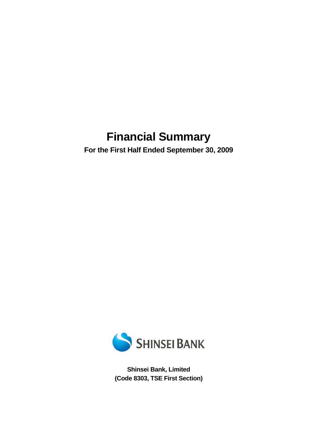# **Financial Summary**

**For the First Half Ended September 30, 2009** 



**Shinsei Bank, Limited (Code 8303, TSE First Section)**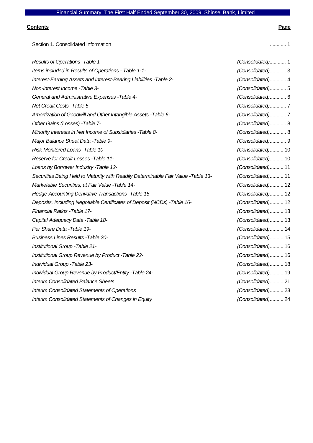### **Contents Page**

| Section 1. Consolidated Information                                               | . 1               |
|-----------------------------------------------------------------------------------|-------------------|
| Results of Operations - Table 1-                                                  | (Consolidated) 1  |
| Items included in Results of Operations - Table 1-1-                              | (Consolidated) 3  |
| Interest-Earning Assets and Interest-Bearing Liabilities - Table 2-               | (Consolidated) 4  |
| Non-Interest Income -Table 3-                                                     | (Consolidated) 5  |
| General and Administrative Expenses - Table 4-                                    | (Consolidated) 6  |
| Net Credit Costs - Table 5-                                                       | (Consolidated)7   |
| Amortization of Goodwill and Other Intangible Assets - Table 6-                   | (Consolidated)7   |
| Other Gains (Losses) - Table 7-                                                   | (Consolidated) 8  |
| Minority Interests in Net Income of Subsidiaries - Table 8-                       | (Consolidated) 8  |
| Major Balance Sheet Data - Table 9-                                               | (Consolidated) 9  |
| Risk-Monitored Loans - Table 10-                                                  | (Consolidated) 10 |
| Reserve for Credit Losses - Table 11-                                             | (Consolidated) 10 |
| Loans by Borrower Industry - Table 12-                                            | (Consolidated) 11 |
| Securities Being Held to Maturity with Readily Determinable Fair Value -Table 13- | (Consolidated) 11 |
| Marketable Securities, at Fair Value - Table 14-                                  | (Consolidated) 12 |
| Hedge-Accounting Derivative Transactions - Table 15-                              | (Consolidated) 12 |
| Deposits, Including Negotiable Certificates of Deposit (NCDs) - Table 16-         | (Consolidated) 12 |
| Financial Ratios - Table 17-                                                      | (Consolidated) 13 |
| Capital Adequacy Data - Table 18-                                                 | (Consolidated) 13 |
| Per Share Data -Table 19-                                                         | (Consolidated) 14 |
| <b>Business Lines Results - Table 20-</b>                                         | (Consolidated) 15 |
| Institutional Group - Table 21-                                                   | (Consolidated) 16 |
| Institutional Group Revenue by Product - Table 22-                                | (Consolidated) 16 |
| Individual Group - Table 23-                                                      | (Consolidated) 18 |
| Individual Group Revenue by Product/Entity - Table 24-                            | (Consolidated) 19 |
| <b>Interim Consolidated Balance Sheets</b>                                        | (Consolidated) 21 |
| Interim Consolidated Statements of Operations                                     | (Consolidated) 23 |
| Interim Consolidated Statements of Changes in Equity                              | (Consolidated) 24 |
|                                                                                   |                   |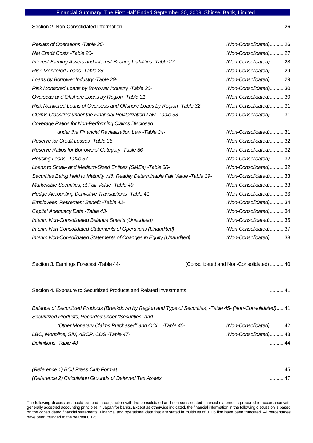Section 2. Non-Consolidated Information .......... 26

| Results of Operations - Table 25-                                                 | (Non-Consolidated) 26 |
|-----------------------------------------------------------------------------------|-----------------------|
| Net Credit Costs - Table 26-                                                      | (Non-Consolidated) 27 |
| Interest-Earning Assets and Interest-Bearing Liabilities -Table 27-               | (Non-Consolidated) 28 |
| Risk-Monitored Loans - Table 28-                                                  | (Non-Consolidated) 29 |
| Loans by Borrower Industry - Table 29-                                            | (Non-Consolidated) 29 |
| Risk Monitored Loans by Borrower Industry - Table 30-                             | (Non-Consolidated) 30 |
| Overseas and Offshore Loans by Region - Table 31-                                 | (Non-Consolidated) 30 |
| Risk Monitored Loans of Overseas and Offshore Loans by Region - Table 32-         | (Non-Consolidated) 31 |
| Claims Classified under the Financial Revitalization Law -Table 33-               | (Non-Consolidated) 31 |
| Coverage Ratios for Non-Performing Claims Disclosed                               |                       |
| under the Financial Revitalization Law - Table 34-                                | (Non-Consolidated) 31 |
| Reserve for Credit Losses - Table 35-                                             | (Non-Consolidated) 32 |
| Reserve Ratios for Borrowers' Category - Table 36-                                | (Non-Consolidated) 32 |
| Housing Loans - Table 37-                                                         | (Non-Consolidated) 32 |
| Loans to Small- and Medium-Sized Entities (SMEs) -Table 38-                       | (Non-Consolidated) 32 |
| Securities Being Held to Maturity with Readily Determinable Fair Value -Table 39- | (Non-Consolidated) 33 |
| Marketable Securities, at Fair Value - Table 40-                                  | (Non-Consolidated) 33 |
| Hedge-Accounting Derivative Transactions - Table 41-                              | (Non-Consolidated) 33 |
| Employees' Retirement Benefit - Table 42-                                         | (Non-Consolidated) 34 |
| Capital Adequacy Data - Table 43-                                                 | (Non-Consolidated) 34 |
| Interim Non-Consolidated Balance Sheets (Unaudited)                               | (Non-Consolidated) 35 |
| Interim Non-Consolidated Statements of Operations (Unaudited)                     | (Non-Consolidated) 37 |
| Interim Non-Consolidated Statements of Changes in Equity (Unaudited)              | (Non-Consolidated) 38 |

Section 3. Earnings Forecast -Table 44- (Consolidated and Non-Consolidated) .......... 40

Section 4. Exposure to Securitized Products and Related Investments .......... 41

*Balance of Securitized Products (Breakdown by Region and Type of Securities) -Table 45- (Non-Consolidated)*..... 41 *Securitized Products, Recorded under "Securities" and "Other Monetary Claims Purchased" and OCI -Table 46- (Non-Consolidated)*.......... 42 *LBO, Monoline, SIV, ABCP, CDS -Table 47- (Non-Consolidated)*.......... 43 *Definitions -Table 48-* .......... 44

| (Reference 1) BOJ Press Club Format                      | 45   |
|----------------------------------------------------------|------|
| (Reference 2) Calculation Grounds of Deferred Tax Assets | . 47 |

The following discussion should be read in conjunction with the consolidated and non-consolidated financial statements prepared in accordance with generally accepted accounting principles in Japan for banks. Except as otherwise indicated, the financial information in the following discussion is based on the consolidated financial statements. Financial and operational data that are stated in multiples of 0.1 billion have been truncated. All percentages have been rounded to the nearest 0.1%.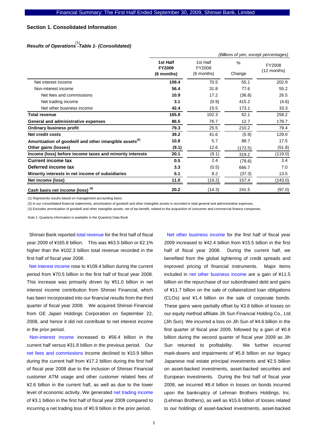### **Section 1. Consolidated Information**

# *Results of Operations -Table 1- (Consolidated)*  (1)

|                                                                     |                                         |                                  |                | (Billions of yen, except percentages) |
|---------------------------------------------------------------------|-----------------------------------------|----------------------------------|----------------|---------------------------------------|
|                                                                     | 1st Half<br><b>FY2009</b><br>(6 months) | 1st Half<br>FY2008<br>(6 months) | $\%$<br>Change | FY2008<br>(12 months)                 |
| Net interest income                                                 | 109.4                                   | 70.5                             | 55.1           | 202.9                                 |
| Non-interest income                                                 | 56.4                                    | 31.8                             | 77.6           | 55.2                                  |
| Net fees and commissions                                            | 10.9                                    | 17.2                             | (36.8)         | 26.5                                  |
| Net trading income                                                  | 3.1                                     | (0.9)                            | 415.2          | (4.6)                                 |
| Net other business income                                           | 42.4                                    | 15.5                             | 173.1          | 33.3                                  |
| <b>Total revenue</b>                                                | 165.8                                   | 102.3                            | 62.1           | 258.2                                 |
| General and administrative expenses                                 | 86.5                                    | 76.7                             | 12.7           | 178.7                                 |
| <b>Ordinary business profit</b>                                     | 79.3                                    | 25.5                             | 210.2          | 79.4                                  |
| Net credit costs                                                    | 39.2                                    | 41.6                             | (5.9)          | 129.0                                 |
| Amortization of goodwill and other intangible assets <sup>(2)</sup> | 10.8                                    | 5.7                              | 88.7           | 17.5                                  |
| Other gains (losses)                                                | (9.1)                                   | 12.6                             | (172.5)        | (51.8)                                |
| Income (loss) before income taxes and minority interests            | 20.1                                    | (9.1)                            | 319.2          | (119.0)                               |
| <b>Current income tax</b>                                           | 0.5                                     | 2.4                              | (78.6)         | 3.4                                   |
| Deferred income tax                                                 | 3.3                                     | (0.5)                            | 666.7          | 7.0                                   |
| Minority interests in net income of subsidiaries                    | 5.1                                     | 8.2                              | (37.3)         | 13.5                                  |
| Net income (loss)                                                   | 11.0                                    | (19.2)                           | 157.4          | (143.0)                               |
| Cash basis net income (loss) <sup>(3)</sup>                         | 20.2                                    | (14.3)                           | 241.5          | (97.0)                                |

(1) Represents results based on management accounting basis.

(2) In our consolidated financial statements, amortization of goodwill and other intangible assets is recorded in total general and administrative expenses.

(3) Excludes amortization of goodwill and other intangible assets, net of tax benefit, related to the acquisition of consumer and commercial finance companies.

Note 1: Quarterly information is available in the Quarterly Data Book

Shinsei Bank reported total revenue for the first half of fiscal year 2009 of ¥165.8 billion. This was ¥63.5 billion or 62.1% higher than the ¥102.3 billion total revenue recorded in the first half of fiscal year 2008.

Net interest income rose to ¥109.4 billion during the current period from ¥70.5 billion in the first half of fiscal year 2008. This increase was primarily driven by ¥51.0 billion in net interest income contribution from Shinsei Financial, which has been incorporated into our financial results from the third quarter of fiscal year 2008. We acquired Shinsei Financial from GE Japan Holdings Corporation on September 22, 2008, and hence it did not contribute to net interest income in the prior period.

Non-interest income increased to ¥56.4 billion in the current half versus ¥31.8 billion in the previous period. Our net fees and commissions income declined to ¥10.9 billion during the current half from ¥17.2 billion during the first half of fiscal year 2008 due to the inclusion of Shinsei Financial customer ATM usage and other customer related fees of ¥2.6 billion in the current half, as well as due to the lower level of economic activity. We generated net trading income of ¥3.1 billion in the first half of fiscal year 2009 compared to incurring a net trading loss of ¥0.9 billion in the prior period.

Net other business income for the first half of fiscal year 2009 increased to ¥42.4 billion from ¥15.5 billion in the first half of fiscal year 2008. During the current half, we benefited from the global tightening of credit spreads and improved pricing of financial instruments. Major items included in net other business income are a gain of ¥11.5 billion on the repurchase of our subordinated debt and gains of ¥11.7 billion on the sale of collateralized loan obligations (CLOs) and ¥1.4 billion on the sale of corporate bonds. These gains were partially offset by ¥3.8 billion of losses on our equity method affiliate Jih Sun Financial Holding Co., Ltd. (Jih Sun). We incurred a loss on Jih Sun of ¥4.6 billion in the first quarter of fiscal year 2009, followed by a gain of ¥0.8 billion during the second quarter of fiscal year 2009 as Jih Sun returned to profitability. We further incurred mark-downs and impairments of ¥5.8 billion on our legacy Japanese real estate principal investments and ¥2.5 billion on asset-backed investments, asset-backed securities and European investments. During the first half of fiscal year 2008, we incurred ¥8.4 billion in losses on bonds incurred upon the bankruptcy of Lehman Brothers Holdings, Inc. (Lehman Brothers), as well as ¥15.6 billion of losses related to our holdings of asset-backed investments, asset-backed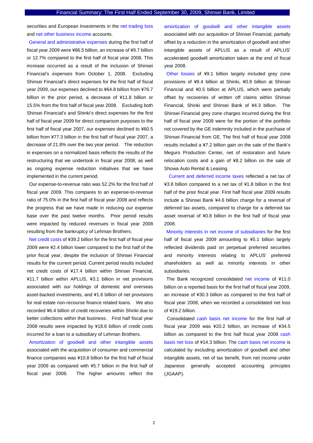securities and European Investments in the net trading loss and net other business income accounts.

General and administrative expenses during the first half of fiscal year 2009 were ¥86.5 billion, an increase of ¥9.7 billion or 12.7% compared to the first half of fiscal year 2008. This increase occurred as a result of the inclusion of Shinsei Financial's expenses from October 1, 2008. Excluding Shinsei Financial's direct expenses for the first half of fiscal year 2009, our expenses declined to ¥64.8 billion from ¥76.7 billion in the prior period, a decrease of ¥11.8 billion or 15.5% from the first half of fiscal year 2008. Excluding both Shinsei Financial's and Shinki's direct expenses for the first half of fiscal year 2009 for direct comparison purposes to the first half of fiscal year 2007, our expenses declined to ¥60.5 billion from ¥77.3 billion in the first half of fiscal year 2007, a decrease of 21.8% over the two year period. The reduction in expenses on a normalized basis reflects the results of the restructuring that we undertook in fiscal year 2008, as well as ongoing expense reduction initiatives that we have implemented in the current period.

Our expense-to-revenue ratio was 52.2% for the first half of fiscal year 2009. This compares to an expense-to-revenue ratio of 75.0% in the first half of fiscal year 2008 and reflects the progress that we have made in reducing our expense base over the past twelve months. Prior period results were impacted by reduced revenues in fiscal year 2008 resulting from the bankruptcy of Lehman Brothers.

Net credit costs of ¥39.2 billion for the first half of fiscal year 2009 were ¥2.4 billion lower compared to the first half of the prior fiscal year, despite the inclusion of Shinsei Financial results for the current period. Current period results included net credit costs of ¥17.4 billion within Shinsei Financial, ¥11.7 billion within APLUS, ¥3.1 billion in net provisions associated with our holdings of domestic and overseas asset-backed investments, and ¥1.6 billion of net provisions for real estate non-recourse finance related loans. We also recorded ¥6.4 billion of credit recoveries within Shinki due to better collections within that business. First half fiscal year 2008 results were impacted by ¥18.6 billion of credit costs incurred for a loan to a subsidiary of Lehman Brothers.

Amortization of goodwill and other intangible assets associated with the acquisition of consumer and commercial finance companies was ¥10.8 billion for the first half of fiscal year 2009 as compared with ¥5.7 billion in the first half of fiscal year 2008. The higher amounts reflect the

amortization of goodwill and other intangible assets associated with our acquisition of Shinsei Financial, partially offset by a reduction in the amortization of goodwill and other intangible assets of APLUS as a result of APLUS' accelerated goodwill amortization taken at the end of fiscal year 2008.

Other losses of ¥9.1 billion largely included grey zone provisions of ¥8.4 billion at Shinki, ¥0.9 billion at Shinsei Financial and ¥0.5 billion at APLUS, which were partially offset by recoveries of written off claims within Shinsei Financial, Shinki and Shinsei Bank of ¥4.3 billion. The Shinsei Financial grey zone charges incurred during the first half of fiscal year 2009 were for the portion of the portfolio not covered by the GE indemnity included in the purchase of Shinsei Financial from GE. The first half of fiscal year 2008 results included a ¥7.2 billion gain on the sale of the Bank's Meguro Production Center, net of restoration and future relocation costs and a gain of ¥8.2 billion on the sale of Showa Auto Rental & Leasing.

 Current and deferred income taxes reflected a net tax of ¥3.8 billion compared to a net tax of ¥1.8 billion in the first half of the prior fiscal year. First half fiscal year 2009 results include a Shinsei Bank ¥4.6 billion charge for a reversal of deferred tax assets, compared to charge for a deferred tax asset reversal of ¥0.8 billion in the first half of fiscal year 2008.

Minority interests in net income of subsidiaries for the first half of fiscal year 2009 amounting to ¥5.1 billion largely reflected dividends paid on perpetual preferred securities and minority interests relating to APLUS' preferred shareholders as well as minority interests in other subsidiaries.

The Bank recognized consolidated net income of ¥11.0 billion on a reported basis for the first half of fiscal year 2009, an increase of ¥30.3 billion as compared to the first half of fiscal year 2008, when we recorded a consolidated net loss of ¥19.2 billion.

Consolidated cash basis net income for the first half of fiscal year 2009 was ¥20.2 billion, an increase of ¥34.5 billion as compared to the first half fiscal year 2008 cash basis net loss of ¥14.3 billion. The cash basis net income is calculated by excluding amortization of goodwill and other intangible assets, net of tax benefit, from net income under Japanese generally accepted accounting principles (JGAAP).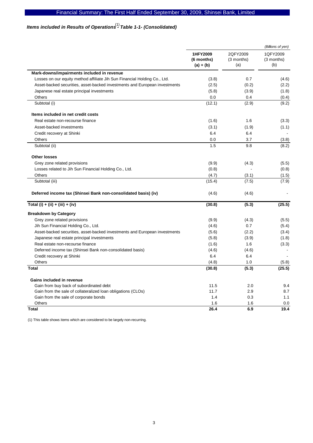# Items included in Results of Operations<sup>(1)</sup> Table 1-1- (Consolidated)

|                                                                            |                                       |                               | (Billions of yen)             |
|----------------------------------------------------------------------------|---------------------------------------|-------------------------------|-------------------------------|
|                                                                            | 1HFY2009<br>(6 months)<br>$(a) + (b)$ | 2QFY2009<br>(3 months)<br>(a) | 1QFY2009<br>(3 months)<br>(b) |
| Mark-downs/impairments included in revenue                                 |                                       |                               |                               |
| Losses on our equity method affiliate Jih Sun Financial Holding Co., Ltd.  | (3.8)                                 | 0.7                           | (4.6)                         |
| Asset-backed securities, asset-backed investments and European investments | (2.5)                                 | (0.2)                         | (2.2)                         |
| Japanese real estate principal investments                                 | (5.8)                                 | (3.9)                         | (1.8)                         |
| Others                                                                     | 0.0                                   | 0.4                           | (0.4)                         |
| Subtotal (i)                                                               | (12.1)                                | (2.9)                         | (9.2)                         |
| Items included in net credit costs                                         |                                       |                               |                               |
| Real estate non-recourse finance                                           | (1.6)                                 | 1.6                           | (3.3)                         |
| Asset-backed investments                                                   | (3.1)                                 | (1.9)                         | (1.1)                         |
| Credit recovery at Shinki                                                  | 6.4                                   | 6.4                           |                               |
| Others                                                                     | 0.0                                   | 3.7                           | (3.8)                         |
| Subtotal (ii)                                                              | 1.5                                   | 9.8                           | (8.2)                         |
| <b>Other losses</b>                                                        |                                       |                               |                               |
| Grey zone related provisions                                               | (9.9)                                 | (4.3)                         | (5.5)                         |
| Losses related to Jih Sun Financial Holding Co., Ltd.                      | (0.8)                                 |                               | (0.8)                         |
| Others                                                                     | (4.7)                                 | (3.1)                         | (1.5)                         |
| Subtotal (iii)                                                             | (15.4)                                | (7.5)                         | (7.9)                         |
| Deferred income tax (Shinsei Bank non-consolidated basis) (iv)             | (4.6)                                 | (4.6)                         |                               |
| Total (i) + (ii) + (iii) + (iv)                                            | (30.8)                                | (5.3)                         | (25.5)                        |
| <b>Breakdown by Category</b>                                               |                                       |                               |                               |
| Grey zone related provisions                                               | (9.9)                                 | (4.3)                         | (5.5)                         |
| Jih Sun Financial Holding Co., Ltd.                                        | (4.6)                                 | 0.7                           | (5.4)                         |
| Asset-backed securities, asset-backed investments and European investments | (5.6)                                 | (2.2)                         | (3.4)                         |
| Japanese real estate principal investments                                 | (5.8)                                 | (3.9)                         | (1.8)                         |
| Real estate non-recourse finance                                           | (1.6)                                 | 1.6                           | (3.3)                         |
| Deferred income tax (Shinsei Bank non-consolidated basis)                  | (4.6)                                 | (4.6)                         |                               |
| Credit recovery at Shinki                                                  | 6.4                                   | 6.4                           |                               |
| Others                                                                     | (4.8)                                 | 1.0                           | (5.8)                         |
| <b>Total</b>                                                               | (30.8)                                | (5.3)                         | (25.5)                        |
| Gains included in revenue                                                  |                                       |                               |                               |
| Gain from buy back of subordinated debt                                    | 11.5                                  | 2.0                           | 9.4                           |
| Gain from the sale of collateralized loan obligations (CLOs)               | 11.7                                  | 2.9                           | 8.7                           |
| Gain from the sale of corporate bonds                                      | 1.4                                   | 0.3                           | 1.1                           |
| Others                                                                     | 1.6                                   | 1.6                           | 0.0                           |
| <b>Total</b>                                                               | 26.4                                  | 6.9                           | 19.4                          |

(1) This table shows items which are considered to be largely non-recurring.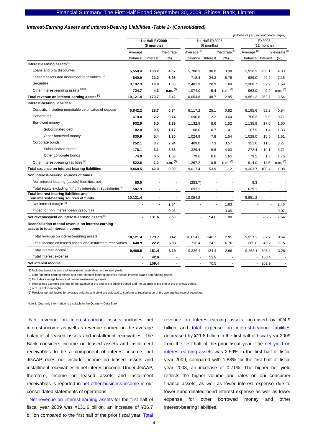#### *Interest-Earning Assets and Interest-Bearing Liabilities -Table 2- (Consolidated)*

|                                                                                         |                    |                 |                | (Billions of yen, except percentages)<br>1st Half FY2008 |                                         |              |                  |                                                                    |              |  |
|-----------------------------------------------------------------------------------------|--------------------|-----------------|----------------|----------------------------------------------------------|-----------------------------------------|--------------|------------------|--------------------------------------------------------------------|--------------|--|
|                                                                                         |                    | 1st Half FY2009 |                |                                                          |                                         |              |                  | FY2008                                                             |              |  |
|                                                                                         |                    | (6 months)      | Yield/rate     | Average $(6)$                                            | (6 months)<br>Yield/rate <sup>(6)</sup> |              |                  | (12 months)<br>Average <sup>(6)</sup><br>Yield/rate <sup>(6)</sup> |              |  |
|                                                                                         | Average<br>balance | Interest        | (%)            | balance                                                  | Interest                                | (%)          | balance Interest |                                                                    | (% )         |  |
| Interest-earning assets <sup>(1)</sup> :                                                |                    |                 |                |                                                          |                                         |              |                  |                                                                    |              |  |
| Loans and bills discounted                                                              | 5,558.4            | 130.2           | 4.67           | 5,780.3                                                  | 98.0                                    | 3.38         | 5,910.3          | 256.1                                                              | 4.33         |  |
| Leased assets and installment receivables (1)                                           | 640.9              | 22.2            | 6.93           | 718.4                                                    | 24.3                                    | 6.76         | 689.0            | 49.2                                                               | 7.15         |  |
| Securities                                                                              | 3,197.3            | 16.8            | 1.05           | 2,481.9                                                  | 20.9                                    | 1.68         | 2.388.7          | 37.9                                                               | 1.59         |  |
| Other interest-earning assets (2)(3)                                                    | 724.7              | 4.3             | n.m. (5)       | 1,074.0                                                  | 5.4                                     | $n.m.$ $(5)$ | 963.0            | 9.2                                                                | $n.m.$ $(5)$ |  |
| Total revenue on interest-earning assets <sup>(1)</sup>                                 | 10,121.4           | 173.7           | 3.42           | 10,054.8                                                 | 148.7                                   | 2.95         | 9,951.2          | 352.7                                                              | 3.54         |  |
| Interest-bearing liabilities:                                                           |                    |                 |                |                                                          |                                         |              |                  |                                                                    |              |  |
| Deposits, including negotiable certificates of deposit                                  | 6,842.2            | 28.7            | 0.84           | 6,117.2                                                  | 25.1                                    | 0.82         | 6,195.6          | 52.2                                                               | 0.84         |  |
| <b>Debentures</b>                                                                       | 618.4              | 2.2             | 0.74           | 690.8                                                    | 2.2                                     | 0.64         | 706.3            | 5.0                                                                | 0.71         |  |
| Borrowed money                                                                          | 932.9              | 6.0             | 1.29           | 1,132.9                                                  | 8.6                                     | 1.52         | 1,135.9          | 17.0                                                               | 1.50         |  |
| Subordinated debt                                                                       | 102.0              | 0.5             | 1.17           | 108.0                                                    | 0.7                                     | 1.41         | 107.9            | 1.4                                                                | 1.33         |  |
| Other borrowed money                                                                    | 830.9              | 5.4             | 1.30           | 1,024.9                                                  | 7.8                                     | 1.54         | 1,028.0          | 15.5                                                               | 1.51         |  |
| Corporate bonds                                                                         | 252.1              | 3.7             | 2.94           | 409.0                                                    | 7.3                                     | 3.57         | 351.6            | 11.5                                                               | 3.27         |  |
| Subordinated bonds                                                                      | 178.1              | 3.1             | 3.53           | 329.4                                                    | 6.6                                     | 4.03         | 272.4            | 10.1                                                               | 3.71         |  |
| Other corporate bonds                                                                   | 74.0               | 0.5             | 1.53           | 79.6                                                     | 0.6                                     | 1.65         | 79.2             | 1.3                                                                | 1.76         |  |
| Other interest-bearing liabilities <sup>(2)</sup>                                       | 822.6              | 1.2             | $n.m.$ $(5)$   | 1,267.2                                                  | 10.5                                    | $n.m.$ $(5)$ | 914.0            | 14.5                                                               | $n.m.$ $(5)$ |  |
| Total expense on interest-bearing liabilities                                           | 9.468.5            | 42.0            | 0.89           | 9,617.4                                                  | 53.9                                    | 1.12         | 9,303.7          | 100.4                                                              | 1.08         |  |
| Non interest-bearing sources of funds:                                                  |                    |                 |                |                                                          |                                         |              |                  |                                                                    |              |  |
| Non interest-bearing (assets) liabilities, net                                          | 65.0               |                 |                | (253.7)                                                  |                                         |              | 8.3              |                                                                    |              |  |
| Total equity excluding minority interests in subsidiaries (4)                           | 587.9              |                 | $\blacksquare$ | 691.1                                                    |                                         |              | 639.1            |                                                                    |              |  |
| Total interest-bearing liabilities and<br>non interest-bearing sources of funds         | 10,121.4           |                 | $\overline{a}$ | 10,054.8                                                 |                                         |              | 9,951.2          |                                                                    |              |  |
| Net interest margin <sup>(1)</sup>                                                      |                    |                 | 2.54           |                                                          | ä,                                      | 1.83         |                  | ÷.                                                                 | 2.46         |  |
| Impact of non interest-bearing sources                                                  |                    |                 | 0.06           |                                                          | ä,                                      | 0.05         |                  |                                                                    | 0.07         |  |
| Net revenue/yield on interest-earning assets <sup>(1)</sup>                             |                    | 131.6           | 2.59           |                                                          | 94.8                                    | 1.88         | ÷                | 252.2                                                              | 2.54         |  |
| Reconciliation of total revenue on interest-earning<br>assets to total interest income: |                    |                 |                |                                                          |                                         |              |                  |                                                                    |              |  |
| Total revenue on interest-earning assets                                                | 10,121.4           | 173.7           | 3.42           | 10,054.8                                                 | 148.7                                   | 2.95         | 9,951.2          | 352.7                                                              | 3.54         |  |
| Less: Income on leased assets and installment receivables                               | 640.9              | 22.2            | 6.93           | 718.4                                                    | 24.3                                    | 6.76         | 689.0            | 49.2                                                               | 7.15         |  |
| Total interest income                                                                   | 9,480.5            | 151.4           | 3.19           | 9,336.4                                                  | 124.4                                   | 2.66         | 9,262.1          | 303.4                                                              | 3.28         |  |
| Total interest expense                                                                  |                    | 42.0            |                |                                                          | 53.9                                    |              |                  | $-100.4$                                                           |              |  |
| Net interest income                                                                     |                    | 109.4           |                |                                                          | 70.5                                    |              |                  | $-202.9$                                                           |              |  |

(1) Includes leased assets and installment receivables and related yields.

(2) Other interest-earning assets and other interest-bearing liabilities include interest swaps and funding swaps.

(3) Excludes average balance of non interest-earning assets.

(4) Represents a simple average of the balance at the end of the current period and the balance at the end of the previous period.

(5) n.m. is not meaningful.

(6) Previous period figures for average balance and yield are adjusted to conform to recalculation of the average balance of securities.

Note 1: Quarterly information is available in the Quarterly Data Book

Net revenue on interest-earning assets includes net interest income as well as revenue earned on the average balance of leased assets and installment receivables. The Bank considers income on leased assets and installment receivables to be a component of interest income, but JGAAP does not include income on leased assets and installment receivables in net interest income. Under JGAAP, therefore, income on leased assets and installment receivables is reported in net other business income in our consolidated statements of operations.

Net revenue on interest-earning assets for the first half of fiscal year 2009 was ¥131.6 billion, an increase of ¥36.7 billion compared to the first half of the prior fiscal year. Total

revenue on interest-earning assets increased by ¥24.9 billion and total expense on interest-bearing liabilities decreased by ¥11.8 billion in the first half of fiscal year 2009 from the first half of the prior fiscal year. The net yield on interest-earning assets was 2.59% in the first half of fiscal year 2009, compared with 1.88% for the first half of fiscal year 2008, an increase of 0.71%. The higher net yield reflects the higher volume and rates on our consumer finance assets, as well as lower interest expense due to lower subordinated bond interest expense as well as lower expense for other borrowed money and other interest-bearing liabilities.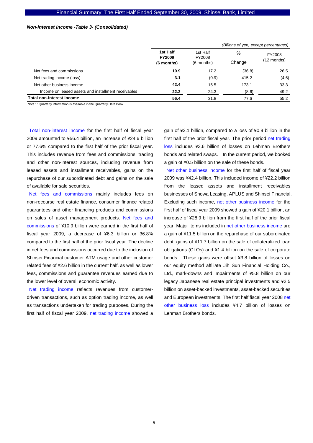### *Non-Interest Income -Table 3- (Consolidated)*

|                                                     |                                         |                                  | (Billions of yen, except percentages) |                       |
|-----------------------------------------------------|-----------------------------------------|----------------------------------|---------------------------------------|-----------------------|
|                                                     | 1st Half<br><b>FY2009</b><br>(6 months) | 1st Half<br>FY2008<br>(6 months) | %<br>Change                           | FY2008<br>(12 months) |
| Net fees and commissions                            | 10.9                                    | 17.2                             | (36.8)                                | 26.5                  |
| Net trading income (loss)                           | 3.1                                     | (0.9)                            | 415.2                                 | (4.6)                 |
| Net other business income                           | 42.4                                    | 15.5                             | 173.1                                 | 33.3                  |
| Income on leased assets and installment receivables | 22.2                                    | 24.3                             | (8.6)                                 | 49.2                  |
| <b>Total non-interest income</b>                    | 56.4                                    | 31.8                             | 77.6                                  | 55.2                  |

Note 1: Quarterly information is available in the Quarterly Data Book

Total non-interest income for the first half of fiscal year 2009 amounted to ¥56.4 billion, an increase of ¥24.6 billion or 77.6% compared to the first half of the prior fiscal year. This includes revenue from fees and commissions, trading and other non-interest sources, including revenue from leased assets and installment receivables, gains on the repurchase of our subordinated debt and gains on the sale of available for sale securities.

Net fees and commissions mainly includes fees on non-recourse real estate finance, consumer finance related guarantees and other financing products and commissions on sales of asset management products. Net fees and commissions of ¥10.9 billion were earned in the first half of fiscal year 2009, a decrease of ¥6.3 billion or 36.8% compared to the first half of the prior fiscal year. The decline in net fees and commissions occurred due to the inclusion of Shinsei Financial customer ATM usage and other customer related fees of ¥2.6 billion in the current half, as well as lower fees, commissions and guarantee revenues earned due to the lower level of overall economic activity.

Net trading income reflects revenues from customerdriven transactions, such as option trading income, as well as transactions undertaken for trading purposes. During the first half of fiscal year 2009, net trading income showed a

gain of ¥3.1 billion, compared to a loss of ¥0.9 billion in the first half of the prior fiscal year. The prior period net trading loss includes ¥3.6 billion of losses on Lehman Brothers bonds and related swaps. In the current period, we booked a gain of ¥0.5 billion on the sale of these bonds.

Net other business income for the first half of fiscal year 2009 was ¥42.4 billion. This included income of ¥22.2 billion from the leased assets and installment receivables businesses of Showa Leasing, APLUS and Shinsei Financial. Excluding such income, net other business income for the first half of fiscal year 2009 showed a gain of ¥20.1 billion, an increase of ¥28.9 billion from the first half of the prior fiscal year. Major items included in net other business income are a gain of ¥11.5 billion on the repurchase of our subordinated debt, gains of ¥11.7 billion on the sale of collateralized loan obligations (CLOs) and ¥1.4 billion on the sale of corporate bonds. These gains were offset ¥3.8 billion of losses on our equity method affiliate Jih Sun Financial Holding Co., Ltd., mark-downs and impairments of ¥5.8 billion on our legacy Japanese real estate principal investments and ¥2.5 billion on asset-backed investments, asset-backed securities and European investments. The first half fiscal year 2008 net other business loss includes ¥4.7 billion of losses on Lehman Brothers bonds.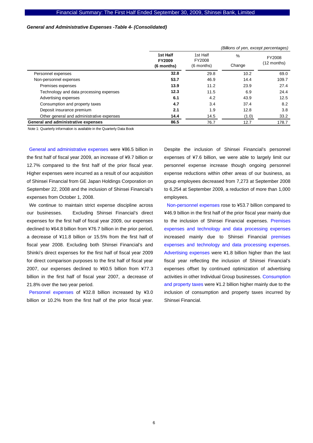### *General and Administrative Expenses -Table 4- (Consolidated)*

|                                           |                           |                            | (Billions of yen, except percentages) |       |                       |
|-------------------------------------------|---------------------------|----------------------------|---------------------------------------|-------|-----------------------|
|                                           | 1st Half<br><b>FY2009</b> | 1st Half<br>$\%$<br>FY2008 |                                       |       | FY2008<br>(12 months) |
|                                           | (6 months)                | (6 months)                 | Change                                |       |                       |
| Personnel expenses                        | 32.8                      | 29.8                       | 10.2                                  | 69.0  |                       |
| Non-personnel expenses                    | 53.7                      | 46.9                       | 14.4                                  | 109.7 |                       |
| Premises expenses                         | 13.9                      | 11.2                       | 23.9                                  | 27.4  |                       |
| Technology and data processing expenses   | 12.3                      | 11.5                       | 6.9                                   | 24.4  |                       |
| Advertising expenses                      | 6.1                       | 4.2                        | 43.9                                  | 12.5  |                       |
| Consumption and property taxes            | 4.7                       | 3.4                        | 37.4                                  | 8.2   |                       |
| Deposit insurance premium                 | 2.1                       | 1.9                        | 12.8                                  | 3.8   |                       |
| Other general and administrative expenses | 14.4                      | 14.5                       | (1.0)                                 | 33.2  |                       |
| General and administrative expenses       | 86.5                      | 76.7                       | 12.7                                  | 178.7 |                       |

Note 1: Quarterly information is available in the Quarterly Data Book

General and administrative expenses were ¥86.5 billion in the first half of fiscal year 2009, an increase of ¥9.7 billion or 12.7% compared to the first half of the prior fiscal year. Higher expenses were incurred as a result of our acquisition of Shinsei Financial from GE Japan Holdings Corporation on September 22, 2008 and the inclusion of Shinsei Financial's expenses from October 1, 2008.

We continue to maintain strict expense discipline across our businesses. Excluding Shinsei Financial's direct expenses for the first half of fiscal year 2009, our expenses declined to ¥64.8 billion from ¥76.7 billion in the prior period, a decrease of ¥11.8 billion or 15.5% from the first half of fiscal year 2008. Excluding both Shinsei Financial's and Shinki's direct expenses for the first half of fiscal year 2009 for direct comparison purposes to the first half of fiscal year 2007, our expenses declined to ¥60.5 billion from ¥77.3 billion in the first half of fiscal year 2007, a decrease of 21.8% over the two year period.

Personnel expenses of ¥32.8 billion increased by ¥3.0 billion or 10.2% from the first half of the prior fiscal year.

Despite the inclusion of Shinsei Financial's personnel expenses of ¥7.6 billion, we were able to largely limit our personnel expense increase though ongoing personnel expense reductions within other areas of our business, as group employees decreased from 7,273 at September 2008 to 6,254 at September 2009, a reduction of more than 1,000 employees.

Non-personnel expenses rose to ¥53.7 billion compared to ¥46.9 billion in the first half of the prior fiscal year mainly due to the inclusion of Shinsei Financial expenses. Premises expenses and technology and data processing expenses increased mainly due to Shinsei Financial premises expenses and technology and data processing expenses. Advertising expenses were ¥1.8 billion higher than the last fiscal year reflecting the inclusion of Shinsei Financial's expenses offset by continued optimization of advertising activities in other Individual Group businesses. Consumption and property taxes were ¥1.2 billion higher mainly due to the inclusion of consumption and property taxes incurred by Shinsei Financial.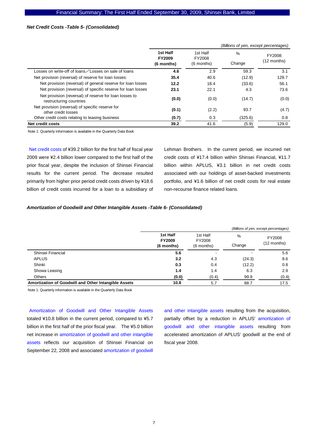### *Net Credit Costs -Table 5- (Consolidated)*

|                                                                                   |                                         |                                  | (Billions of yen, except percentages) |                         |
|-----------------------------------------------------------------------------------|-----------------------------------------|----------------------------------|---------------------------------------|-------------------------|
|                                                                                   | 1st Half<br><b>FY2009</b><br>(6 months) | 1st Half<br>FY2008<br>(6 months) | $\frac{0}{0}$<br>Change               | FY2008<br>$(12$ months) |
| Losses on write-off of loans∕Losses on sale of loans                              | 4.6                                     | 2.9                              | 59.3                                  | 3.1                     |
| Net provision (reversal) of reserve for loan losses:                              | 35.4                                    | 40.6                             | (12.9)                                | 129.7                   |
| Net provision (reversal) of general reserve for loan losses                       | 12.2                                    | 18.4                             | (33.6)                                | 56.1                    |
| Net provision (reversal) of specific reserve for loan losses                      | 23.1                                    | 22.1                             | 4.3                                   | 73.6                    |
| Net provision (reversal) of reserve for loan losses to<br>restructuring countries | (0.0)                                   | (0.0)                            | (14.7)                                | (0.0)                   |
| Net provision (reversal) of specific reserve for<br>other credit losses           | (0.1)                                   | (2.2)                            | 93.7                                  | (4.7)                   |
| Other credit costs relating to leasing business                                   | (0.7)                                   | 0.3                              | (325.6)                               | 0.8                     |
| Net credit costs                                                                  | 39.2                                    | 41.6                             | (5.9)                                 | 129.0                   |

Note 1: Quarterly information is available in the Quarterly Data Book

Net credit costs of ¥39.2 billion for the first half of fiscal year 2009 were ¥2.4 billion lower compared to the first half of the prior fiscal year, despite the inclusion of Shinsei Financial results for the current period. The decrease resulted primarily from higher prior period credit costs driven by ¥18.6 billion of credit costs incurred for a loan to a subsidiary of Lehman Brothers. In the current period, we incurred net credit costs of ¥17.4 billion within Shinsei Financial, ¥11.7 billion within APLUS, ¥3.1 billion in net credit costs associated with our holdings of asset-backed investments portfolio, and ¥1.6 billion of net credit costs for real estate non-recourse finance related loans.

### *Amortization of Goodwill and Other Intangible Assets -Table 6- (Consolidated)*

|                                                      |                                         |                                  |             | (Billions of yen, except percentages) |  |
|------------------------------------------------------|-----------------------------------------|----------------------------------|-------------|---------------------------------------|--|
|                                                      | 1st Half<br><b>FY2009</b><br>(6 months) | 1st Half<br>FY2008<br>(6 months) | %<br>Change | FY2008<br>$(12$ months)               |  |
| Shinsei Financial                                    | 5.6                                     |                                  |             | 5.6                                   |  |
| <b>APLUS</b>                                         | 3.2                                     | 4.3                              | (24.3)      | 8.6                                   |  |
| Shinki                                               | 0.3                                     | 0.4                              | (12.2)      | 0.8                                   |  |
| Showa Leasing                                        | 1.4                                     | 1.4                              | 6.3         | 2.9                                   |  |
| Others                                               | (0.0)                                   | (0.4)                            | 99.9        | (0.4)                                 |  |
| Amortization of Goodwill and Other Intangible Assets | 10.8                                    | 5.7                              | 88.7        | 17.5                                  |  |

Note 1: Quarterly information is available in the Quarterly Data Book

Amortization of Goodwill and Other Intangible Assets totaled ¥10.8 billion in the current period, compared to ¥5.7 billion in the first half of the prior fiscal year. The ¥5.0 billion net increase in amortization of goodwill and other intangible assets reflects our acquisition of Shinsei Financial on September 22, 2008 and associated amortization of goodwill

and other intangible assets resulting from the acquisition, partially offset by a reduction in APLUS' amortization of goodwill and other intangible assets resulting from accelerated amortization of APLUS' goodwill at the end of fiscal year 2008.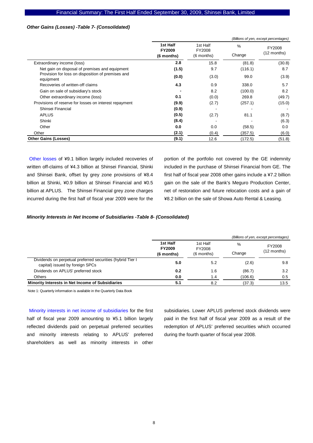### *Other Gains (Losses) -Table 7- (Consolidated)*

|                                                                |                                  |                    |         | (Billions of yen, except percentages) |
|----------------------------------------------------------------|----------------------------------|--------------------|---------|---------------------------------------|
|                                                                | 1st Half<br>FY2009<br>(6 months) | 1st Half<br>FY2008 | $\%$    | FY2008                                |
|                                                                |                                  | (6 months)         | Change  | $(12$ months)                         |
| Extraordinary income (loss)                                    | 2.8                              | 15.8               | (81.8)  | (30.8)                                |
| Net gain on disposal of premises and equipment                 | (1.5)                            | 9.7                | (116.1) | 8.7                                   |
| Provision for loss on disposition of premises and<br>equipment | (0.0)                            | (3.0)              | 99.0    | (3.9)                                 |
| Recoveries of written-off claims                               | 4.3                              | 0.9                | 338.0   | 5.7                                   |
| Gain on sale of subsidiary's stock                             |                                  | 8.2                | (100.0) | 8.2                                   |
| Other extraordinary income (loss)                              | 0.1                              | (0.0)              | 269.8   | (49.7)                                |
| Provisions of reserve for losses on interest repayment         | (9.9)                            | (2.7)              | (257.1) | (15.0)                                |
| Shinsei Financial                                              | (0.9)                            |                    |         |                                       |
| <b>APLUS</b>                                                   | (0.5)                            | (2.7)              | 81.1    | (8.7)                                 |
| Shinki                                                         | (8.4)                            |                    |         | (6.3)                                 |
| Other                                                          | 0.0                              | 0.0                | (58.5)  | 0.0                                   |
| Other                                                          | (2.1)                            | (0.4)              | (357.5) | (6.0)                                 |
| <b>Other Gains (Losses)</b>                                    | (9.1)                            | 12.6               | (172.5) | (51.8)                                |

Other losses of ¥9.1 billion largely included recoveries of written off-claims of ¥4.3 billion at Shinsei Financial, Shinki and Shinsei Bank, offset by grey zone provisions of ¥8.4 billion at Shinki, ¥0.9 billion at Shinsei Financial and ¥0.5 billion at APLUS. The Shinsei Financial grey zone charges incurred during the first half of fiscal year 2009 were for the

portion of the portfolio not covered by the GE indemnity included in the purchase of Shinsei Financial from GE. The first half of fiscal year 2008 other gains include a ¥7.2 billion gain on the sale of the Bank's Meguro Production Center, net of restoration and future relocation costs and a gain of ¥8.2 billion on the sale of Showa Auto Rental & Leasing.

#### *Minority Interests in Net Income of Subsidiaries -Table 8- (Consolidated)*

|                                                                                               |                                         |                                    |             | (Billions of yen, except percentages) |  |
|-----------------------------------------------------------------------------------------------|-----------------------------------------|------------------------------------|-------------|---------------------------------------|--|
|                                                                                               | 1st Half<br><b>FY2009</b><br>(6 months) | 1st Half<br>FY2008<br>$(6$ months) | %<br>Change | FY2008<br>$(12$ months)               |  |
| Dividends on perpetual preferred securities (hybrid Tier I<br>capital) issued by foreign SPCs | 5.0                                     | 5.2                                | (2.6)       | 9.8                                   |  |
| Dividends on APLUS' preferred stock                                                           | 0.2                                     | 1.6                                | (86.7)      | 3.2                                   |  |
| Others                                                                                        | 0.0                                     | 1.4                                | (106.6)     | 0.5                                   |  |
| Minority Interests in Net Income of Subsidiaries                                              | 5.1                                     | 8.2                                | (37.3)      | 13.5                                  |  |

Note 1: Quarterly information is available in the Quarterly Data Book

Minority interests in net income of subsidiaries for the first half of fiscal year 2009 amounting to ¥5.1 billion largely reflected dividends paid on perpetual preferred securities and minority interests relating to APLUS' preferred shareholders as well as minority interests in other

subsidiaries. Lower APLUS preferred stock dividends were paid in the first half of fiscal year 2009 as a result of the redemption of APLUS' preferred securities which occurred during the fourth quarter of fiscal year 2008.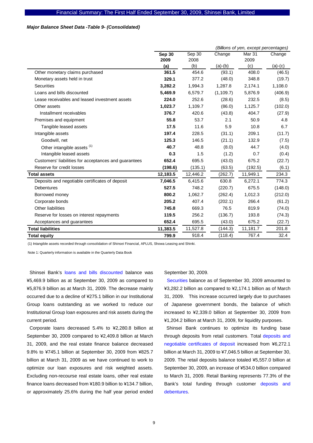### *Major Balance Sheet Data -Table 9- (Consolidated)*

|                                                       | (Billions of yen, except percentages) |                |            |                       |           |  |  |
|-------------------------------------------------------|---------------------------------------|----------------|------------|-----------------------|-----------|--|--|
|                                                       | <b>Sep 30</b><br>2009                 | Sep 30<br>2008 | Change     | <b>Mar 31</b><br>2009 | Change    |  |  |
|                                                       | (a)                                   | (b)            | $(a)-(b)$  | (c)                   | $(a)-(c)$ |  |  |
| Other monetary claims purchased                       | 361.5                                 | 454.6          | (93.1)     | 408.0                 | (46.5)    |  |  |
| Monetary assets held in trust                         | 329.1                                 | 377.2          | (48.0)     | 348.8                 | (19.7)    |  |  |
| <b>Securities</b>                                     | 3,282.2                               | 1,994.3        | 1,287.8    | 2,174.1               | 1,108.0   |  |  |
| Loans and bills discounted                            | 5,469.9                               | 6,579.7        | (1, 109.7) | 5,876.9               | (406.9)   |  |  |
| Lease receivables and leased investment assets        | 224.0                                 | 252.6          | (28.6)     | 232.5                 | (8.5)     |  |  |
| Other assets                                          | 1,023.7                               | 1,109.7        | (86.0)     | 1,125.7               | (102.0)   |  |  |
| Installment receivables                               | 376.7                                 | 420.6          | (43.8)     | 404.7                 | (27.9)    |  |  |
| Premises and equipment                                | 55.8                                  | 53.7           | 2.1        | 50.9                  | 4.8       |  |  |
| Tangible leased assets                                | 17.5                                  | 11.6           | 5.9        | 10.8                  | 6.7       |  |  |
| Intangible assets                                     | 197.4                                 | 228.5          | (31.1)     | 209.1                 | (11.7)    |  |  |
| Goodwill, net                                         | 125.3                                 | 146.5          | (21.1)     | 132.9                 | (7.5)     |  |  |
| Other intangible assets (1)                           | 40.7                                  | 48.8           | (8.0)      | 44.7                  | (4.0)     |  |  |
| Intangible leased assets                              | 0.3                                   | 1.5            | (1.2)      | 0.7                   | (0.4)     |  |  |
| Customers' liabilities for acceptances and guarantees | 652.4                                 | 695.5          | (43.0)     | 675.2                 | (22.7)    |  |  |
| Reserve for credit losses                             | (198.6)                               | (135.1)        | (63.5)     | (192.5)               | (6.1)     |  |  |
| <b>Total assets</b>                                   | 12,183.5                              | 12,446.2       | (262.7)    | 11,949.1              | 234.3     |  |  |
| Deposits and negotiable certificates of deposit       | 7,046.5                               | 6,415.6        | 630.8      | 6,272.1               | 774.3     |  |  |
| <b>Debentures</b>                                     | 527.5                                 | 748.2          | (220.7)    | 675.5                 | (148.0)   |  |  |
| Borrowed money                                        | 800.2                                 | 1,062.7        | (262.4)    | 1,012.3               | (212.0)   |  |  |
| Corporate bonds                                       | 205.2                                 | 407.4          | (202.1)    | 266.4                 | (61.2)    |  |  |
| Other liabilities                                     | 745.8                                 | 669.3          | 76.5       | 819.9                 | (74.0)    |  |  |
| Reserve for losses on interest repayments             | 119.5                                 | 256.2          | (136.7)    | 193.8                 | (74.3)    |  |  |
| Acceptances and guarantees                            | 652.4                                 | 695.5          | (43.0)     | 675.2                 | (22.7)    |  |  |
| <b>Total liabilities</b>                              | 11,383.5                              | 11,527.8       | (144.3)    | 11,181.7              | 201.8     |  |  |
| Total equity                                          | 799.9                                 | 918.4          | (118.4)    | 767.4                 | 32.4      |  |  |

(1) Intangible assets recorded through consolidation of Shinsei Financial, APLUS, Showa Leasing and Shinki.

Note 1: Quarterly information is available in the Quarterly Data Book

Shinsei Bank's loans and bills discounted balance was ¥5,469.9 billion as at September 30, 2009 as compared to ¥5,876.9 billion as at March 31, 2009. The decrease mainly occurred due to a decline of ¥275.1 billion in our Institutional Group loans outstanding as we worked to reduce our Institutional Group loan exposures and risk assets during the current period.

Corporate loans decreased 5.4% to ¥2,280.8 billion at September 30, 2009 compared to ¥2,409.8 billion at March 31, 2009, and the real estate finance balance decreased 9.8% to ¥745.1 billion at September 30, 2009 from ¥825.7 billion at March 31, 2009 as we have continued to work to optimize our loan exposures and risk weighted assets. Excluding non-recourse real estate loans, other real estate finance loans decreased from ¥180.9 billion to ¥134.7 billion, or approximately 25.6% during the half year period ended September 30, 2009.

Securities balance as of September 30, 2009 amounted to ¥3,282.2 billion as compared to ¥2,174.1 billion as of March 31, 2009. This increase occurred largely due to purchases of Japanese government bonds, the balance of which increased to ¥2,339.0 billion at September 30, 2009 from ¥1,204.2 billion at March 31, 2009, for liquidity purposes.

Shinsei Bank continues to optimize its funding base through deposits from retail customers. Total deposits and negotiable certificates of deposit increased from ¥6,272.1 billion at March 31, 2009 to ¥7,046.5 billion at September 30, 2009. The retail deposits balance totaled ¥5,557.0 billion at September 30, 2009, an increase of ¥534.0 billion compared to March 31, 2009. Retail Banking represents 77.3% of the Bank's total funding through customer deposits and debentures.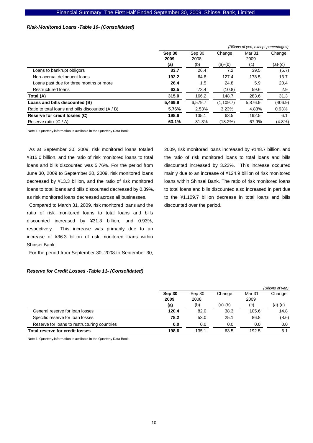### *Risk-Monitored Loans -Table 10- (Consolidated)*

|                                                   |         | (Billions of yen, except percentages) |            |         |           |  |  |  |
|---------------------------------------------------|---------|---------------------------------------|------------|---------|-----------|--|--|--|
|                                                   | Sep 30  | Sep 30                                | Change     | Mar 31  |           |  |  |  |
|                                                   | 2009    | 2008                                  |            | 2009    |           |  |  |  |
|                                                   | (a)     | (b)                                   | $(a)-(b)$  | (c)     | $(a)-(c)$ |  |  |  |
| Loans to bankrupt obligors                        | 33.7    | 26.4                                  | 7.2        | 39.5    | (5.7)     |  |  |  |
| Non-accrual delinguent loans                      | 192.2   | 64.8                                  | 127.4      | 178.5   | 13.7      |  |  |  |
| Loans past due for three months or more           | 26.4    | 1.5                                   | 24.8       | 5.9     | 20.4      |  |  |  |
| Restructured loans                                | 62.5    | 73.4                                  | (10.8)     | 59.6    | 2.9       |  |  |  |
| Total (A)                                         | 315.0   | 166.2                                 | 148.7      | 283.6   | 31.3      |  |  |  |
| Loans and bills discounted (B)                    | 5,469.9 | 6.579.7                               | (1, 109.7) | 5,876.9 | (406.9)   |  |  |  |
| Ratio to total loans and bills discounted (A / B) | 5.76%   | 2.53%                                 | 3.23%      | 4.83%   | 0.93%     |  |  |  |
| Reserve for credit losses (C)                     | 198.6   | 135.1                                 | 63.5       | 192.5   | 6.1       |  |  |  |
| Reserve ratio $(C/A)$                             | 63.1%   | 81.3%                                 | (18.2%)    | 67.9%   | $(4.8\%)$ |  |  |  |

Note 1: Quarterly information is available in the Quarterly Data Book

As at September 30, 2009, risk monitored loans totaled ¥315.0 billion, and the ratio of risk monitored loans to total loans and bills discounted was 5.76%. For the period from June 30, 2009 to September 30, 2009, risk monitored loans decreased by ¥13.3 billion, and the ratio of risk monitored loans to total loans and bills discounted decreased by 0.39%, as risk monitored loans decreased across all businesses.

Compared to March 31, 2009, risk monitored loans and the ratio of risk monitored loans to total loans and bills discounted increased by ¥31.3 billion, and 0.93%, respectively. This increase was primarily due to an increase of ¥36.3 billion of risk monitored loans within Shinsei Bank.

For the period from September 30, 2008 to September 30,

#### *Reserve for Credit Losses -Table 11- (Consolidated)*

2009, risk monitored loans increased by ¥148.7 billion, and the ratio of risk monitored loans to total loans and bills discounted increased by 3.23%. This increase occurred mainly due to an increase of ¥124.9 billion of risk monitored loans within Shinsei Bank. The ratio of risk monitored loans to total loans and bills discounted also increased in part due to the ¥1,109.7 billion decrease in total loans and bills discounted over the period.

|                                              |        |        |         |        | (Billions of yen) |
|----------------------------------------------|--------|--------|---------|--------|-------------------|
|                                              | Sep 30 | Sep 30 | Change  | Mar 31 | Change            |
|                                              | 2009   | 2008   |         | 2009   |                   |
|                                              | (a)    | (b)    | (a)-(b) | (C)    | (a)-(c)           |
| General reserve for loan losses              | 120.4  | 82.0   | 38.3    | 105.6  | 14.8              |
| Specific reserve for loan losses             | 78.2   | 53.0   | 25.1    | 86.8   | (8.6)             |
| Reserve for loans to restructuring countries | 0.0    | 0.0    | 0.0     | 0.0    | 0.0               |
| <b>Total reserve for credit losses</b>       | 198.6  | 135.1  | 63.5    | 192.5  | 6.1               |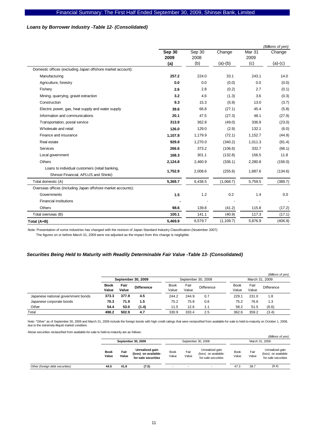# *Loans by Borrower Industry -Table 12- (Consolidated)*

|                                                                                        | (Billions of yen) |                |            |                |           |  |  |  |  |
|----------------------------------------------------------------------------------------|-------------------|----------------|------------|----------------|-----------|--|--|--|--|
|                                                                                        | Sep 30<br>2009    | Sep 30<br>2008 | Change     | Mar 31<br>2009 | Change    |  |  |  |  |
|                                                                                        | (a)               | (b)            | $(a)-(b)$  | (c)            | $(a)-(c)$ |  |  |  |  |
| Domestic offices (excluding Japan offshore market account):                            |                   |                |            |                |           |  |  |  |  |
| Manufacturing                                                                          | 257.2             | 224.0          | 33.1       | 243.1          | 14.0      |  |  |  |  |
| Agriculture, forestry                                                                  | 0.0               | 0.0            | (0.0)      | 0.0            | (0.0)     |  |  |  |  |
| Fishery                                                                                | 2.6               | 2.8            | (0.2)      | 2.7            | (0.1)     |  |  |  |  |
| Mining, quarrying, gravel extraction                                                   | 3.2               | 4.6            | (1.3)      | 3.6            | (0.3)     |  |  |  |  |
| Construction                                                                           | 9.3               | 15.3           | (5.9)      | 13.0           | (3.7)     |  |  |  |  |
| Electric power, gas, heat supply and water supply                                      | 39.6              | 66.8           | (27.1)     | 45.4           | (5.8)     |  |  |  |  |
| Information and communications                                                         | 20.1              | 47.5           | (27.3)     | 48.1           | (27.9)    |  |  |  |  |
| Transportation, postal service                                                         | 313.9             | 362.9          | (49.0)     | 336.9          | (23.0)    |  |  |  |  |
| Wholesale and retail                                                                   | 126.0             | 129.0          | (2.9)      | 132.1          | (6.0)     |  |  |  |  |
| Finance and insurance                                                                  | 1,107.8           | 1,179.9        | (72.1)     | 1,152.7        | (44.9)    |  |  |  |  |
| Real estate                                                                            | 929.8             | 1,270.0        | (340.2)    | 1,011.3        | (81.4)    |  |  |  |  |
| Services                                                                               | 266.6             | 373.2          | (106.6)    | 332.7          | (66.1)    |  |  |  |  |
| Local government                                                                       | 168.3             | 301.1          | (132.8)    | 156.5          | 11.8      |  |  |  |  |
| Others                                                                                 | 2,124.8           | 2,460.9        | (336.1)    | 2,280.8        | (156.0)   |  |  |  |  |
| Loans to individual customers (retail banking,<br>Shinsei Financial, APLUS and Shinki) | 1,752.9           | 2,008.6        | (255.6)    | 1,887.6        | (134.6)   |  |  |  |  |
| Total domestic (A)                                                                     | 5,369.7           | 6,438.5        | (1,068.7)  | 5,759.5        | (389.7)   |  |  |  |  |
| Overseas offices (including Japan offshore market accounts):                           |                   |                |            |                |           |  |  |  |  |
| Governments                                                                            | 1.5               | 1.2            | 0.2        | 1.4            | 0.0       |  |  |  |  |
| <b>Financial institutions</b>                                                          |                   |                |            |                |           |  |  |  |  |
| Others                                                                                 | 98.6              | 139.8          | (41.2)     | 115.8          | (17.2)    |  |  |  |  |
| Total overseas (B)                                                                     | 100.1             | 141.1          | (40.9)     | 117.3          | (17.1)    |  |  |  |  |
| Total (A+B)                                                                            | 5,469.9           | 6,579.7        | (1, 109.7) | 5,876.9        | (406.9)   |  |  |  |  |

Note: Presentation of some industries has changed with the revision of Japan Standard Industry Classification (November 2007).

The figures on or before March 31, 2009 were not adjusted as the impact from this change is negligible.

### *Securities Being Held to Maturity with Readily Determinable Fair Value -Table 13- (Consolidated)*

|                                    |                      |               |                   |                      |                    |            |                      |               | (Billions of yen) |  |
|------------------------------------|----------------------|---------------|-------------------|----------------------|--------------------|------------|----------------------|---------------|-------------------|--|
|                                    | September 30, 2009   |               |                   |                      | September 30, 2008 |            | March 31, 2009       |               |                   |  |
|                                    | <b>Book</b><br>Value | Fair<br>Value | <b>Difference</b> | <b>Book</b><br>Value | Fair<br>Value      | Difference | <b>Book</b><br>Value | Fair<br>Value | Difference        |  |
| Japanese national government bonds | 373.3                | 377.9         | 4.5               | 244.2                | 244.9              | 0.7        | 229.1                | 231.0         | 1.8               |  |
| Japanese corporate bonds           | 70.3                 | 71.9          | 1.5               | 75.2                 | 75.8               | 0.6        | 75.2                 | 76.6          | 1.3               |  |
| Other                              | 54.4                 | 53.0          | (1.4)             | 11.5                 | 12.6               | 1.1        | 58.2                 | 51.5          | (6.6)             |  |
| Total                              | 498.2                | 502.9         | 4.7               | 330.9                | 333.4              | 2.5        | 362.6                | 359.2         | (3.4)             |  |

Note: "Other" as of September 30, 2009 and March 31, 2009 include the foreign bonds with high credit ratings that were reclassified from available-for-sale to held-to-maturity on October 1, 2008, due to the extremely illiquid market condition.

Above securities reclassified from available-for-sale to held-to-maturity are as follows:

|                                 |                      |                    |                                                                |                    |               |                                                                |                      |                | (Billions of yen)                                              |  |  |
|---------------------------------|----------------------|--------------------|----------------------------------------------------------------|--------------------|---------------|----------------------------------------------------------------|----------------------|----------------|----------------------------------------------------------------|--|--|
|                                 |                      | September 30, 2009 |                                                                | September 30, 2008 |               |                                                                |                      | March 31, 2009 |                                                                |  |  |
|                                 | <b>Book</b><br>Value | Fair<br>Value      | Unrealized gain<br>(loss) on available-<br>for-sale securities | Book<br>Value      | Fair<br>Value | Unrealized gain<br>(loss) on available-<br>for-sale securities | <b>Book</b><br>Value | Fair<br>Value  | Unrealized gain<br>(loss) on available-<br>for-sale securities |  |  |
| Other (foreign debt securities) | 44.5                 | 41.8               | (7.5)                                                          |                    | $\sim$        | $\overline{\phantom{0}}$                                       | 47.3                 | 38.7           | (8.4)                                                          |  |  |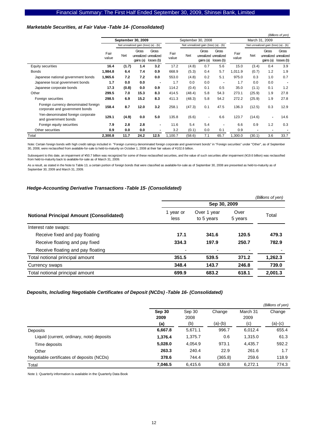# *Marketable Securities, at Fair Value -Table 14- (Consolidated)*

|                                                                        |               |       |                                      |                                              |               |                    |                    |                                              |                |        |                                      | (Billions of yen)                            |
|------------------------------------------------------------------------|---------------|-------|--------------------------------------|----------------------------------------------|---------------|--------------------|--------------------|----------------------------------------------|----------------|--------|--------------------------------------|----------------------------------------------|
|                                                                        |               |       | September 30, 2009                   |                                              |               | September 30, 2008 |                    |                                              | March 31, 2009 |        |                                      |                                              |
|                                                                        |               |       | Net unrealized gain (loss) (a) - (b) |                                              |               |                    |                    | Net unrealized gain (loss) (a) - (b)         |                |        | Net unrealized gain (loss) (a) - (b) |                                              |
|                                                                        | Fair<br>value | Net   | Gross<br>qains (a)                   | Gross<br>unrealized unrealized<br>losses (b) | Fair<br>value | Net                | Gross<br>qains (a) | Gross<br>unrealized unrealized<br>losses (b) | Fair<br>value  | Net    | Gross<br>qains (a)                   | Gross<br>unrealized unrealized<br>losses (b) |
| <b>Equity securities</b>                                               | 16.4          | (1.7) | 1.4                                  | 3.2                                          | 17.2          | (4.8)              | 0.7                | 5.6                                          | 15.0           | (3.4)  | 0.4                                  | 3.9                                          |
| <b>Bonds</b>                                                           | 1,984.8       | 6.4   | 7.4                                  | 0.9                                          | 668.9         | (5.3)              | 0.4                | 5.7                                          | 1,011.9        | (0.7)  | 1.2                                  | 1.9                                          |
| Japanese national government bonds                                     | 1,965.6       | 7.2   | 7.2                                  | 0.0                                          | 553.0         | (4.8)              | 0.2                | 5.1                                          | 975.0          | 0.3    | 1.0                                  | 0.7                                          |
| Japanese local government bonds                                        | 1.7           | 0.0   | 0.0                                  | $\blacksquare$                               | 1.7           | 0.0                | 0.0                | $\blacksquare$                               | 1.7            | 0.0    | 0.0                                  | $\overline{\phantom{a}}$                     |
| Japanese corporate bonds                                               | 17.3          | (0.8) | 0.0                                  | 0.9                                          | 114.2         | (0.4)              | 0.1                | 0.5                                          | 35.0           | (1.1)  | 0.1                                  | 1.2                                          |
| Other                                                                  | 299.5         | 7.0   | 15.3                                 | 8.3                                          | 414.5         | (48.4)             | 5.8                | 54.3                                         | 273.1          | (25.9) | 1.9                                  | 27.8                                         |
| Foreign securities                                                     | 298.5         | 6.9   | 15.2                                 | 8.3                                          | 411.3         | (48.3)             | 5.8                | 54.2                                         | 272.2          | (25.9) | 1.9                                  | 27.8                                         |
| Foreign currency denominated foreign<br>corporate and government bonds | 158.4         | 8.7   | 12.0                                 | 3.2                                          | 258.1         | (47.3)             | 0.1                | 47.5                                         | 136.3          | (12.5) | 0.3                                  | 12.9                                         |
| Yen-denominated foreign corporate<br>and government bonds              | 129.1         | (4.9) | 0.0                                  | 5.0                                          | 135.8         | (6.6)              | ٠                  | 6.6                                          | 123.7          | (14.6) |                                      | 14.6                                         |
| Foreign equity securities                                              | 7.9           | 2.8   | 2.8                                  | $\blacksquare$                               | 11.6          | 5.4                | 5.4                | $\blacksquare$                               | 6.6            | 0.9    | 1.2                                  | 0.3                                          |
| Other securities                                                       | 0.9           | 0.0   | 0.0                                  |                                              | 3.2           | (0.1)              | 0.0                | 0.1                                          | 0.9            |        |                                      |                                              |
| Total                                                                  | 2,300.8       | 11.7  | 24.2                                 | 12.5                                         | 1,100.7       | (58.6)             | 7.1                | 65.7                                         | 1,300.0        | (30.1) | 3.6                                  | 33.7                                         |

Note: Certain foreign bonds with high credit ratings included in "Foreign currency denominated foreign corporate and government bonds" in "Foreign securities" under "Other", as of September 30, 2008, were reclassified from available-for-sale to held-to-maturity on October 1, 2008 at their fair values of \102.6 billion.

Subsequent to this date, an impairment of ¥50.7 billion was recognized for some of these reclassified securities, and the value of such securities after impairment (¥19.6 billion) was reclassified from held-to-maturity back to available-for-sale as of March 31, 2009.

As a result, as stated in the Note to Table 13, a certain portion of foreign bonds that were classified as available-for-sale as of September 30, 2008 are presented as held-to-maturity as of September 30, 2009 and March 31, 2009.

### *Hedge-Accounting Derivative Transactions -Table 15- (Consolidated)*

|                                                 |                   |                           |                 | (Billions of yen) |  |  |  |
|-------------------------------------------------|-------------------|---------------------------|-----------------|-------------------|--|--|--|
|                                                 | Sep 30, 2009      |                           |                 |                   |  |  |  |
| <b>Notional Principal Amount (Consolidated)</b> | 1 year or<br>less | Over 1 year<br>to 5 years | Over<br>5 years | Total             |  |  |  |
| Interest rate swaps:                            |                   |                           |                 |                   |  |  |  |
| Receive fixed and pay floating                  | 17.1              | 341.6                     | 120.5           | 479.3             |  |  |  |
| Receive floating and pay fixed                  | 334.3             | 197.9                     | 250.7           | 782.9             |  |  |  |
| Receive floating and pay floating               |                   |                           |                 |                   |  |  |  |
| Total notional principal amount                 | 351.5             | 539.5                     | 371.2           | 1,262.3           |  |  |  |
| Currency swaps                                  | 348.4             | 143.7                     | 246.8           | 739.0             |  |  |  |
| Total notional principal amount                 | 699.9             | 683.2                     | 618.1           | 2.001.3           |  |  |  |

### *Deposits, Including Negotiable Certificates of Deposit (NCDs) -Table 16- (Consolidated)*

|                                            |         |         |         |          | (Billions of yen) |
|--------------------------------------------|---------|---------|---------|----------|-------------------|
|                                            | Sep 30  | Sep 30  | Change  | March 31 | Change            |
|                                            | 2009    | 2008    |         | 2009     |                   |
|                                            | (a)     | (b)     | (a)-(b) | (c)      | $(a)-(c)$         |
| Deposits                                   | 6,667.8 | 5,671.1 | 996.7   | 6,012.4  | 655.4             |
| Liquid (current, ordinary, note) deposits  | 1,376.4 | 1,375.7 | 0.6     | 1,315.0  | 61.3              |
| Time deposits                              | 5,028.0 | 4.054.9 | 973.1   | 4.435.7  | 592.2             |
| Other                                      | 263.3   | 240.4   | 22.9    | 261.6    | 1.7               |
| Negotiable certificates of deposits (NCDs) | 378.6   | 744.4   | (365.8) | 259.6    | 118.9             |
| Total                                      | 7.046.5 | 6,415.6 | 630.8   | 6.272.1  | 774.3             |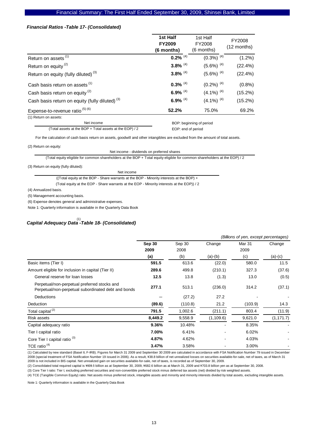### *Financial Ratios -Table 17- (Consolidated)*

|                                                            | 1st Half<br><b>FY2009</b><br>(6 months) | 1st Half<br>FY2008<br>(6 months) | FY2008<br>$(12$ months) |
|------------------------------------------------------------|-----------------------------------------|----------------------------------|-------------------------|
| Return on assets <sup>(1)</sup>                            | $0.2\%$ <sup>(4)</sup>                  | $(0.3\%)$ <sup>(4)</sup>         | $(1.2\%)$               |
| Return on equity <sup>(2)</sup>                            | $3.8\%$ <sup>(4)</sup>                  | $(5.6\%)$ <sup>(4)</sup>         | (22.4%)                 |
| Return on equity (fully diluted) <sup>(3)</sup>            | $3.8\%$ <sup>(4)</sup>                  | $(5.6\%)$ <sup>(4)</sup>         | (22.4%)                 |
| Cash basis return on assets (1)                            | $0.3\%$ <sup>(4)</sup>                  | $(0.2\%)$ <sup>(4)</sup>         | (0.8%)                  |
| Cash basis return on equity <sup>(2)</sup>                 | 6.9% $(4)$                              | $(4.1\%)$ <sup>(4)</sup>         | $(15.2\%)$              |
| Cash basis return on equity (fully diluted) <sup>(3)</sup> | 6.9% $(4)$                              | $(4.1\%)$ <sup>(4)</sup>         | $(15.2\%)$              |
| Expense-to-revenue ratio $(5)$ $(6)$                       | 52.2%                                   | 75.0%                            | 69.2%                   |
| (1) Return on assets:                                      |                                         |                                  |                         |

Net income

 BOP: beginning of period EOP: end of period

(Total assets at the BOP + Total assets at the EOP) / 2

For the calculation of cash basis return on assets, goodwill and other intangibles are excluded from the amount of total assets.

(2) Return on equity:

Net income - dividends on preferred shares

(Total equity eligible for common shareholders at the BOP + Total equity eligible for common shareholders at the EOP) / 2

(3) Return on equity (fully diluted):

| Net income                                                                               |
|------------------------------------------------------------------------------------------|
| ((Total equity at the BOP - Share warrants at the BOP - Minority interests at the BOP) + |

(Total equity at the EOP - Share warrants at the EOP - Minority interests at the EOP)) / 2

(4) Annualized basis.

(5) Management accounting basis.

(6) Expense denotes general and administrative expenses.

Note 1: Quarterly information is available in the Quarterly Data Book

# *Capital Adequacy Data -Table 18- (Consolidated)*  (1)

|                                                                                                     |         |         |            | (Billions of yen, except percentages) |            |
|-----------------------------------------------------------------------------------------------------|---------|---------|------------|---------------------------------------|------------|
|                                                                                                     | Sep 30  | Sep 30  | Change     | Mar 31                                | Change     |
|                                                                                                     | 2009    | 2008    |            | 2009                                  |            |
|                                                                                                     | (a)     | (b)     | $(a)-(b)$  | (c)                                   | $(a)-(c)$  |
| Basic items (Tier I)                                                                                | 591.5   | 613.6   | (22.0)     | 580.0                                 | 11.5       |
| Amount eligible for inclusion in capital (Tier II)                                                  | 289.6   | 499.8   | (210.1)    | 327.3                                 | (37.6)     |
| General reserve for loan losses                                                                     | 12.5    | 13.8    | (1.3)      | 13.0                                  | (0.5)      |
| Perpetual/non-perpetual preferred stocks and<br>Perpetual/non-perpetual subordinated debt and bonds | 277.1   | 513.1   | (236.0)    | 314.2                                 | (37.1)     |
| <b>Deductions</b>                                                                                   |         | (27.2)  | 27.2       |                                       |            |
| Deduction                                                                                           | (89.6)  | (110.8) | 21.2       | (103.9)                               | 14.3       |
| Total capital <sup>(2)</sup>                                                                        | 791.5   | 1,002.6 | (211.1)    | 803.4                                 | (11.9)     |
| Risk assets                                                                                         | 8,449.2 | 9,558.9 | (1, 109.6) | 9,621.0                               | (1, 171.7) |
| Capital adequacy ratio                                                                              | 9.36%   | 10.48%  |            | 8.35%                                 |            |
| Tier I capital ratio                                                                                | 7.00%   | 6.41%   |            | 6.02%                                 |            |
| Core Tier I capital ratio <sup>(3)</sup>                                                            | 4.87%   | 4.62%   | ۰          | 4.03%                                 |            |
| TCE ratio $(4)$                                                                                     | 3.47%   | 3.58%   |            | 3.00%                                 |            |

(1) Calculated by new standard (Basel II, F-IRB). Figures for March 31 2009 and September 30 2009 are calculated in accordance with FSA Notification Number 79 issued in December 2008 (special treatment of FSA Notification Number 19 issued in 2006). As a result, \38.8 billion of net unrealized losses on securities available-for-sale, net of taxes, as of March 31 2009 is not included in BIS capital. Net unrealized gain on securities available-for-sale, net of taxes, is recorded as of September 30, 2009.

(2) Consolidated total required capital is ¥609.5 billion as at September 30, 2009, ¥682.6 billion as at March 31, 2009 and ¥703.8 billion yen as at September 30, 2008.

(3) Core Tier I ratio: Tier I, excluding preferred securities and non-convertible preferred stock minus deferred tax assets (net) divided by risk weighted assets.

(4) TCE (Tangible Common Equity) ratio: Net assets minus preferred stock, intangible assets and minority and minority interests divided by total assets, excluding intangible assets.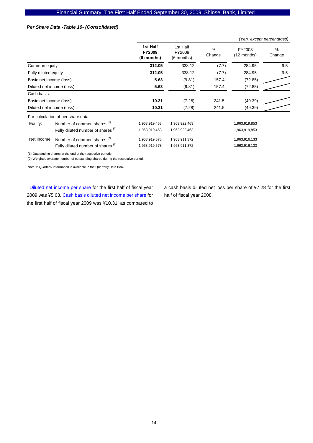### *Per Share Data -Table 19- (Consolidated)*

|                           |                                               |                                         |                                  |                         |                         | (Yen, except percentages) |
|---------------------------|-----------------------------------------------|-----------------------------------------|----------------------------------|-------------------------|-------------------------|---------------------------|
|                           |                                               | 1st Half<br><b>FY2009</b><br>(6 months) | 1st Half<br>FY2008<br>(6 months) | $\frac{0}{0}$<br>Change | FY2008<br>$(12$ months) | %<br>Change               |
| Common equity             |                                               | 312.05                                  | 338.12                           | (7.7)                   | 284.95                  | 9.5                       |
| Fully diluted equity      |                                               | 312.05                                  | 338.12                           | (7.7)                   | 284.95                  | 9.5                       |
| Basic net income (loss)   |                                               | 5.63                                    | (9.81)                           | 157.4                   | (72.85)                 |                           |
| Diluted net income (loss) |                                               | 5.63                                    | (9.81)                           | 157.4                   | (72.85)                 |                           |
| Cash basis:               |                                               |                                         |                                  |                         |                         |                           |
| Basic net income (loss)   |                                               | 10.31                                   | (7.28)                           | 241.5                   | (49.39)                 |                           |
| Diluted net income (loss) |                                               | 10.31                                   | (7.28)                           | 241.5                   | (49.39)                 |                           |
|                           | For calculation of per share data:            |                                         |                                  |                         |                         |                           |
| Equity:                   | Number of common shares <sup>(1)</sup>        | 1,963,919,453                           | 1,963,922,463                    |                         | 1,963,919,853           |                           |
|                           | Fully diluted number of shares <sup>(1)</sup> | 1,963,919,453                           | 1,963,922,463                    |                         | 1,963,919,853           |                           |
| Net income:               | Number of common shares <sup>(2)</sup>        | 1,963,919,578                           | 1,963,911,372                    |                         | 1,963,916,133           |                           |
|                           | Fully diluted number of shares <sup>(2)</sup> | 1,963,919,578                           | 1,963,911,372                    |                         | 1,963,916,133           |                           |

(1) Outstanding shares at the end of the respective periods.

(2) Weighted average number of outstanding shares during the respective period.

Note 1: Quarterly information is available in the Quarterly Data Book

Diluted net income per share for the first half of fiscal year 2009 was ¥5.63. Cash basis diluted net income per share for the first half of fiscal year 2009 was ¥10.31, as compared to

a cash basis diluted net loss per share of ¥7.28 for the first half of fiscal year 2008.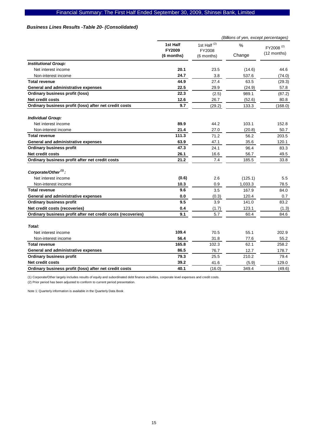# *Business Lines Results -Table 20- (Consolidated)*

|                                                              |                           |                                   | (Billions of yen, except percentages) |                                      |
|--------------------------------------------------------------|---------------------------|-----------------------------------|---------------------------------------|--------------------------------------|
|                                                              | 1st Half<br><b>FY2009</b> | 1st Half <sup>(2)</sup><br>FY2008 | $\frac{0}{0}$                         | FY2008 <sup>(2)</sup><br>(12 months) |
|                                                              | (6 months)                | $(6$ months)                      | Change                                |                                      |
| <b>Institutional Group:</b>                                  |                           |                                   |                                       |                                      |
| Net interest income                                          | 20.1                      | 23.5                              | (14.6)                                | 44.6                                 |
| Non-interest income                                          | 24.7                      | 3.8                               | 537.6                                 | (74.0)                               |
| <b>Total revenue</b>                                         | 44.9                      | 27.4                              | 63.5                                  | (29.3)                               |
| General and administrative expenses                          | 22.5                      | 29.9                              | (24.9)                                | 57.8                                 |
| <b>Ordinary business profit (loss)</b>                       | 22.3                      | (2.5)                             | 989.1                                 | (87.2)                               |
| <b>Net credit costs</b>                                      | 12.6                      | 26.7                              | (52.6)                                | 80.8                                 |
| Ordinary business profit (loss) after net credit costs       | 9.7                       | (29.2)                            | 133.3                                 | (168.0)                              |
| <b>Individual Group:</b>                                     |                           |                                   |                                       |                                      |
| Net interest income                                          | 89.9                      | 44.2                              | 103.1                                 | 152.8                                |
| Non-interest income                                          | 21.4                      | 27.0                              | (20.8)                                | 50.7                                 |
| <b>Total revenue</b>                                         | 111.3                     | 71.2                              | 56.2                                  | 203.5                                |
| General and administrative expenses                          | 63.9                      | 47.1                              | 35.6                                  | 120.1                                |
| <b>Ordinary business profit</b>                              | 47.3                      | 24.1                              | 96.4                                  | 83.3                                 |
| <b>Net credit costs</b>                                      | 26.1                      | 16.6                              | 56.7                                  | 49.5                                 |
| Ordinary business profit after net credit costs              | 21.2                      | 7.4                               | 185.5                                 | 33.8                                 |
| Corporate/Other <sup>(1)</sup> :                             |                           |                                   |                                       |                                      |
| Net interest income                                          | (0.6)                     | 2.6                               | (125.1)                               | 5.5                                  |
| Non-interest income                                          | 10.3                      | 0.9                               | 1,033.3                               | 78.5                                 |
| <b>Total revenue</b>                                         | 9.6                       | 3.5                               | 167.9                                 | 84.0                                 |
| General and administrative expenses                          | 0.0                       | (0.3)                             | 120.4                                 | 0.7                                  |
| <b>Ordinary business profit</b>                              | 9.5                       | 3.9                               | 141.0                                 | 83.2                                 |
| Net credit costs (recoveries)                                | 0.4                       | (1.7)                             | 123.1                                 | (1.3)                                |
| Ordinary business profit after net credit costs (recoveries) | 9.1                       | 5.7                               | 60.4                                  | 84.6                                 |
| Total:                                                       |                           |                                   |                                       |                                      |
| Net interest income                                          | 109.4                     | 70.5                              | 55.1                                  | 202.9                                |
| Non-interest income                                          | 56.4                      | 31.8                              | 77.6                                  | 55.2                                 |
| <b>Total revenue</b>                                         | 165.8                     | 102.3                             | 62.1                                  | 258.2                                |
| General and administrative expenses                          | 86.5                      | 76.7                              | 12.7                                  | 178.7                                |
| <b>Ordinary business profit</b>                              | 79.3                      | 25.5                              | 210.2                                 | 79.4                                 |
| <b>Net credit costs</b>                                      | 39.2                      | 41.6                              | (5.9)                                 | 129.0                                |
| Ordinary business profit (loss) after net credit costs       | 40.1                      | (16.0)                            | 349.4                                 | (49.6)                               |

(1) Corporate/Other largely includes results of equity and subordinated debt finance activities, corporate level expenses and credit costs.

(2) Prior period has been adjusted to conform to current period presentation.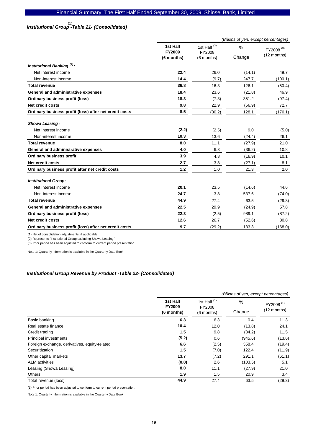# *Institutional Group -Table 21- (Consolidated)*  (1)

|                                                        |                                  |                                                 | (Billions of yen, except percentages) |                                      |
|--------------------------------------------------------|----------------------------------|-------------------------------------------------|---------------------------------------|--------------------------------------|
|                                                        | 1st Half<br>FY2009<br>(6 months) | 1st Half <sup>(3)</sup><br>FY2008<br>(6 months) | $\frac{0}{0}$<br>Change               | FY2008 <sup>(3)</sup><br>(12 months) |
| Institutional Banking <sup>(2)</sup> :                 |                                  |                                                 |                                       |                                      |
| Net interest income                                    | 22.4                             | 26.0                                            | (14.1)                                | 49.7                                 |
| Non-interest income                                    | 14.4                             | (9.7)                                           | 247.7                                 | (100.1)                              |
| <b>Total revenue</b>                                   | 36.8                             | 16.3                                            | 126.1                                 | (50.4)                               |
| General and administrative expenses                    | 18.4                             | 23.6                                            | (21.8)                                | 46.9                                 |
| <b>Ordinary business profit (loss)</b>                 | 18.3                             | (7.3)                                           | 351.2                                 | (97.4)                               |
| Net credit costs                                       | 9.8                              | 22.9                                            | (56.9)                                | 72.7                                 |
| Ordinary business profit (loss) after net credit costs | 8.5                              | (30.2)                                          | 128.1                                 | (170.1)                              |
| Showa Leasing:                                         |                                  |                                                 |                                       |                                      |
| Net interest income                                    | (2.2)                            | (2.5)                                           | 9.0                                   | (5.0)                                |
| Non-interest income                                    | 10.3                             | 13.6                                            | (24.4)                                | 26.1                                 |
| <b>Total revenue</b>                                   | 8.0                              | 11.1                                            | (27.9)                                | 21.0                                 |
| General and administrative expenses                    | 4.0                              | 6.3                                             | (36.2)                                | 10.8                                 |
| <b>Ordinary business profit</b>                        | 3.9                              | 4.8                                             | (16.9)                                | 10.1                                 |
| <b>Net credit costs</b>                                | 2.7                              | 3.8                                             | (27.1)                                | 8.1                                  |
| Ordinary business profit after net credit costs        | 1.2                              | 1.0                                             | 21.3                                  | 2.0                                  |
| <b>Institutional Group:</b>                            |                                  |                                                 |                                       |                                      |
| Net interest income                                    | 20.1                             | 23.5                                            | (14.6)                                | 44.6                                 |
| Non-interest income                                    | 24.7                             | 3.8                                             | 537.6                                 | (74.0)                               |
| <b>Total revenue</b>                                   | 44.9                             | 27.4                                            | 63.5                                  | (29.3)                               |
| General and administrative expenses                    | 22.5                             | 29.9                                            | (24.9)                                | 57.8                                 |
| <b>Ordinary business profit (loss)</b>                 | 22.3                             | (2.5)                                           | 989.1                                 | (87.2)                               |
| Net credit costs                                       | 12.6                             | 26.7                                            | (52.6)                                | 80.8                                 |
| Ordinary business profit (loss) after net credit costs | 9.7                              | (29.2)                                          | 133.3                                 | (168.0)                              |

(1) Net of consolidation adjustments, if applicable.

(2) Represents "Institutional Group excluding Showa Leasing."

(3) Prior period has been adjusted to conform to current period presentation.

Note 1: Quarterly information is available in the Quarterly Data Book

### *Institutional Group Revenue by Product -Table 22- (Consolidated)*

|                                               |                                         | (Billions of yen, except percentages)           |             |                                        |  |
|-----------------------------------------------|-----------------------------------------|-------------------------------------------------|-------------|----------------------------------------|--|
|                                               | 1st Half<br><b>FY2009</b><br>(6 months) | 1st Half <sup>(1)</sup><br>FY2008<br>(6 months) | %<br>Change | FY2008 <sup>(1)</sup><br>$(12$ months) |  |
| Basic banking                                 | 6.3                                     | 6.3                                             | 0.4         | 11.3                                   |  |
| Real estate finance                           | 10.4                                    | 12.0                                            | (13.8)      | 24.1                                   |  |
| Credit trading                                | 1.5                                     | 9.8                                             | (84.2)      | 11.5                                   |  |
| Principal investments                         | (5.2)                                   | 0.6                                             | (945.6)     | (13.6)                                 |  |
| Foreign exchange, derivatives, equity-related | 6.6                                     | (2.5)                                           | 358.4       | (19.4)                                 |  |
| Securitization                                | 1.5                                     | (7.0)                                           | 122.4       | (11.9)                                 |  |
| Other capital markets                         | 13.7                                    | (7.2)                                           | 291.1       | (61.1)                                 |  |
| <b>ALM</b> activities                         | (0.0)                                   | 2.6                                             | (103.5)     | 5.1                                    |  |
| Leasing (Showa Leasing)                       | 8.0                                     | 11.1                                            | (27.9)      | 21.0                                   |  |
| Others                                        | 1.9                                     | 1.5                                             | 20.9        | 3.4                                    |  |
| Total revenue (loss)                          | 44.9                                    | 27.4                                            | 63.5        | (29.3)                                 |  |

(1) Prior period has been adjusted to conform to current period presentation.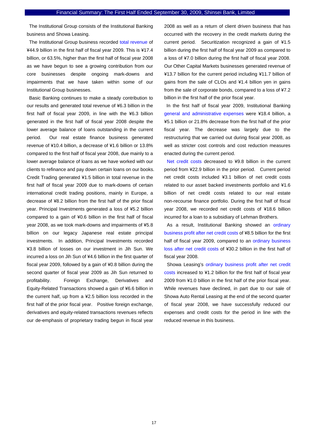The Institutional Group consists of the Institutional Banking business and Showa Leasing.

The Institutional Group business recorded total revenue of ¥44.9 billion in the first half of fiscal year 2009. This is ¥17.4 billion, or 63.5%, higher than the first half of fiscal year 2008 as we have begun to see a growing contribution from our core businesses despite ongoing mark-downs and impairments that we have taken within some of our Institutional Group businesses.

Basic Banking continues to make a steady contribution to our results and generated total revenue of ¥6.3 billion in the first half of fiscal year 2009, in line with the ¥6.3 billion generated in the first half of fiscal year 2008 despite the lower average balance of loans outstanding in the current period. Our real estate finance business generated revenue of ¥10.4 billion, a decrease of ¥1.6 billion or 13.8% compared to the first half of fiscal year 2008, due mainly to a lower average balance of loans as we have worked with our clients to refinance and pay down certain loans on our books. Credit Trading generated ¥1.5 billion in total revenue in the first half of fiscal year 2009 due to mark-downs of certain international credit trading positions, mainly in Europe, a decrease of ¥8.2 billion from the first half of the prior fiscal year. Principal Investments generated a loss of ¥5.2 billion compared to a gain of ¥0.6 billion in the first half of fiscal year 2008, as we took mark-downs and impairments of ¥5.8 billion on our legacy Japanese real estate principal investments. In addition, Principal Investments recorded ¥3.8 billion of losses on our investment in Jih Sun. We incurred a loss on Jih Sun of ¥4.6 billion in the first quarter of fiscal year 2009, followed by a gain of ¥0.8 billion during the second quarter of fiscal year 2009 as Jih Sun returned to profitability. Foreign Exchange, Derivatives and Equity-Related Transactions showed a gain of ¥6.6 billion in the current half, up from a ¥2.5 billion loss recorded in the first half of the prior fiscal year. Positive foreign exchange, derivatives and equity-related transactions revenues reflects our de-emphasis of proprietary trading begun in fiscal year

2008 as well as a return of client driven business that has occurred with the recovery in the credit markets during the current period. Securitization recognized a gain of ¥1.5 billion during the first half of fiscal year 2009 as compared to a loss of ¥7.0 billion during the first half of fiscal year 2008. Our Other Capital Markets businesses generated revenue of ¥13.7 billion for the current period including ¥11.7 billion of gains from the sale of CLOs and ¥1.4 billion yen in gains from the sale of corporate bonds, compared to a loss of ¥7.2 billion in the first half of the prior fiscal year.

In the first half of fiscal year 2009, Institutional Banking general and administrative expenses were ¥18.4 billion, a ¥5.1 billion or 21.8% decrease from the first half of the prior fiscal year. The decrease was largely due to the restructuring that we carried out during fiscal year 2008, as well as stricter cost controls and cost reduction measures enacted during the current period.

Net credit costs decreased to ¥9.8 billion in the current period from ¥22.9 billion in the prior period. Current period net credit costs included ¥3.1 billion of net credit costs related to our asset backed investments portfolio and ¥1.6 billion of net credit costs related to our real estate non-recourse finance portfolio. During the first half of fiscal year 2008, we recorded net credit costs of ¥18.6 billion incurred for a loan to a subsidiary of Lehman Brothers.

As a result, Institutional Banking showed an ordinary business profit after net credit costs of ¥8.5 billion for the first half of fiscal year 2009, compared to an ordinary business loss after net credit costs of ¥30.2 billion in the first half of fiscal year 2008.

Showa Leasing's ordinary business profit after net credit costs increased to ¥1.2 billion for the first half of fiscal year 2009 from ¥1.0 billion in the first half of the prior fiscal year. While revenues have declined, in part due to our sale of Showa Auto Rental Leasing at the end of the second quarter of fiscal year 2008, we have successfully reduced our expenses and credit costs for the period in line with the reduced revenue in this business.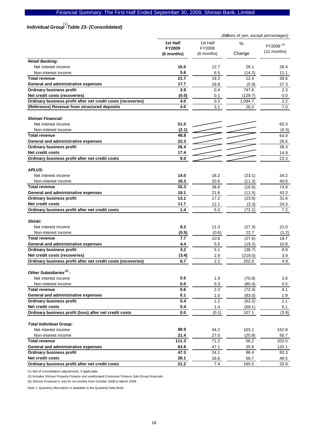# Financial Summary: The First Half Ended September 30, 2009, Shinsei Bank, Limited

# *Individual Group -Table 23- (Consolidated)*  (1)

|                                                              | (Billions of yen, except percentages) |            |         |                                        |
|--------------------------------------------------------------|---------------------------------------|------------|---------|----------------------------------------|
|                                                              | 1st Half                              | 1st Half   | %       |                                        |
|                                                              | <b>FY2009</b>                         | FY2008     |         | FY2008 <sup>(3)</sup><br>$(12$ months) |
|                                                              | (6 months)                            | (6 months) | Change  |                                        |
| <b>Retail Banking:</b>                                       |                                       |            |         |                                        |
| Net interest income                                          | 16.0                                  | 12.7       | 26.1    | 28.4                                   |
| Non-interest income                                          | 5.6                                   | 6.5        | (14.2)  | 11.1                                   |
| <b>Total revenue</b>                                         | 21.7                                  | 19.3       | 12.4    | 39.6                                   |
| General and administrative expenses                          | 17.7                                  | 18.8       | (5.9)   | 37.3                                   |
| <b>Ordinary business profit</b>                              | 3.9                                   | 0.4        | 747.6   | 2.3                                    |
| Net credit costs (recoveries)                                | (0.0)                                 | 0.1        | (129.7) | 0.0                                    |
| Ordinary business profit after net credit costs (recoveries) | 4.0                                   | 0.3        | 1,094.7 | $2.2^{\circ}$                          |
| (Reference) Revenue from structured deposits                 | 4.0                                   | 3.1        | 26.0    | 7.0                                    |
| <b>Shinsei Financial:</b>                                    |                                       |            |         |                                        |
| Net interest income                                          | 51.0                                  |            |         | 65.3                                   |
| Non-interest income                                          | (2.1)                                 |            |         | (0.3)                                  |
| <b>Total revenue</b>                                         | 48.8                                  |            |         | 64.9                                   |
| General and administrative expenses                          | 22.3                                  |            |         | 26.6                                   |
| <b>Ordinary business profit</b>                              | 26.4                                  |            |         | 38.3                                   |
| Net credit costs                                             | 17.4                                  |            |         | 14.9                                   |
| Ordinary business profit after net credit costs              | 9.0                                   |            |         | 23.3                                   |
| <b>APLUS:</b>                                                |                                       |            |         |                                        |
| Net interest income                                          | 14.0                                  | 18.2       | (23.1)  | 34.2                                   |
| Non-interest income                                          | 18.3                                  | 20.6       | (11.3)  | 40.6                                   |
| <b>Total revenue</b>                                         | 32.3                                  | 38.8       | (16.9)  | 74.9                                   |
| General and administrative expenses                          | 19.1                                  | 21.6       | (11.5)  | 43.3                                   |
| <b>Ordinary business profit</b>                              | 13.1                                  | 17.2       | (23.6)  | 31.6                                   |
| <b>Net credit costs</b>                                      | 11.7                                  | 12.1       | (3.3)   | 24.3                                   |
| Ordinary business profit after net credit costs              | 1.4                                   | 5.0        | (72.2)  | 7.2                                    |
|                                                              |                                       |            |         |                                        |
| <b>Shinki:</b><br>Net interest income                        | 8.2                                   | 11.3       | (27.3)  | 21.0                                   |
| Non-interest income                                          | (0.5)                                 | (0.6)      | 22.7    | (1.2)                                  |
| <b>Total revenue</b>                                         | 7.7                                   | 10.6       | (27.6)  | 19.7                                   |
| General and administrative expenses                          | 4.4                                   | 5.5        | (19.2)  | 10.8                                   |
| <b>Ordinary business profit</b>                              | 3.2                                   | 5.1        | (36.7)  | 8.9                                    |
| Net credit costs (recoveries)                                | (3.4)                                 | 2.9        | (219.0) | 3.9                                    |
| Ordinary business profit after net credit costs (recoveries) | 6.7                                   | 2.2        | 202.5   | 4.9                                    |
|                                                              |                                       |            |         |                                        |
| Other Subsidiaries <sup>(2)</sup> :                          |                                       |            |         |                                        |
| Net interest income                                          | 0.5                                   | 1.9        | (70.8)  | 3.6                                    |
| Non-interest income                                          | 0.0                                   | 0.3        | (80.4)  | 0.5                                    |
| <b>Total revenue</b>                                         | 0.6                                   | 2.3        | (72.4)  | 4.1                                    |
| General and administrative expenses                          | 0.1                                   | 1.0        | (83.0)  | 1.9                                    |
| <b>Ordinary business profit</b>                              | 0.4                                   | 1.2        | (63.2)  | 2.1                                    |
| Net credit costs                                             | 0.4                                   | 1.4        | (69.1)  | 6.1                                    |
| Ordinary business profit (loss) after net credit costs       | 0.0                                   | (0.1)      | 107.1   | (3.9)                                  |
| <b>Total Individual Group:</b>                               |                                       |            |         |                                        |
| Net interest income                                          | 89.9                                  | 44.2       | 103.1   | 152.8                                  |
| Non-interest income                                          | 21.4                                  | 27.0       | (20.8)  | 50.7                                   |
| <b>Total revenue</b>                                         | 111.3                                 | 71.2       | 56.2    | 203.5                                  |
| General and administrative expenses                          | 63.9                                  | 47.1       | 35.6    | 120.1                                  |
| <b>Ordinary business profit</b>                              | 47.3                                  | 24.1       | 96.4    | 83.3                                   |
| <b>Net credit costs</b>                                      | 26.1                                  | 16.6       | 56.7    | 49.5                                   |
| Ordinary business profit after net credit costs              | 21.2                                  | 7.4        | 185.5   | 33.8                                   |

(1) Net of consolidation adjustments, if applicable.

(2) Includes Shinsei Property Finance and unallocated Consumer Finance Sub-Group financials.

(3) Shinsei Financial is only for six months from October 2008 to March 2009.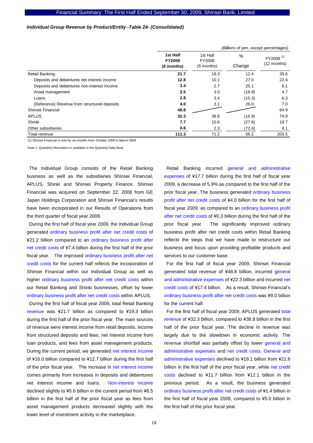### *Individual Group Revenue by Product/Entity -Table 24- (Consolidated)*

|                                              | (Billions of yen, except percentages)   |                                    |             |                                      |  |
|----------------------------------------------|-----------------------------------------|------------------------------------|-------------|--------------------------------------|--|
|                                              | 1st Half<br><b>FY2009</b><br>(6 months) | 1st Half<br>FY2008<br>$(6$ months) | %<br>Change | FY2008 <sup>(1)</sup><br>(12 months) |  |
| Retail Banking:                              | 21.7                                    | 19.3                               | 12.4        | 39.6                                 |  |
| Deposits and debentures net interest income  | 12.8                                    | 10.1                               | 27.0        | 22.4                                 |  |
| Deposits and debentures non-interest income  | 3.4                                     | 2.7                                | 25.1        | 6.1                                  |  |
| Asset management                             | 2.5                                     | 3.0                                | (16.9)      | 4.7                                  |  |
| Loans                                        | 2.8                                     | 3.4                                | (15.3)      | 6.3                                  |  |
| (Reference) Revenue from structured deposits | 4.0                                     | 3.1                                | 26.0        | 7.0                                  |  |
| Shinsei Financial                            | 48.8                                    |                                    |             | 64.9                                 |  |
| <b>APLUS</b>                                 | 32.3                                    | 38.8                               | (16.9)      | 74.9                                 |  |
| Shinki                                       | 7.7                                     | 10.6                               | (27.6)      | 19.7                                 |  |
| Other subsidiaries                           | 0.6                                     | 2.3                                | (72.4)      | 4.1                                  |  |
| Total revenue                                | 111.3                                   | 71.2                               | 56.2        | 203.5                                |  |

(1) Shinsei Financial is only for six months from October 2008 to March 2009.

Note 1: Quarterly information is available in the Quarterly Data Book

The Individual Group consists of the Retail Banking business as well as the subsidiaries Shinsei Financial, APLUS, Shinki and Shinsei Property Finance. Shinsei Financial was acquired on September 22, 2008 from GE Japan Holdings Corporation and Shinsei Financial's results have been incorporated in our Results of Operations from the third quarter of fiscal year 2008.

During the first half of fiscal year 2009, the Individual Group generated ordinary business profit after net credit costs of ¥21.2 billion compared to an ordinary business profit after net credit costs of ¥7.4 billion during the first half of the prior fiscal year. The improved ordinary business profit after net credit costs for the current half reflects the incorporation of Shinsei Financial within our Individual Group as well as higher ordinary business profit after net credit costs within our Retail Banking and Shinki businesses, offset by lower ordinary business profit after net credit costs within APLUS.

During the first half of fiscal year 2009, total Retail Banking revenue was ¥21.7 billion as compared to ¥19.3 billion during the first half of the prior fiscal year. The main sources of revenue were interest income from retail deposits, income from structured deposits and fees, net interest income from loan products, and fees from asset management products. During the current period, we generated net interest income of ¥16.0 billion compared to ¥12.7 billion during the first half of the prior fiscal year. The increase in net interest income comes primarily from increases in deposits and debentures net interest income and loans. Non-interest income declined slightly to ¥5.6 billion in the current period from ¥6.5 billion in the first half of the prior fiscal year as fees from asset management products decreased slightly with the lower level of investment activity in the marketplace.

Retail Banking incurred general and administrative expenses of ¥17.7 billion during the first half of fiscal year 2009, a decrease of 5.9% as compared to the first half of the prior fiscal year. The business generated ordinary business profit after net credit costs of ¥4.0 billion for the first half of fiscal year 2009, as compared to an ordinary business profit after net credit costs of ¥0.3 billion during the first half of the prior fiscal year. The significantly improved ordinary business profit after net credit costs within Retail Banking reflects the steps that we have made to restructure our business and focus upon providing profitable products and services to our customer base.

For the first half of fiscal year 2009, Shinsei Financial generated total revenue of ¥48.8 billion, incurred general and administrative expenses of ¥22.3 billion and incurred net credit costs of ¥17.4 billion. As a result, Shinsei Financial's ordinary business profit after net credit costs was ¥9.0 billion for the current half.

For the first half of fiscal year 2009, APLUS generated total revenue of ¥32.3 billion, compared to ¥38.8 billion in the first half of the prior fiscal year. The decline in revenue was largely due to the slowdown in economic activity. The revenue shortfall was partially offset by lower general and administrative expenses and net credit costs. General and administrative expenses declined to ¥19.1 billion from ¥21.6 billion in the first half of the prior fiscal year, while net credit costs declined to ¥11.7 billion from ¥12.1 billion in the previous period. As a result, the business generated ordinary business profit after net credit costs of ¥1.4 billion in the first half of fiscal year 2009, compared to ¥5.0 billion in the first half of the prior fiscal year.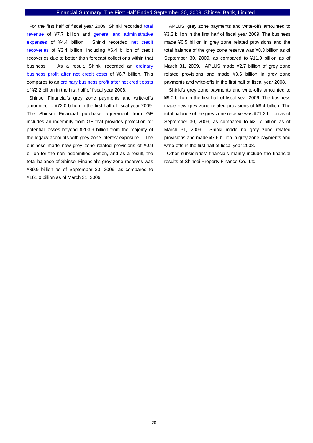For the first half of fiscal year 2009, Shinki recorded total revenue of ¥7.7 billion and general and administrative expenses of ¥4.4 billion. Shinki recorded net credit recoveries of ¥3.4 billion, including ¥6.4 billion of credit recoveries due to better than forecast collections within that business. As a result, Shinki recorded an ordinary business profit after net credit costs of ¥6.7 billion. This compares to an ordinary business profit after net credit costs of ¥2.2 billion in the first half of fiscal year 2008.

Shinsei Financial's grey zone payments and write-offs amounted to ¥72.0 billion in the first half of fiscal year 2009. The Shinsei Financial purchase agreement from GE includes an indemnity from GE that provides protection for potential losses beyond ¥203.9 billion from the majority of the legacy accounts with grey zone interest exposure. The business made new grey zone related provisions of ¥0.9 billion for the non-indemnified portion, and as a result, the total balance of Shinsei Financial's grey zone reserves was ¥89.9 billion as of September 30, 2009, as compared to ¥161.0 billion as of March 31, 2009.

APLUS' grey zone payments and write-offs amounted to ¥3.2 billion in the first half of fiscal year 2009. The business made ¥0.5 billion in grey zone related provisions and the total balance of the grey zone reserve was ¥8.3 billion as of September 30, 2009, as compared to ¥11.0 billion as of March 31, 2009. APLUS made ¥2.7 billion of grey zone related provisions and made ¥3.6 billion in grey zone payments and write-offs in the first half of fiscal year 2008.

Shinki's grey zone payments and write-offs amounted to ¥9.0 billion in the first half of fiscal year 2009. The business made new grey zone related provisions of ¥8.4 billion. The total balance of the grey zone reserve was ¥21.2 billion as of September 30, 2009, as compared to ¥21.7 billion as of March 31, 2009. Shinki made no grey zone related provisions and made ¥7.6 billion in grey zone payments and write-offs in the first half of fiscal year 2008.

Other subsidiaries' financials mainly include the financial results of Shinsei Property Finance Co., Ltd.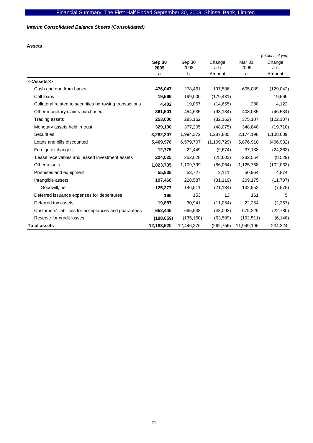# *Interim Consolidated Balance Sheets (Consolidated)*

**Assets** 

|                                                         |            |            |               |                   | (millions of yen) |
|---------------------------------------------------------|------------|------------|---------------|-------------------|-------------------|
|                                                         | Sep 30     | Sep 30     | Change        | Mar <sub>31</sub> | Change            |
|                                                         | 2009       | 2008<br>b  | a-b<br>Amount | 2009<br>с         | a-c<br>Amount     |
|                                                         | a          |            |               |                   |                   |
| < <assets>&gt;</assets>                                 |            |            |               |                   |                   |
| Cash and due from banks                                 | 476,047    | 278,461    | 197,586       | 605,089           | (129, 042)        |
| Call loans                                              | 19,569     | 199,000    | (179, 431)    |                   | 19,569            |
| Collateral related to securities borrowing transactions | 4,402      | 19,057     | (14, 655)     | 280               | 4,122             |
| Other monetary claims purchased                         | 361,501    | 454,635    | (93, 134)     | 408,035           | (46, 534)         |
| Trading assets                                          | 253,000    | 285,162    | (32, 162)     | 375,107           | (122, 107)        |
| Monetary assets held in trust                           | 329,130    | 377,205    | (48,075)      | 348,840           | (19, 710)         |
| <b>Securities</b>                                       | 3,282,207  | 1,994,372  | 1,287,835     | 2,174,198         | 1,108,009         |
| Loans and bills discounted                              | 5,469,978  | 6,579,707  | (1, 109, 729) | 5,876,910         | (406, 932)        |
| Foreign exchanges                                       | 12,775     | 22,449     | (9,674)       | 37,138            | (24, 363)         |
| Lease receivables and leased investment assets          | 224,025    | 252,628    | (28, 603)     | 232,554           | (8,529)           |
| Other assets                                            | 1,023,735  | 1,109,799  | (86,064)      | 1,125,768         | (102, 033)        |
| Premises and equipment                                  | 55,838     | 53,727     | 2,111         | 50,964            | 4,874             |
| Intangible assets                                       | 197,468    | 228,587    | (31, 119)     | 209,175           | (11, 707)         |
| Goodwill, net                                           | 125,377    | 146,511    | (21, 134)     | 132,952           | (7, 575)          |
| Deferred issuance expenses for debentures               | 166        | 153        | 13            | 161               | 5                 |
| Deferred tax assets                                     | 19,887     | 30,941     | (11, 054)     | 22,254            | (2,367)           |
| Customers' liabilities for acceptances and guarantees   | 652,445    | 695,538    | (43,093)      | 675,225           | (22, 780)         |
| Reserve for credit losses                               | (198, 659) | (135, 150) | (63, 509)     | (192, 511)        | (6, 148)          |
| <b>Total assets</b>                                     | 12,183,520 | 12,446,276 | (262, 756)    | 11,949,196        | 234,324           |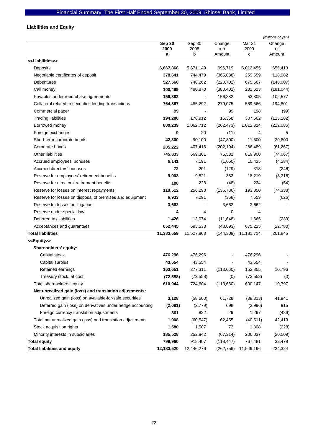# **Liabilities and Equity**

|                                                              |                |                |               |                | (millions of yen) |
|--------------------------------------------------------------|----------------|----------------|---------------|----------------|-------------------|
|                                                              | Sep 30<br>2009 | Sep 30<br>2008 | Change<br>a-b | Mar 31<br>2009 | Change<br>a-c     |
|                                                              | а              | b              | Amount        | c              | Amount            |
| < <liabilities>&gt;</liabilities>                            |                |                |               |                |                   |
| Deposits                                                     | 6,667,868      | 5,671,149      | 996,719       | 6,012,455      | 655,413           |
| Negotiable certificates of deposit                           | 378,641        | 744,479        | (365, 838)    | 259,659        | 118,982           |
| Debentures                                                   | 527,560        | 748,262        | (220, 702)    | 675,567        | (148,007)         |
| Call money                                                   | 100,469        | 480,870        | (380, 401)    | 281,513        | (181, 044)        |
| Payables under repurchase agreements                         | 156,382        |                | 156,382       | 53,805         | 102,577           |
| Collateral related to securities lending transactions        | 764,367        | 485,292        | 279,075       | 569,566        | 194,801           |
| Commercial paper                                             | 99             |                | 99            | 198            | (99)              |
| <b>Trading liabilities</b>                                   | 194,280        | 178,912        | 15,368        | 307,562        | (113, 282)        |
| Borrowed money                                               | 800,239        | 1,062,712      | (262, 473)    | 1,012,324      | (212, 085)        |
| Foreign exchanges                                            | 9              | 20             | (11)          | 4              | 5                 |
| Short-term corporate bonds                                   | 42,300         | 90,100         | (47,800)      | 11,500         | 30,800            |
| Corporate bonds                                              | 205,222        | 407,416        | (202, 194)    | 266,489        | (61, 267)         |
| <b>Other liabilities</b>                                     | 745,833        | 669,301        | 76,532        | 819,900        | (74,067)          |
| Accrued employees' bonuses                                   | 6,141          | 7,191          | (1,050)       | 10,425         | (4, 284)          |
| Accrued directors' bonuses                                   | 72             | 201            | (129)         | 318            | (246)             |
| Reserve for employees' retirement benefits                   | 9,903          | 9,521          | 382           | 18,219         | (8,316)           |
| Reserve for directors' retirement benefits                   | 180            | 228            | (48)          | 234            | (54)              |
| Reserve for losses on interest repayments                    | 119,512        | 256,298        | (136, 786)    | 193,850        | (74, 338)         |
| Reserve for losses on disposal of premises and equipment     | 6,933          | 7,291          | (358)         | 7,559          | (626)             |
| Reserve for losses on litigation                             | 3,662          |                | 3,662         | 3,662          |                   |
| Reserve under special law                                    | 4              | 4              | 0             | 4              |                   |
| Deferred tax liabilities                                     | 1,426          | 13,074         | (11, 648)     | 1,665          | (239)             |
| Acceptances and guarantees                                   | 652,445        | 695,538        | (43,093)      | 675,225        | (22, 780)         |
| <b>Total liabilities</b>                                     | 11,383,559     | 11,527,868     | (144, 309)    | 11,181,714     | 201,845           |
| < <equity>&gt;</equity>                                      |                |                |               |                |                   |
| Shareholders' equity:                                        |                |                |               |                |                   |
| Capital stock                                                | 476,296        | 476,296        |               | 476,296        |                   |
| Capital surplus                                              | 43,554         | 43,554         |               | 43,554         |                   |
| Retained earnings                                            | 163,651        | 277,311        | (113,660)     | 152,855        | 10,796            |
| Treasury stock, at cost                                      | (72, 558)      | (72, 558)      | (0)           | (72, 558)      | (0)               |
| Total shareholders' equity                                   | 610,944        | 724,604        | (113,660)     | 600,147        | 10,797            |
| Net unrealized gain (loss) and translation adjustments:      |                |                |               |                |                   |
| Unrealized gain (loss) on available-for-sale securities      | 3,128          | (58,600)       | 61,728        | (38, 813)      | 41,941            |
| Deferred gain (loss) on derivatives under hedge accounting   | (2,081)        | (2, 779)       | 698           | (2,996)        | 915               |
| Foreign currency translation adjustments                     | 861            | 832            | 29            | 1,297          | (436)             |
| Total net unrealized gain (loss) and translation adjustments | 1,908          | (60, 547)      | 62,455        | (40, 511)      | 42,419            |
| Stock acquisition rights                                     | 1,580          | 1,507          | 73            | 1,808          | (228)             |
| Minority interests in subsidiaries                           | 185,528        | 252,842        | (67, 314)     | 206,037        | (20, 509)         |
| <b>Total equity</b>                                          | 799,960        | 918,407        | (118, 447)    | 767,481        | 32,479            |
| <b>Total liabilities and equity</b>                          | 12,183,520     | 12,446,276     | (262, 756)    | 11,949,196     | 234,324           |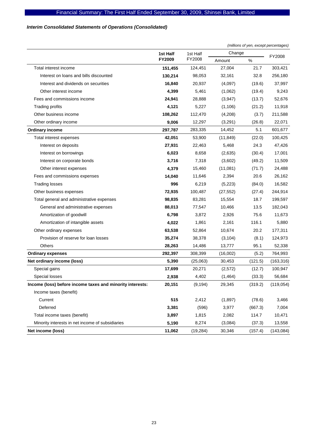# *Interim Consolidated Statements of Operations (Consolidated)*

|                                                           |               |           | (millions of yen, except percentages) |         |            |  |
|-----------------------------------------------------------|---------------|-----------|---------------------------------------|---------|------------|--|
|                                                           | 1st Half      | 1st Half  |                                       | Change  |            |  |
|                                                           | <b>FY2009</b> | FY2008    | Amount                                | $\%$    | FY2008     |  |
| Total interest income                                     | 151,455       | 124,451   | 27,004                                | 21.7    | 303,421    |  |
| Interest on loans and bills discounted                    | 130,214       | 98,053    | 32,161                                | 32.8    | 256,180    |  |
| Interest and dividends on securities                      | 16,840        | 20,937    | (4,097)                               | (19.6)  | 37,997     |  |
| Other interest income                                     | 4,399         | 5,461     | (1,062)                               | (19.4)  | 9,243      |  |
| Fees and commissions income                               | 24,941        | 28,888    | (3,947)                               | (13.7)  | 52,676     |  |
| Trading profits                                           | 4,121         | 5,227     | (1, 106)                              | (21.2)  | 11,918     |  |
| Other business income                                     | 108,262       | 112,470   | (4,208)                               | (3.7)   | 211,588    |  |
| Other ordinary income                                     | 9,006         | 12,297    | (3,291)                               | (26.8)  | 22,071     |  |
| <b>Ordinary income</b>                                    | 297,787       | 283,335   | 14,452                                | 5.1     | 601,677    |  |
| Total interest expenses                                   | 42,051        | 53,900    | (11, 849)                             | (22.0)  | 100,425    |  |
| Interest on deposits                                      | 27,931        | 22,463    | 5,468                                 | 24.3    | 47,426     |  |
| Interest on borrowings                                    | 6,023         | 8,658     | (2,635)                               | (30.4)  | 17,001     |  |
| Interest on corporate bonds                               | 3,716         | 7,318     | (3,602)                               | (49.2)  | 11,509     |  |
| Other interest expenses                                   | 4.379         | 15,460    | (11,081)                              | (71.7)  | 24,488     |  |
| Fees and commissions expenses                             | 14,040        | 11,646    | 2,394                                 | 20.6    | 26,162     |  |
| <b>Trading losses</b>                                     | 996           | 6,219     | (5,223)                               | (84.0)  | 16,582     |  |
| Other business expenses                                   | 72,935        | 100,487   | (27, 552)                             | (27.4)  | 244,914    |  |
| Total general and administrative expenses                 | 98,835        | 83,281    | 15,554                                | 18.7    | 199,597    |  |
| General and administrative expenses                       | 88,013        | 77,547    | 10,466                                | 13.5    | 182,043    |  |
| Amortization of goodwill                                  | 6,798         | 3,872     | 2,926                                 | 75.6    | 11,673     |  |
| Amortization of intangible assets                         | 4,022         | 1,861     | 2,161                                 | 116.1   | 5,880      |  |
| Other ordinary expenses                                   | 63,538        | 52,864    | 10,674                                | 20.2    | 177,311    |  |
| Provision of reserve for loan losses                      | 35,274        | 38,378    | (3, 104)                              | (8.1)   | 124,973    |  |
| Others                                                    | 28,263        | 14,486    | 13,777                                | 95.1    | 52,338     |  |
| <b>Ordinary expenses</b>                                  | 292,397       | 308,399   | (16,002)                              | (5.2)   | 764,993    |  |
| Net ordinary income (loss)                                | 5,390         | (25,063)  | 30,453                                | (121.5) | (163, 316) |  |
| Special gains                                             | 17,699        | 20,271    | (2,572)                               | (12.7)  | 100,947    |  |
| Special losses                                            | 2,938         | 4,402     | (1,464)                               | (33.3)  | 56,684     |  |
| Income (loss) before income taxes and minority interests: | 20,151        | (9, 194)  | 29,345                                | (319.2) | (119,054)  |  |
| Income taxes (benefit)                                    |               |           |                                       |         |            |  |
| Current                                                   | 515           | 2,412     | (1,897)                               | (78.6)  | 3,466      |  |
| Deferred                                                  | 3,381         | (596)     | 3,977                                 | (667.3) | 7,004      |  |
| Total income taxes (benefit)                              | 3,897         | 1,815     | 2,082                                 | 114.7   | 10,471     |  |
| Minority interests in net income of subsidiaries          | 5,190         | 8,274     | (3,084)                               | (37.3)  | 13,558     |  |
| Net income (loss)                                         | 11,062        | (19, 284) | 30,346                                | (157.4) | (143, 084) |  |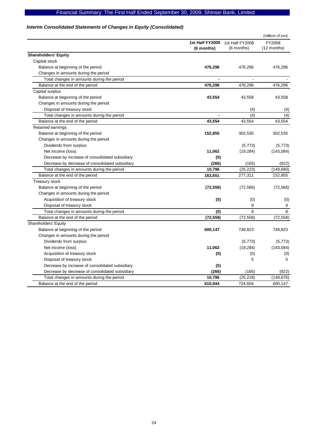# Financial Summary: The First Half Ended September 30, 2009, Shinsei Bank, Limited

# *Interim Consolidated Statements of Changes in Equity (Consolidated)*

|                                                 |                 |                 | (millions of yen) |
|-------------------------------------------------|-----------------|-----------------|-------------------|
|                                                 | 1st Half FY2009 | 1st Half FY2008 | FY2008            |
|                                                 | (6 months)      | (6 months)      | (12 months)       |
| <b>Shareholders' Equity</b>                     |                 |                 |                   |
| Capital stock                                   |                 |                 |                   |
| Balance at beginning of the period              | 476,296         | 476,296         | 476,296           |
| Changes in amounts during the period            |                 |                 |                   |
| Total changes in amounts during the period      | $\blacksquare$  | $\blacksquare$  |                   |
| Balance at the end of the period                | 476,296         | 476,296         | 476,296           |
| Capital surplus                                 |                 |                 |                   |
| Balance at beginning of the period              | 43,554          | 43,558          | 43,558            |
| Changes in amounts during the period            |                 |                 |                   |
| Disposal of treasury stock                      |                 | (4)             | (4)               |
| Total changes in amounts during the period      |                 | (4)             | (4)               |
| Balance at the end of the period                | 43,554          | 43,554          | 43,554            |
| Retained earnings                               |                 |                 |                   |
| Balance at beginning of the period              | 152,855         | 302,535         | 302,535           |
| Changes in amounts during the period            |                 |                 |                   |
| Dividends from surplus                          |                 | (5,773)         | (5, 773)          |
| Net income (loss)                               | 11,062          | (19, 284)       | (143, 084)        |
| Decrease by increase of consolidated subsidiary | (0)             |                 |                   |
| Decrease by decrease of consolidated subsidiary | (266)           | (165)           | (822)             |
| Total changes in amounts during the period      | 10,796          | (25, 223)       | (149, 680)        |
| Balance at the end of the period                | 163,651         | 277,311         | 152,855           |
| Treasury stock                                  |                 |                 |                   |
| Balance at beginning of the period              | (72, 558)       | (72, 566)       | (72, 566)         |
| Changes in amounts during the period            |                 |                 |                   |
| Acquisition of treasury stock                   | (0)             | (0)             | (0)               |
| Disposal of treasury stock                      |                 | 9               | 9                 |
| Total changes in amounts during the period      | (0)             | 8               | 8                 |
| Balance at the end of the period                | (72, 558)       | (72, 558)       | (72, 558)         |
| Shareholders' Equity                            |                 |                 |                   |
| Balance at beginning of the period              | 600,147         | 749,823         | 749,823           |
| Changes in amounts during the period            |                 |                 |                   |
| Dividends from surplus                          |                 | (5,773)         | (5, 773)          |
| Net income (loss)                               | 11,062          | (19, 284)       | (143, 084)        |
| Acquisition of treasury stock                   | (0)             | (0)             | (0)               |
| Disposal of treasury stock                      |                 | 5               | 5                 |
| Decrease by increase of consolidated subsidiary | (0)             |                 |                   |
| Decrease by decrease of consolidated subsidiary | (266)           | (165)           | (822)             |
| Total changes in amounts during the period      | 10,796          | (25, 218)       | (149, 676)        |
| Balance at the end of the period                | 610,944         | 724,604         | 600,147           |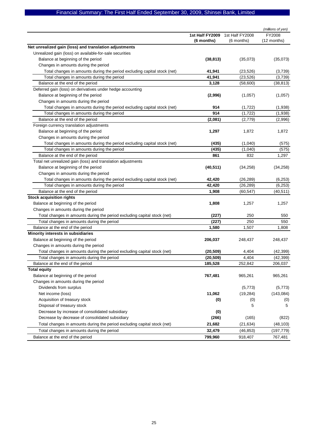# Financial Summary: The First Half Ended September 30, 2009, Shinsei Bank, Limited

|                                                                          |                 |                 | (millions of yen) |
|--------------------------------------------------------------------------|-----------------|-----------------|-------------------|
|                                                                          | 1st Half FY2009 | 1st Half FY2008 | FY2008            |
|                                                                          | (6 months)      | (6 months)      | (12 months)       |
| Net unrealized gain (loss) and translation adjustments                   |                 |                 |                   |
| Unrealized gain (loss) on available-for-sale securities                  |                 |                 |                   |
| Balance at beginning of the period                                       | (38, 813)       | (35,073)        | (35,073)          |
| Changes in amounts during the period                                     |                 |                 |                   |
| Total changes in amounts during the period excluding capital stock (net) | 41,941          | (23, 526)       | (3,739)           |
| Total changes in amounts during the period                               | 41,941          | (23, 526)       | (3,739)           |
| Balance at the end of the period                                         | 3,128           | (58,600)        | (38, 813)         |
| Deferred gain (loss) on derivatives under hedge accounting               |                 |                 |                   |
| Balance at beginning of the period                                       | (2,996)         | (1,057)         | (1,057)           |
| Changes in amounts during the period                                     |                 |                 |                   |
| Total changes in amounts during the period excluding capital stock (net) | 914             | (1, 722)        | (1,938)           |
| Total changes in amounts during the period                               | 914             | (1, 722)        | (1,938)           |
| Balance at the end of the period                                         | (2,081)         | (2,779)         | (2,996)           |
| Foreign currency translation adjustments                                 |                 |                 |                   |
| Balance at beginning of the period                                       | 1,297           | 1,872           | 1,872             |
| Changes in amounts during the period                                     |                 |                 |                   |
| Total changes in amounts during the period excluding capital stock (net) | (435)           | (1,040)         | (575)             |
| Total changes in amounts during the period                               | (435)           | (1,040)         | (575)             |
| Balance at the end of the period                                         | 861             | 832             | 1,297             |
| Total net unrealized gain (loss) and translation adjustments             |                 |                 |                   |
| Balance at beginning of the period                                       | (40, 511)       | (34, 258)       | (34, 258)         |
| Changes in amounts during the period                                     |                 |                 |                   |
| Total changes in amounts during the period excluding capital stock (net) | 42,420          | (26, 289)       | (6, 253)          |
| Total changes in amounts during the period                               | 42,420          | (26, 289)       | (6, 253)          |
| Balance at the end of the period                                         | 1,908           | (60,547)        | (40, 511)         |
| <b>Stock acquisition rights</b>                                          |                 |                 |                   |
| Balance at beginning of the period                                       | 1,808           | 1,257           | 1,257             |
| Changes in amounts during the period                                     |                 |                 |                   |
| Total changes in amounts during the period excluding capital stock (net) | (227)           | 250             | 550               |
| Total changes in amounts during the period                               | (227)           | 250             | 550               |
| Balance at the end of the period                                         | 1,580           | 1,507           | 1,808             |
| Minority interests in subsidiaries                                       |                 |                 |                   |
| Balance at beginning of the period                                       | 206,037         | 248,437         | 248,437           |
| Changes in amounts during the period                                     |                 |                 |                   |
| Total changes in amounts during the period excluding capital stock (net) | (20, 509)       | 4,404           | (42, 399)         |
| Total changes in amounts during the period                               | (20, 509)       | 4,404           | (42, 399)         |
| Balance at the end of the period                                         | 185,528         | 252,842         | 206,037           |
| <b>Total equity</b>                                                      |                 |                 |                   |
| Balance at beginning of the period                                       | 767,481         | 965,261         | 965,261           |
| Changes in amounts during the period                                     |                 |                 |                   |
| Dividends from surplus                                                   |                 | (5, 773)        | (5, 773)          |
| Net income (loss)                                                        | 11,062          | (19, 284)       | (143,084)         |
| Acquisition of treasury stock                                            | (0)             | (0)             | (0)               |
| Disposal of treasury stock                                               |                 | 5               | 5                 |
| Decrease by increase of consolidated subsidiary                          | (0)             |                 |                   |
| Decrease by decrease of consolidated subsidiary                          | (266)           | (165)           | (822)             |
| Total changes in amounts during the period excluding capital stock (net) | 21,682          | (21, 634)       | (48, 103)         |
| Total changes in amounts during the period                               | 32,479          | (46, 853)       | (197, 779)        |
| Balance at the end of the period                                         | 799,960         | 918,407         | 767,481           |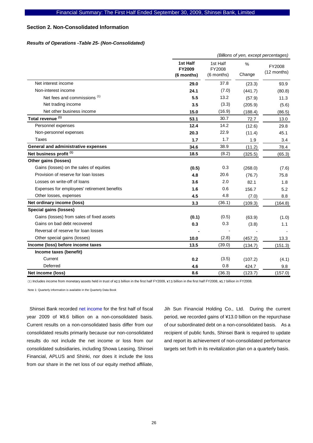# **Section 2. Non-Consolidated Information**

# *Results of Operations -Table 25- (Non-Consolidated)*

|                                             |                                  |                                  |             | (Billions of yen, except percentages) |
|---------------------------------------------|----------------------------------|----------------------------------|-------------|---------------------------------------|
|                                             | 1st Half<br>FY2009<br>(6 months) | 1st Half<br>FY2008<br>(6 months) | %<br>Change | FY2008<br>$(12$ months)               |
| Net interest income                         | 29.0                             | 37.8                             | (23.3)      | 93.9                                  |
| Non-interest income                         | 24.1                             | (7.0)                            | (441.7)     | (80.8)                                |
| Net fees and commissions <sup>(1)</sup>     | 5.5                              | 13.2                             | (57.9)      | 11.3                                  |
| Net trading income                          | 3.5                              | (3.3)                            | (205.9)     | (5.6)                                 |
| Net other business income                   | 15.0                             | (16.9)                           | (188.4)     | (86.5)                                |
| Total revenue <sup>(1)</sup>                | 53.1                             | 30.7                             | 72.7        | 13.0                                  |
| Personnel expenses                          | 12.4                             | 14.2                             | (12.6)      | 29.8                                  |
| Non-personnel expenses                      | 20.3                             | 22.9                             | (11.4)      | 45.1                                  |
| <b>Taxes</b>                                | 1.7                              | 1.7                              | 1.9         | 3.4                                   |
| General and administrative expenses         | 34.6                             | 38.9                             | (11.2)      | 78.4                                  |
| Net business profit <sup>(1)</sup>          | 18.5                             | (8.2)                            | (325.5)     | (65.3)                                |
| Other gains (losses)                        |                                  |                                  |             |                                       |
| Gains (losses) on the sales of equities     | (0.5)                            | 0.3                              | (268.0)     | (7.6)                                 |
| Provision of reserve for loan losses        | 4.8                              | 20.6                             | (76.7)      | 75.8                                  |
| Losses on write-off of loans                | 3.6                              | 2.0                              | 82.1        | 1.8                                   |
| Expenses for employees' retirement benefits | 1.6                              | 0.6                              | 156.7       | 5.2                                   |
| Other losses, expenses                      | 4.5                              | 4.8                              | (7.0)       | 8.8                                   |
| Net ordinary income (loss)                  | 3.3                              | (36.1)                           | (109.3)     | (164.8)                               |
| <b>Special gains (losses)</b>               |                                  |                                  |             |                                       |
| Gains (losses) from sales of fixed assets   | (0.1)                            | (0.5)                            | (63.9)      | (1.0)                                 |
| Gains on bad debt recovered                 | 0.3                              | 0.3                              | (3.8)       | 1.1                                   |
| Reversal of reserve for loan losses         |                                  |                                  |             |                                       |
| Other special gains (losses)                | 10.0                             | (2.8)                            | (457.2)     | 13.3                                  |
| Income (loss) before income taxes           | 13.5                             | (39.0)                           | (134.7)     | (151.3)                               |
| Income taxes (benefit)                      |                                  |                                  |             |                                       |
| Current                                     | 0.2                              | (3.5)                            | (107.2)     | (4.1)                                 |
| Deferred                                    | 4.6                              | 0.8                              | 424.7       | 9.8                                   |
| Net income (loss)                           | 8.6                              | (36.3)                           | (123.7)     | (157.0)                               |

(1) Includes income from monetary assets held in trust of  $\frac{1}{2}$ .5 billion in the first half FY2009,  $\frac{1}{2}$ , 5 billion in the first half FY2008,  $\frac{1}{2}$ ,  $\frac{1}{2}$  billion in FY2008.

Note 1: Quarterly information is available in the Quarterly Data Book

Shinsei Bank recorded net income for the first half of fiscal year 2009 of ¥8.6 billion on a non-consolidated basis. Current results on a non-consolidated basis differ from our consolidated results primarily because our non-consolidated results do not include the net income or loss from our consolidated subsidiaries, including Showa Leasing, Shinsei Financial, APLUS and Shinki, nor does it include the loss from our share in the net loss of our equity method affiliate,

Jih Sun Financial Holding Co., Ltd. During the current period, we recorded gains of ¥13.0 billion on the repurchase of our subordinated debt on a non-consolidated basis. As a recipient of public funds, Shinsei Bank is required to update and report its achievement of non-consolidated performance targets set forth in its revitalization plan on a quarterly basis.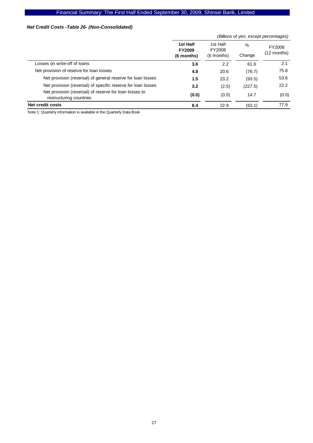# *Net Credit Costs -Table 26- (Non-Consolidated)*

|                                                                                   |                                         |                                  | (Billions of yen, except percentages) |                         |  |  |  |
|-----------------------------------------------------------------------------------|-----------------------------------------|----------------------------------|---------------------------------------|-------------------------|--|--|--|
|                                                                                   | 1st Half<br><b>FY2009</b><br>(6 months) | 1st Half<br>FY2008<br>(6 months) | %<br>Change                           | FY2008<br>$(12$ months) |  |  |  |
| Losses on write-off of loans                                                      | 3.6                                     | 2.2                              | 61.6                                  | 2.1                     |  |  |  |
| Net provision of reserve for loan losses                                          | 4.8                                     | 20.6                             | (76.7)                                | 75.8                    |  |  |  |
| Net provision (reversal) of general reserve for loan losses                       | 1.5                                     | 23.2                             | (93.5)                                | 53.6                    |  |  |  |
| Net provision (reversal) of specific reserve for loan losses                      | 3.2                                     | (2.5)                            | (227.5)                               | 22.2                    |  |  |  |
| Net provision (reversal) of reserve for loan losses to<br>restructuring countries | (0.0)                                   | (0.0)                            | 14.7                                  | (0.0)                   |  |  |  |
| <b>Net credit costs</b>                                                           | 8.4                                     | 22.9                             | (63.1)                                | 77.9                    |  |  |  |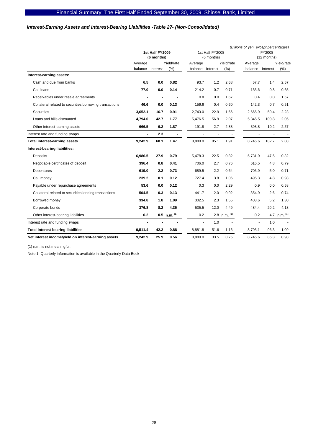# *Interest-Earning Assets and Interest-Bearing Liabilities -Table 27- (Non-Consolidated)*

|                                                         |                               |          |                | (Billions of yen, except percentages) |                               |                |                |                       |                |  |  |
|---------------------------------------------------------|-------------------------------|----------|----------------|---------------------------------------|-------------------------------|----------------|----------------|-----------------------|----------------|--|--|
|                                                         | 1st Half FY2009<br>(6 months) |          |                |                                       | 1st Half FY2008<br>(6 months) |                |                | FY2008<br>(12 months) |                |  |  |
|                                                         | Average                       |          | Yield/rate     | Average                               |                               | Yield/rate     | Average        |                       | Yield/rate     |  |  |
|                                                         | balance                       | Interest | (%)            | balance                               | Interest                      | (%)            | balance        | Interest              | (%)            |  |  |
| Interest-earning assets:                                |                               |          |                |                                       |                               |                |                |                       |                |  |  |
| Cash and due from banks                                 | 6.5                           | 0.0      | 0.82           | 93.7                                  | 1.2                           | 2.68           | 57.7           | 1.4                   | 2.57           |  |  |
| Call Ioans                                              | 77.0                          | 0.0      | 0.14           | 214.2                                 | 0.7                           | 0.71           | 135.6          | 0.8                   | 0.65           |  |  |
| Receivables under resale agreements                     |                               |          |                | 0.8                                   | 0.0                           | 1.67           | 0.4            | 0.0                   | 1.67           |  |  |
| Collateral related to securities borrowing transactions | 46.6                          | 0.0      | 0.13           | 159.6                                 | 0.4                           | 0.60           | 142.3          | 0.7                   | 0.51           |  |  |
| <b>Securities</b>                                       | 3,652.1                       | 16.7     | 0.91           | 2,743.0                               | 22.9                          | 1.66           | 2,665.9        | 59.4                  | 2.23           |  |  |
| Loans and bills discounted                              | 4,794.0                       | 42.7     | 1.77           | 5,476.5                               | 56.9                          | 2.07           | 5,345.5        | 109.8                 | 2.05           |  |  |
| Other interest-earning assets                           | 666.5                         | 6.2      | 1.87           | 191.8                                 | 2.7                           | 2.88           | 398.8          | 10.2                  | 2.57           |  |  |
| Interest rate and funding swaps                         | ä,                            | 2.3      |                |                                       | $\ddot{\phantom{1}}$          |                |                |                       |                |  |  |
| <b>Total interest-earning assets</b>                    | 9,242.9                       | 68.1     | 1.47           | 8,880.0                               | 85.1                          | 1.91           | 8.746.6        | 182.7                 | 2.08           |  |  |
| Interest-bearing liabilities:                           |                               |          |                |                                       |                               |                |                |                       |                |  |  |
| <b>Deposits</b>                                         | 6,986.5                       | 27.9     | 0.79           | 5,478.3                               | 22.5                          | 0.82           | 5,731.9        | 47.5                  | 0.82           |  |  |
| Negotiable certificates of deposit                      | 396.4                         | 0.8      | 0.41           | 706.0                                 | 2.7                           | 0.76           | 616.5          | 4.8                   | 0.79           |  |  |
| Debentures                                              | 619.0                         | 2.2      | 0.73           | 689.5                                 | 2.2                           | 0.64           | 705.9          | 5.0                   | 0.71           |  |  |
| Call money                                              | 239.2                         | 0.1      | 0.12           | 727.4                                 | 3.8                           | 1.06           | 496.3          | 4.8                   | 0.98           |  |  |
| Payable under repurchase agreements                     | 53.6                          | 0.0      | 0.12           | 0.3                                   | 0.0                           | 2.29           | 0.9            | 0.0                   | 0.58           |  |  |
| Collateral related to securities lending transactions   | 504.5                         | 0.3      | 0.13           | 441.7                                 | 2.0                           | 0.92           | 354.9          | 2.6                   | 0.74           |  |  |
| Borrowed money                                          | 334.8                         | 1.8      | 1.09           | 302.5                                 | 2.3                           | 1.55           | 403.6          | 5.2                   | 1.30           |  |  |
| Corporate bonds                                         | 376.8                         | 8.2      | 4.35           | 535.5                                 | 12.0                          | 4.49           | 484.4          | 20.2                  | 4.18           |  |  |
| Other interest-bearing liabilities                      | 0.2                           |          | 0.5 n.m. $(1)$ | 0.2                                   |                               | 2.8 n.m. $(1)$ | 0.2            |                       | 4.7 n.m. $(1)$ |  |  |
| Interest rate and funding swaps                         | ä,                            | ٠        |                | ä,                                    | 1.0                           | $\blacksquare$ | $\blacksquare$ | 1.0                   |                |  |  |
| <b>Total interest-bearing liabilities</b>               | 9.511.4                       | 42.2     | 0.88           | 8.881.8                               | 51.6                          | 1.16           | 8.795.1        | 96.3                  | 1.09           |  |  |
| Net interest income/yield on interest-earning assets    | 9,242.9                       | 25.9     | 0.56           | 8.880.0                               | 33.5                          | 0.75           | 8.746.6        | 86.3                  | 0.98           |  |  |
|                                                         |                               |          |                |                                       |                               |                |                |                       |                |  |  |

(1) n.m. is not meaningful.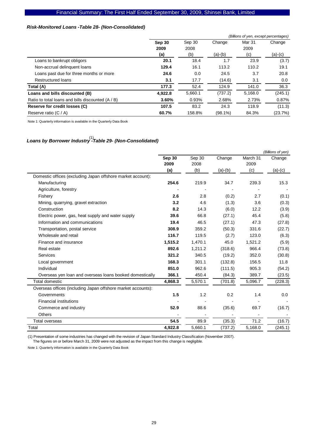# Financial Summary: The First Half Ended September 30, 2009, Shinsei Bank, Limited

# *Risk-Monitored Loans -Table 28- (Non-Consolidated)*

|                                                   | (Billions of yen, except percentages) |         |            |         |         |  |  |  |
|---------------------------------------------------|---------------------------------------|---------|------------|---------|---------|--|--|--|
|                                                   | Sep 30                                | Sep 30  | Change     | Mar 31  | Change  |  |  |  |
|                                                   | 2009                                  | 2008    |            | 2009    |         |  |  |  |
|                                                   | (a)                                   | (b)     | $(a)-(b)$  | (c)     | (a)-(c) |  |  |  |
| Loans to bankrupt obligors                        | 20.1                                  | 18.4    | 1.7        | 23.9    | (3.7)   |  |  |  |
| Non-accrual delinquent loans                      | 129.4                                 | 16.1    | 113.2      | 110.2   | 19.1    |  |  |  |
| Loans past due for three months or more           | 24.6                                  | 0.0     | 24.5       | 3.7     | 20.8    |  |  |  |
| <b>Restructured loans</b>                         | 3.1                                   | 17.7    | (14.6)     | 3.1     | 0.0     |  |  |  |
| Total (A)                                         | 177.3                                 | 52.4    | 124.9      | 141.0   | 36.3    |  |  |  |
| Loans and bills discounted (B)                    | 4,922.8                               | 5,660.1 | (737.2)    | 5,168.0 | (245.1) |  |  |  |
| Ratio to total loans and bills discounted (A / B) | 3.60%                                 | 0.93%   | 2.68%      | 2.73%   | 0.87%   |  |  |  |
| Reserve for credit losses (C)                     | 107.5                                 | 83.2    | 24.3       | 118.9   | (11.3)  |  |  |  |
| Reserve ratio $(C / A)$                           | 60.7%                                 | 158.8%  | $(98.1\%)$ | 84.3%   | (23.7%) |  |  |  |

Note 1: Quarterly information is available in the Quarterly Data Book

# *Loans by Borrower Industry -Table 29- (Non-Consolidated)*  (1)

|                                                              |         |         |           |          | (Billions of yen) |
|--------------------------------------------------------------|---------|---------|-----------|----------|-------------------|
|                                                              | Sep 30  | Sep 30  | Change    | March 31 | Change            |
|                                                              | 2009    | 2008    |           | 2009     |                   |
|                                                              | (a)     | (b)     | $(a)-(b)$ | (c)      | $(a)-(c)$         |
| Domestic offices (excluding Japan offshore market account):  |         |         |           |          |                   |
| Manufacturing                                                | 254.6   | 219.9   | 34.7      | 239.3    | 15.3              |
| Agriculture, forestry                                        |         |         |           |          |                   |
| Fishery                                                      | 2.6     | 2.8     | (0.2)     | 2.7      | (0.1)             |
| Mining, quarrying, gravel extraction                         | 3.2     | 4.6     | (1.3)     | 3.6      | (0.3)             |
| Construction                                                 | 8.2     | 14.3    | (6.0)     | 12.2     | (3.9)             |
| Electric power, gas, heat supply and water supply            | 39.6    | 66.8    | (27.1)    | 45.4     | (5.8)             |
| Information and communications                               | 19.4    | 46.5    | (27.1)    | 47.3     | (27.8)            |
| Transportation, postal service                               | 308.9   | 359.2   | (50.3)    | 331.6    | (22.7)            |
| Wholesale and retail                                         | 116.7   | 119.5   | (2.7)     | 123.0    | (6.3)             |
| Finance and insurance                                        | 1,515.2 | 1,470.1 | 45.0      | 1,521.2  | (5.9)             |
| Real estate                                                  | 892.6   | 1,211.2 | (318.6)   | 966.4    | (73.8)            |
| Services                                                     | 321.2   | 340.5   | (19.2)    | 352.0    | (30.8)            |
| Local government                                             | 168.3   | 301.1   | (132.8)   | 156.5    | 11.8              |
| Individual                                                   | 851.0   | 962.6   | (111.5)   | 905.3    | (54.2)            |
| Overseas yen loan and overseas loans booked domestically     | 366.1   | 450.4   | (84.3)    | 389.7    | (23.5)            |
| Total domestic                                               | 4,868.3 | 5,570.1 | (701.8)   | 5,096.7  | (228.3)           |
| Overseas offices (including Japan offshore market accounts): |         |         |           |          |                   |
| Governments                                                  | 1.5     | 1.2     | 0.2       | 1.4      | 0.0               |
| <b>Financial institutions</b>                                |         |         |           |          |                   |
| Commerce and industry                                        | 52.9    | 88.6    | (35.6)    | 69.7     | (16.7)            |
| <b>Others</b>                                                |         |         |           |          |                   |
| Total overseas                                               | 54.5    | 89.9    | (35.3)    | 71.2     | (16.7)            |
| Total                                                        | 4,922.8 | 5,660.1 | (737.2)   | 5,168.0  | (245.1)           |

(1) Presentation of some industries has changed with the revision of Japan Standard Industry Classification (November 2007).

The figures on or before March 31, 2009 were not adjusted as the impact from this change is negligible.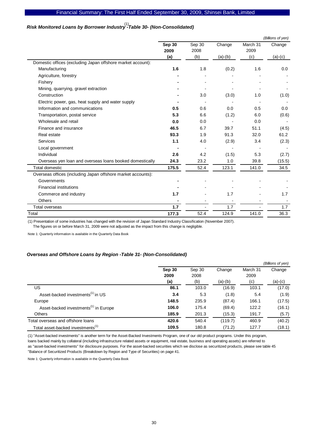# *Risk Monitored Loans by Borrower Industry -Table 30- (Non-Consolidated)*  (1)

|                                                              |                |                |           |                  | (Billions of yen) |
|--------------------------------------------------------------|----------------|----------------|-----------|------------------|-------------------|
|                                                              | Sep 30<br>2009 | Sep 30<br>2008 | Change    | March 31<br>2009 | Change            |
|                                                              | (a)            | (b)            | $(a)-(b)$ | (c)              | $(a)-(c)$         |
| Domestic offices (excluding Japan offshore market account):  |                |                |           |                  |                   |
| Manufacturing                                                | 1.6            | 1.8            | (0.2)     | 1.6              | 0.0               |
| Agriculture, forestry                                        |                |                |           |                  |                   |
| Fishery                                                      |                |                |           |                  |                   |
| Mining, quarrying, gravel extraction                         |                |                |           |                  |                   |
| Construction                                                 |                | 3.0            | (3.0)     | 1.0              | (1.0)             |
| Electric power, gas, heat supply and water supply            |                |                |           |                  |                   |
| Information and communications                               | 0.5            | 0.6            | 0.0       | 0.5              | 0.0               |
| Transportation, postal service                               | 5.3            | 6.6            | (1.2)     | 6.0              | (0.6)             |
| Wholesale and retail                                         | 0.0            | 0.0            |           | 0.0              |                   |
| Finance and insurance                                        | 46.5           | 6.7            | 39.7      | 51.1             | (4.5)             |
| Real estate                                                  | 93.3           | 1.9            | 91.3      | 32.0             | 61.2              |
| Services                                                     | 1.1            | 4.0            | (2.9)     | 3.4              | (2.3)             |
| Local government                                             |                |                |           |                  |                   |
| Individual                                                   | 2.6            | 4.2            | (1.5)     | 5.3              | (2.7)             |
| Overseas yen loan and overseas loans booked domestically     | 24.3           | 23.2           | 1.0       | 39.8             | (15.5)            |
| <b>Total domestic</b>                                        | 175.5          | 52.4           | 123.1     | 141.0            | 34.5              |
| Overseas offices (including Japan offshore market accounts): |                |                |           |                  |                   |
| Governments                                                  |                |                |           |                  |                   |
| <b>Financial institutions</b>                                |                |                |           |                  |                   |
| Commerce and industry                                        | 1.7            |                | 1.7       |                  | 1.7               |
| <b>Others</b>                                                |                |                |           |                  |                   |
| Total overseas                                               | 1.7            |                | 1.7       |                  | 1.7               |
| Total                                                        | 177.3          | 52.4           | 124.9     | 141.0            | 36.3              |

(1) Presentation of some industries has changed with the revision of Japan Standard Industry Classification (November 2007).

The figures on or before March 31, 2009 were not adjusted as the impact from this change is negligible.

Note 1: Quarterly information is available in the Quarterly Data Book

### *Overseas and Offshore Loans by Region -Table 31- (Non-Consolidated)*

|                                                   |        |        |           |          | (Billions of yen) |
|---------------------------------------------------|--------|--------|-----------|----------|-------------------|
|                                                   | Sep 30 | Sep 30 | Change    | March 31 | Change            |
|                                                   | 2009   | 2008   |           | 2009     |                   |
|                                                   | (a)    | (b)    | $(a)-(b)$ | (c)      | $(a)-(c)$         |
| US                                                | 86.1   | 103.0  | (16.9)    | 103.1    | (17.0)            |
| Asset-backed investments <sup>(1)</sup> in US     | 3.4    | 5.3    | (1.8)     | 5.4      | (1.9)             |
| Europe                                            | 148.5  | 235.9  | (87.4)    | 166.1    | (17.5)            |
| Asset-backed investments <sup>(1)</sup> in Europe | 106.0  | 175.4  | (69.4)    | 122.2    | (16.1)            |
| <b>Others</b>                                     | 185.9  | 201.3  | (15.3)    | 191.7    | (5.7)             |
| Total overseas and offshore loans                 | 420.6  | 540.4  | (119.7)   | 460.9    | (40.2)            |
| Total asset-backed investments <sup>(1)</sup>     | 109.5  | 180.8  | (71.2)    | 127.7    | (18.1)            |

(1) "Asset-backed investments" is another term for the Asset-Backed Investments Program, one of our old product programs. Under this program, loans backed mainly by collateral (including infrastructure related assets or equipment, real estate, business and operating assets) are referred to as "asset-backed investments" for disclosure purposes. For the asset-backed securities which we disclose as securitized products, please see table 45 "Balance of Securitized Products (Breakdown by Region and Type of Securities) on page 41.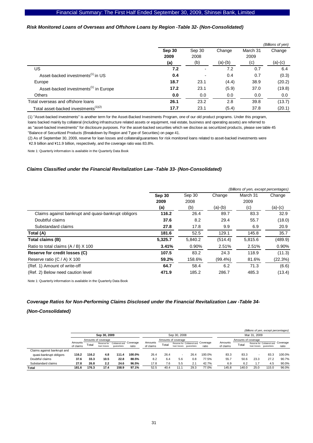# *Risk Monitored Loans of Overseas and Offshore Loans by Region -Table 32- (Non-Consolidated)*

|                                                   |        |        |           |          | (Billions of yen) |
|---------------------------------------------------|--------|--------|-----------|----------|-------------------|
|                                                   | Sep 30 | Sep 30 | Change    | March 31 | Change            |
|                                                   | 2009   | 2008   |           | 2009     |                   |
|                                                   | (a)    | (b)    | $(a)-(b)$ | (c)      | $(a)-(c)$         |
| US                                                | 7.2    |        | 7.2       | 0.7      | 6.4               |
| Asset-backed investments <sup>(1)</sup> in US     | 0.4    |        | 0.4       | 0.7      | (0.3)             |
| Europe                                            | 18.7   | 23.1   | (4.4)     | 38.9     | (20.2)            |
| Asset-backed investments <sup>(1)</sup> in Europe | 17.2   | 23.1   | (5.9)     | 37.0     | (19.8)            |
| <b>Others</b>                                     | 0.0    | 0.0    | 0.0       | 0.0      | 0.0               |
| Total overseas and offshore loans                 | 26.1   | 23.2   | 2.8       | 39.8     | (13.7)            |
| Total asset-backed investments <sup>(1)(2)</sup>  | 17.7   | 23.1   | (5.4)     | 37.8     | (20.1)            |

(1) "Asset-backed investments" is another term for the Asset-Backed Investments Program, one of our old product programs. Under this program,

loans backed mainly by collateral (including infrastructure related assets or equipment, real estate, business and operating assets) are referred to as "asset-backed investments" for disclosure purposes. For the asset-backed securities which we disclose as securitized products, please see table 45 "Balance of Securitized Products (Breakdown by Region and Type of Securities) on page 41.

(2) As of September 30, 2009, reserve for loan losses and collateral/guarantees for risk monitored loans related to asset-backed investments were \2.9 billion and \11.9 billion, respectively, and the coverage ratio was 83.8%.

Note 1: Quarterly information is available in the Quarterly Data Book

### *Claims Classified under the Financial Revitalization Law -Table 33- (Non-Consolidated)*

|                                                     | (Billions of yen, except percentages) |         |            |          |           |  |  |  |
|-----------------------------------------------------|---------------------------------------|---------|------------|----------|-----------|--|--|--|
|                                                     | Sep 30                                | Sep 30  | Change     | March 31 | Change    |  |  |  |
|                                                     | 2009                                  | 2008    |            | 2009     |           |  |  |  |
|                                                     | (a)                                   | (b)     | $(a)-(b)$  | (c)      | $(a)-(c)$ |  |  |  |
| Claims against bankrupt and quasi-bankrupt obligors | 116.2                                 | 26.4    | 89.7       | 83.3     | 32.9      |  |  |  |
| Doubtful claims                                     | 37.6                                  | 8.2     | 29.4       | 55.7     | (18.0)    |  |  |  |
| Substandard claims                                  | 27.8                                  | 17.8    | 9.9        | 6.9      | 20.9      |  |  |  |
| Total (A)                                           | 181.6                                 | 52.5    | 129.1      | 145.8    | 35.7      |  |  |  |
| Total claims (B)                                    | 5,325.7                               | 5,840.2 | (514.4)    | 5,815.6  | (489.9)   |  |  |  |
| Ratio to total claims $(A / B)$ X 100               | 3.41%                                 | 0.90%   | 2.51%      | 2.51%    | 0.90%     |  |  |  |
| Reserve for credit losses (C)                       | 107.5                                 | 83.2    | 24.3       | 118.9    | (11.3)    |  |  |  |
| Reserve ratio (C / A) X 100                         | 59.2%                                 | 158.6%  | $(99.4\%)$ | 81.6%    | (22.3%)   |  |  |  |
| (Ref. 1) Amount of write-off                        | 64.7                                  | 58.4    | 6.2        | 71.3     | (6.6)     |  |  |  |
| (Ref. 2) Below need caution level                   | 471.9                                 | 185.2   | 286.7      | 485.3    | (13.4)    |  |  |  |

Note 1: Quarterly information is available in the Quarterly Data Book

# *Coverage Ratios for Non-Performing Claims Disclosed under the Financial Revitalization Law -Table 34-*

#### *(Non-Consolidated)*

|                             |                      |       |                            |                              |                   |                      |       |                          |                        |                                              |                      |                     |      | (Billions of yen, except percentages)                |                   |
|-----------------------------|----------------------|-------|----------------------------|------------------------------|-------------------|----------------------|-------|--------------------------|------------------------|----------------------------------------------|----------------------|---------------------|------|------------------------------------------------------|-------------------|
|                             | Sep 30, 2009         |       |                            |                              | Sep 30, 2008      |                      |       |                          | Mar 31, 2009           |                                              |                      |                     |      |                                                      |                   |
|                             |                      |       | Amounts of coverage        |                              |                   |                      |       | Amounts of coverage      |                        |                                              |                      | Amounts of coverage |      |                                                      |                   |
|                             | Amounts<br>of claims | Гоtal | Reserve for<br>loan losses | Collateral and<br>quarantees | Coverage<br>ratio | Amounts<br>of claims | Total |                          | loan losses quarantees | Reserve for Collateral and COVerage<br>ratio | Amounts<br>of claims | Total               |      | Reserve for Collateral and<br>loan losses quarantees | Coverage<br>ratio |
| Claims against bankrupt and |                      |       |                            |                              |                   |                      |       |                          |                        |                                              |                      |                     |      |                                                      |                   |
| quasi-bankrupt obligors     | 116.2                | 116.2 | 4.8                        | 111.4                        | 100.0%            | 26.4                 | 26.4  | $\overline{\phantom{a}}$ | 26.4                   | 100.0%                                       | 83.3                 | 83.3                |      | 83.3                                                 | 100.0%            |
| Doubtful claims             | 37.6                 | 33.3  | 10.5                       | 22.8                         | 88.5%             | 8.2                  | 6.4   | 5.6                      | 0.8                    | 77.5%                                        | 55.7                 | 50.6                | 23.3 | 27.2                                                 | 90.7%             |
| Substandard claims          | 27.8                 | 26.8  | 2.2                        | 24.6                         | 96.5%             | 17.8                 | 7.6   | 5.5                      | 2.1                    | 42.7%                                        | 6.9                  | 6.2                 | 1.7  | 4.5                                                  | 90.0%             |
| <b>Total</b>                | 181.6                | 176.3 | 17.4                       | 158.9                        | 97.1%             | 52.5                 | 40.4  | 11.1                     | 29.3                   | 77.0%                                        | 145.8                | 140.0               | 25.0 | 115.0                                                | 96.0%             |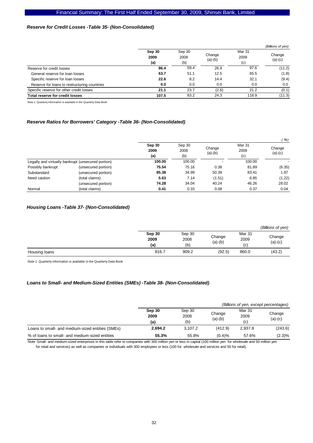# *Reserve for Credit Losses -Table 35- (Non-Consolidated)*

|                                              |                       |                       |                     |                       | (Billions of yen)   |
|----------------------------------------------|-----------------------|-----------------------|---------------------|-----------------------|---------------------|
|                                              | Sep 30<br>2009<br>(a) | Sep 30<br>2008<br>(b) | Change<br>$(a)-(b)$ | Mar 31<br>2009<br>(c) | Change<br>$(a)-(c)$ |
| Reserve for credit losses                    | 86.4                  | 59.4                  | 26.9                | 97.6                  | (11.2)              |
| General reserve for loan losses              | 63.7                  | 51.1                  | 12.5                | 65.5                  | (1.8)               |
| Specific reserve for loan losses             | 22.6                  | 8.2                   | 14.4                | 32.1                  | (9.4)               |
| Reserve for loans to restructuring countries | 0.0                   | 0.0                   | 0.0                 | 0.0                   | 0.0                 |
| Specific reserve for other credit losses     | 21.1                  | 23.7                  | (2.6)               | 21.2                  | (0.1)               |
| Total reserve for credit losses              | 107.5                 | 83.2                  | 24.3                | 118.9                 | (11.3)              |

Note 1: Quarterly information is available in the Quarterly Data Book

### *Reserve Ratios for Borrowers' Category -Table 36- (Non-Consolidated)*

|                   |                                                    |                       |                       |                          |                       | (96)                |
|-------------------|----------------------------------------------------|-----------------------|-----------------------|--------------------------|-----------------------|---------------------|
|                   |                                                    | Sep 30<br>2009<br>(a) | Sep 30<br>2008<br>(b) | Change<br>$(a)-(b)$      | Mar 31<br>2009<br>(c) | Change<br>$(a)-(c)$ |
|                   | Legally and virtually bankrupt (unsecured portion) | 100.00                | 100.00                | $\overline{\phantom{a}}$ | 100.00                |                     |
| Possibly bankrupt | (unsecured portion)                                | 75.54                 | 75.16                 | 0.38                     | 81.89                 | (6.35)              |
| Substandard       | (unsecured portion)                                | 85.38                 | 34.99                 | 50.39                    | 83.41                 | 1.97                |
| Need caution      | (total claims)                                     | 5.63                  | 7.14                  | (1.51)                   | 6.85                  | (1.22)              |
|                   | (unsecured portion)                                | 74.28                 | 34.04                 | 40.24                    | 46.26                 | 28.02               |
| Normal            | (total claims)                                     | 0.41                  | 0.33                  | 0.08                     | 0.37                  | 0.04                |

### *Housing Loans -Table 37- (Non-Consolidated)*

|               |        |        |           |                | (Billions of yen) |
|---------------|--------|--------|-----------|----------------|-------------------|
|               | Sep 30 | Sep 30 | Change    | Mar 31<br>2009 | Change            |
|               | 2009   | 2008   | $(a)-(b)$ |                | $(a)-(c)$         |
|               | (a)    | (b)    |           | (c)            |                   |
| Housing loans | 816.7  | 909.2  | (92.5)    | 860.0          | (43.2)            |

Note 1: Quarterly information is available in the Quarterly Data Book

### *Loans to Small- and Medium-Sized Entities (SMEs) -Table 38- (Non-Consolidated)*

|                                                  |                |                |                     | (Billions of yen, except percentages) |                     |
|--------------------------------------------------|----------------|----------------|---------------------|---------------------------------------|---------------------|
|                                                  | Sep 30<br>2009 | Sep 30<br>2008 | Change<br>$(a)-(b)$ | Mar 31<br>2009                        | Change<br>$(a)-(c)$ |
|                                                  | (a)            | (b)            |                     | (c)                                   |                     |
| Loans to small- and medium-sized entities (SMEs) | 2.694.2        | 3.107.2        | (412.9)             | 2.937.8                               | (243.6)             |
| % of loans to small- and medium-sized entities   | 55.3%          | 55.8%          | (0.4)%              | 57.6%                                 | $(2.3)\%$           |

Note Small- and medium-sized enterprises in this table refer to companies with 300 million yen or less in capital (100 million yen for wholesale and 50 million yen for retail and services) as well as companies or individuals with 300 employees or less (100 for wholesale and services and 50 for retail).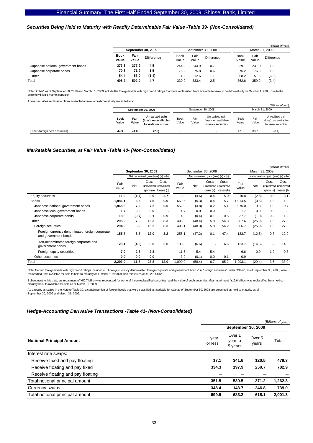### *Securities Being Held to Maturity with Readily Determinable Fair Value -Table 39- (Non-Consolidated)*

|                                    |               |                    |                   |                      |                    |            |                      |                | (Billions of yen) |  |
|------------------------------------|---------------|--------------------|-------------------|----------------------|--------------------|------------|----------------------|----------------|-------------------|--|
|                                    |               | September 30, 2009 |                   |                      | September 30, 2008 |            |                      | March 31, 2009 |                   |  |
|                                    | Book<br>Value | Fair<br>Value      | <b>Difference</b> | <b>Book</b><br>Value | Fair<br>Value      | Difference | <b>Book</b><br>Value | Fair<br>Value  | Difference        |  |
| Japanese national government bonds | 373.3         | 377.9              | 4.5               | 244.2                | 244.9              | 0.7        | 229.7                | 231.0          | 1.8               |  |
| Japanese corporate bonds           | 70.3          | 71.9               | 1.5               | 75.2                 | 75.8               | 0.6        | 75.2                 | 76.6           | 1.3               |  |
| Other                              | 54.4          | 53.0               | (1.4)             | 11.5                 | 12.6               | 1.1        | 58.2                 | 51.5           | (6.6)             |  |
| Total                              | 498.2         | 502.9              | 4.7               | 330.9                | 333.4              | 2.5        | 362.6                | 359.2          | (3.4)             |  |

Note: "Other" as of September 30, 2009 and March 31, 2009 include the foreign bonds with high credit ratings that were reclassified from available-for-sale to held-to-maturity on October 1, 2008, due to the<br>extremely illiq

Above securities reclassified from available-for-sale to held-to-maturity are as follows:

|                                 | September 30, 2009   |               |                                                                | September 30, 2008 |               |                                                                | (Billions of yen)<br>March 31, 2009 |               |                                                                |
|---------------------------------|----------------------|---------------|----------------------------------------------------------------|--------------------|---------------|----------------------------------------------------------------|-------------------------------------|---------------|----------------------------------------------------------------|
|                                 | <b>Book</b><br>Value | Fair<br>Value | Unrealized gain<br>(loss) on available-<br>for-sale securities | Book<br>Value      | Fair<br>Value | Unrealized gain<br>(loss) on available-<br>for-sale securities | <b>Book</b><br>Value                | Fair<br>Value | Unrealized gain<br>(loss) on available-<br>for-sale securities |
| Other (foreign debt securities) | 44.5                 | 41.8          | (7.5)                                                          |                    |               |                                                                | 47.3                                | 38.7          | (8.4)                                                          |

#### *Marketable Securities, at Fair Value -Table 40- (Non-Consolidated)*

|                                                                        |               |                    |                                      |                                                        |               |                    |                                      |                                              |               |                                      |                    | (Billions of yen)                            |  |
|------------------------------------------------------------------------|---------------|--------------------|--------------------------------------|--------------------------------------------------------|---------------|--------------------|--------------------------------------|----------------------------------------------|---------------|--------------------------------------|--------------------|----------------------------------------------|--|
|                                                                        |               | September 30, 2009 |                                      |                                                        |               | September 30, 2008 |                                      |                                              |               | March 31, 2009                       |                    |                                              |  |
|                                                                        |               |                    | Net unrealized gain (loss) (a) - (b) |                                                        |               |                    | Net unrealized gain (loss) (a) - (b) |                                              |               | Net unrealized gain (loss) (a) - (b) |                    |                                              |  |
|                                                                        | Fair<br>value | Net                | Gross                                | Gross<br>unrealized unrealized<br>gains (a) losses (b) | Fair<br>value | Net                | Gross<br>gains (a)                   | Gross<br>unrealized unrealized<br>losses (b) | Fair<br>value | Net                                  | Gross<br>gains (a) | Gross<br>unrealized unrealized<br>losses (b) |  |
| Equity securities                                                      | 11.9          | (1.7)              | 0.9                                  | 2.7                                                    | 12.0          | (4.6)              | 0.4                                  | 5.0                                          | 10.8          | (2.8)                                | 0.3                | 3.1                                          |  |
| <b>Bonds</b>                                                           | 1,986.1       | 6.5                | 7.5                                  | 0.9                                                    | 669.6         | (5.3)              | 0.4                                  | 5.7                                          | 1.014.5       | (0.6)                                | 1.3                | 1.9                                          |  |
| Japanese national government bonds                                     | 1,965.6       | 7.2                | 7.2                                  | 0.0                                                    | 552.9         | (4.8)              | 0.2                                  | 5.1                                          | 975.0         | 0.3                                  | 1.0                | 0.7                                          |  |
| Japanese local government bonds                                        | 1.7           | 0.0                | 0.0                                  | $\overline{\phantom{a}}$                               | 1.7           | 0.0                | 0.0                                  | $\blacksquare$                               | 1.7           | 0.0                                  | 0.0                |                                              |  |
| Japanese corporate bonds                                               | 18.6          | (0.7)              | 0.1                                  | 0.9                                                    | 114.9         | (0.4)              | 0.1                                  | 0.5                                          | 37.7          | (1.0)                                | 0.2                | 1.2                                          |  |
| Other                                                                  | 295.9         | 7.0                | 15.3                                 | 8.3                                                    | 408.3         | (48.4)             | 5.8                                  | 54.3                                         | 267.6         | (25.9)                               | 1.9                | 27.8                                         |  |
| Foreign securities                                                     | 294.9         | 6.9                | 15.2                                 | 8.3                                                    | 405.1         | (48.3)             | 5.8                                  | 54.2                                         | 266.7         | (25.9)                               | 1.9                | 27.8                                         |  |
| Foreign currency denominated foreign corporate<br>and government bonds | 155.7         | 8.7                | 12.0                                 | 3.2                                                    | 255.1         | (47.2)             | 0.1                                  | 47.4                                         | 133.7         | (12.5)                               | 0.3                | 12.9                                         |  |
| Yen-denominated foreign corporate and<br>government bonds              | 129.1         | (4.9)              | 0.0                                  | 5.0                                                    | 135.8         | (6.6)              | $\overline{a}$                       | 6.6                                          | 123.7         | (14.6)                               | ٠                  | 14.6                                         |  |
| Foreign equity securities                                              | 7.9           | 2.8                | 2.8                                  | ٠                                                      | 11.6          | 5.4                | 5.4                                  | $\blacksquare$                               | 6.6           | 0.9                                  | 1.2                | 0.3                                          |  |
| Other securities                                                       | 0.9           | 0.0                | 0.0                                  | ٠                                                      | 3.2           | (0.1)              | 0.0                                  | 0.1                                          | 0.9           | ٠                                    | $\blacksquare$     |                                              |  |
| Total                                                                  | 2,293.9       | 11.8               | 23.8                                 | 12.0                                                   | 1,090.0       | (58.4)             | 6.7                                  | 65.2                                         | 1,293.1       | (29.4)                               | 3.5                | 33.0                                         |  |

Note: Certain foreign bonds with high credit ratings included in "Foreign currency denominated foreign corporate and government bonds" in "Foreign securities" under "Other", as of September 30, 2008, were reclassified from available-for-sale to held-to-maturity on October 1, 2008 at their fair values of ¥102.6 billion.

Subsequent to this date, an impairment of ¥50.7 billion was recognized for some of these reclassified securities, and the value of such securities after impairment (¥19.6 billion) was reclassified from held-tomaturity back to available-for-sale as of March 31, 2009.

As a result, as stated in the Note to Table 39, a certain portion of foreign bonds that were classified as available-for-sale as of September 30, 2008 are presented as held-to-maturity as of September 30, 2009 and March 31, 2009.

#### *Hedge-Accounting Derivative Transactions -Table 41- (Non-Consolidated)*

|                                   |                   |                              |                 | (Billions of yen) |
|-----------------------------------|-------------------|------------------------------|-----------------|-------------------|
|                                   |                   | September 30, 2009           |                 |                   |
| <b>Notional Principal Amount</b>  | 1 year<br>or less | Over 1<br>year to<br>5 years | Over 5<br>years | Total             |
| Interest rate swaps:              |                   |                              |                 |                   |
| Receive fixed and pay floating    | 17.1              | 341.6                        | 120.5           | 479.3             |
| Receive floating and pay fixed    | 334.3             | 197.9                        | 250.7           | 782.9             |
| Receive floating and pay floating |                   |                              |                 |                   |
| Total notional principal amount   | 351.5             | 539.5                        | 371.2           | 1,262.3           |
| Currency swaps                    | 348.4             | 143.7                        | 246.8           | 739.0             |
| Total notional principal amount   | 699.9             | 683.2                        | 618.1           | 2,001.3           |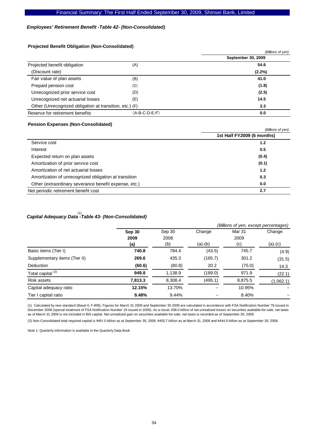# *Employees' Retirement Benefit -Table 42- (Non-Consolidated)*

### **Projected Benefit Obligation (Non-Consolidated)**

|               | (Billions of yen)                                       |
|---------------|---------------------------------------------------------|
|               | September 30, 2009                                      |
| (A)           | 54.6                                                    |
|               | $(2.2\%)$                                               |
| (B)           | 41.0                                                    |
| (C)           | (1.8)                                                   |
| (D)           | (2.5)                                                   |
| (E)           | 14.5                                                    |
|               | 3.3                                                     |
| (A-B-C-D-E-F) | 0.0                                                     |
|               | Other (Unrecognized obligation at transition, etc.) (F) |

#### **Pension Expenses (Non-Consolidated)**

|                                                       | (Billions of yen)          |
|-------------------------------------------------------|----------------------------|
|                                                       | 1st Half FY2009 (6 months) |
| Service cost                                          | 1.2                        |
| Interest                                              | 0.5                        |
| Expected return on plan assets                        | (0.4)                      |
| Amortization of prior service cost                    | (0.1)                      |
| Amortization of net actuarial losses                  | 1.2                        |
| Amortization of unrecognized obligation at transition | 0.3                        |
| Other (extraordinary severance benefit expense, etc.) | 0.0                        |
| Net periodic retirement benefit cost                  | 2.7                        |

# *Capital Adequacy Data -Table 43- (Non-Consolidated)*  (1)

|                               |         | (Billions of yen, except percentages) |           |         |           |  |  |  |  |
|-------------------------------|---------|---------------------------------------|-----------|---------|-----------|--|--|--|--|
|                               | Sep 30  | Sep 30                                | Change    | Mar 31  | Change    |  |  |  |  |
|                               | 2009    | 2008                                  |           | 2009    |           |  |  |  |  |
|                               | (a)     | (b)                                   | $(a)-(b)$ | (c)     | $(a)-(c)$ |  |  |  |  |
| Basic items (Tier I)          | 740.8   | 784.4                                 | (43.5)    | 745.7   | (4.9)     |  |  |  |  |
| Supplementary items (Tier II) | 269.6   | 435.3                                 | (165.7)   | 301.2   | (31.5)    |  |  |  |  |
| Deduction                     | (60.6)  | (80.8)                                | 20.2      | (75.0)  | 14.3      |  |  |  |  |
| Total capital <sup>(2)</sup>  | 949.8   | 1,138.9                               | (189.0)   | 971.9   | (22.1)    |  |  |  |  |
| <b>Risk assets</b>            | 7,813.3 | 8,308.4                               | (495.1)   | 8,875.5 | (1,062.1) |  |  |  |  |
| Capital adequacy ratio        | 12.15%  | 13.70%                                |           | 10.95%  |           |  |  |  |  |
| Tier I capital ratio          | 9.48%   | 9.44%                                 |           | 8.40%   |           |  |  |  |  |

(1) Calculated by new standard (Basel II, F-IRB). Figures for March 31 2009 and September 30 2009 are calculated in accordance with FSA Notification Number 79 issued in December 2008 (special treatment of FSA Notification Number 19 issued in 2006). As a result, ¥38.0 billion of net unrealized losses on securities available-for-sale, net taxes as of March 31 2009 is not included in BIS capital. Net unrealized gain on securities available-for-sale, net taxes is recorded as of September 30, 2009.

(2) Non-Consolidated total required capital is \401.5 billion as at September 30, 2009, \455.7 billion as at March 31, 2009 and \444.9 billion as at September 30, 2008.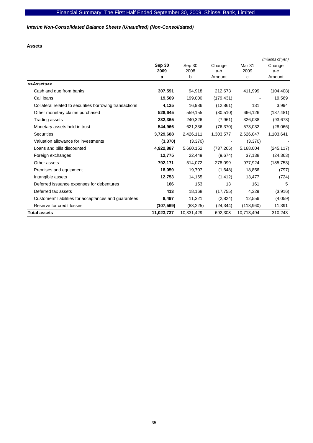# *Interim Non-Consolidated Balance Sheets (Unaudited) (Non-Consolidated)*

**Assets** 

|                                                         |            |            |            |            | (millions of yen) |
|---------------------------------------------------------|------------|------------|------------|------------|-------------------|
|                                                         | Sep 30     | Sep 30     | Change     | Mar 31     | Change            |
|                                                         | 2009       | 2008       | a-b        | 2009       | a-c               |
|                                                         | a          | b          | Amount     | с          | Amount            |
| < <assets>&gt;</assets>                                 |            |            |            |            |                   |
| Cash and due from banks                                 | 307,591    | 94,918     | 212,673    | 411,999    | (104, 408)        |
| Call loans                                              | 19,569     | 199,000    | (179, 431) |            | 19,569            |
| Collateral related to securities borrowing transactions | 4,125      | 16,986     | (12, 861)  | 131        | 3,994             |
| Other monetary claims purchased                         | 528,645    | 559,155    | (30, 510)  | 666,126    | (137, 481)        |
| Trading assets                                          | 232,365    | 240,326    | (7,961)    | 326,038    | (93, 673)         |
| Monetary assets held in trust                           | 544,966    | 621,336    | (76, 370)  | 573,032    | (28,066)          |
| <b>Securities</b>                                       | 3,729,688  | 2,426,111  | 1,303,577  | 2,626,047  | 1,103,641         |
| Valuation allowance for investments                     | (3, 370)   | (3,370)    |            | (3,370)    |                   |
| Loans and bills discounted                              | 4,922,887  | 5,660,152  | (737, 265) | 5,168,004  | (245, 117)        |
| Foreign exchanges                                       | 12,775     | 22,449     | (9,674)    | 37,138     | (24, 363)         |
| Other assets                                            | 792,171    | 514,072    | 278,099    | 977,924    | (185, 753)        |
| Premises and equipment                                  | 18,059     | 19,707     | (1,648)    | 18,856     | (797)             |
| Intangible assets                                       | 12,753     | 14,165     | (1, 412)   | 13,477     | (724)             |
| Deferred issuance expenses for debentures               | 166        | 153        | 13         | 161        | 5                 |
| Deferred tax assets                                     | 413        | 18,168     | (17, 755)  | 4,329      | (3,916)           |
| Customers' liabilities for acceptances and guarantees   | 8,497      | 11,321     | (2,824)    | 12,556     | (4,059)           |
| Reserve for credit losses                               | (107, 569) | (83, 225)  | (24, 344)  | (118,960)  | 11,391            |
| <b>Total assets</b>                                     | 11,023,737 | 10,331,429 | 692,308    | 10,713,494 | 310,243           |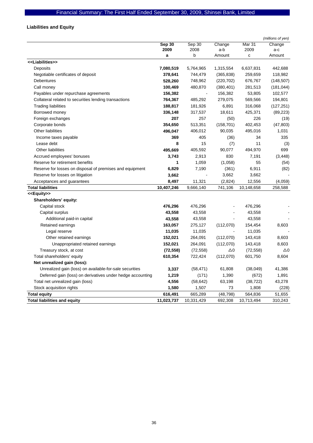# **Liabilities and Equity**

|                                                            |            |            |            |            | (millions of yen) |
|------------------------------------------------------------|------------|------------|------------|------------|-------------------|
|                                                            | Sep 30     | Sep 30     | Change     | Mar 31     | Change            |
|                                                            | 2009       | 2008       | a-b        | 2009       | a-c               |
|                                                            | a          | b          | Amount     | c          | Amount            |
| < <liabilities>&gt;</liabilities>                          |            |            |            |            |                   |
| Deposits                                                   | 7,080,519  | 5,764,965  | 1,315,554  | 6,637,831  | 442,688           |
| Negotiable certificates of deposit                         | 378,641    | 744,479    | (365, 838) | 259,659    | 118,982           |
| <b>Debentures</b>                                          | 528,260    | 748,962    | (220, 702) | 676,767    | (148, 507)        |
| Call money                                                 | 100,469    | 480,870    | (380, 401) | 281,513    | (181, 044)        |
| Payables under repurchase agreements                       | 156,382    |            | 156,382    | 53,805     | 102,577           |
| Collateral related to securities lending transactions      | 764,367    | 485,292    | 279,075    | 569,566    | 194,801           |
| <b>Trading liabilities</b>                                 | 188,817    | 181,926    | 6,891      | 316,068    | (127, 251)        |
| Borrowed money                                             | 336,148    | 317,537    | 18,611     | 425,371    | (89, 223)         |
| Foreign exchanges                                          | 207        | 257        | (50)       | 226        | (19)              |
| Corporate bonds                                            | 354,650    | 513,351    | (158, 701) | 402,453    | (47, 803)         |
| <b>Other liabilities</b>                                   | 496,047    | 406,012    | 90,035     | 495,016    | 1,031             |
| Income taxes payable                                       | 369        | 405        | (36)       | 34         | 335               |
| Lease debt                                                 | 8          | 15         | (7)        | 11         | (3)               |
| <b>Other liabilities</b>                                   | 495,669    | 405,592    | 90,077     | 494,970    | 699               |
| Accrued employees' bonuses                                 | 3,743      | 2,913      | 830        | 7,191      | (3, 448)          |
| Reserve for retirement benefits                            | 1          | 1,059      | (1,058)    | 55         | (54)              |
| Reserve for losses on disposal of premises and equipment   | 6,829      | 7,190      | (361)      | 6,911      | (82)              |
| Reserve for losses on litigation                           | 3,662      |            | 3,662      | 3,662      |                   |
| Acceptances and guarantees                                 | 8,497      | 11,321     | (2,824)    | 12,556     | (4,059)           |
| <b>Total liabilities</b>                                   | 10,407,246 | 9,666,140  | 741,106    | 10,148,658 | 258,588           |
| < <equity>&gt;</equity>                                    |            |            |            |            |                   |
| Shareholders' equity:                                      |            |            |            |            |                   |
| Capital stock                                              | 476,296    | 476,296    |            | 476,296    |                   |
| Capital surplus                                            | 43,558     | 43,558     |            | 43,558     |                   |
| Additional paid-in capital                                 | 43,558     | 43,558     |            | 43,558     |                   |
| Retained earnings                                          | 163,057    | 275,127    | (112,070)  | 154,454    | 8,603             |
| Legal reserve                                              | 11,035     | 11,035     |            | 11,035     |                   |
| Other retained earnings                                    | 152,021    | 264,091    | (112,070)  | 143,418    | 8,603             |
| Unappropriated retained earnings                           | 152,021    | 264,091    | (112,070)  | 143,418    | 8,603             |
| Treasury stock, at cost                                    | (72, 558)  | (72, 558)  | $\Delta 0$ | (72, 558)  | $\Delta 0$        |
| Total shareholders' equity                                 | 610,354    | 722,424    | (112,070)  | 601,750    | 8,604             |
| Net unrealized gain (loss):                                |            |            |            |            |                   |
| Unrealized gain (loss) on available-for-sale securities    | 3,337      | (58, 471)  | 61,808     | (38,049)   | 41,386            |
| Deferred gain (loss) on derivatives under hedge accounting | 1,219      | (171)      | 1,390      | (672)      | 1,891             |
| Total net unrealized gain (loss)                           | 4,556      | (58, 642)  | 63,198     | (38, 722)  | 43,278            |
| Stock acquisition rights                                   | 1,580      | 1,507      | 73         | 1,808      | (228)             |
| <b>Total equity</b>                                        | 616,491    | 665,289    | (48, 798)  | 564,836    | 51,655            |
| <b>Total liabilities and equity</b>                        | 11,023,737 | 10,331,429 | 692,308    | 10,713,494 | 310,243           |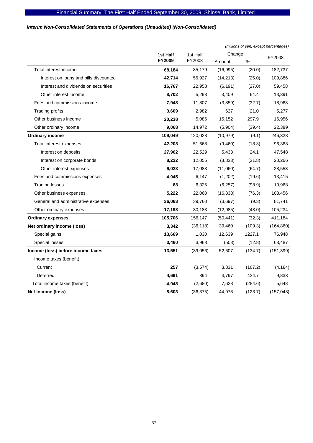# *Interim Non-Consolidated Statements of Operations (Unaudited) (Non-Consolidated)*

|                                        |               |           |           | (millions of yen, except percentages) |            |  |
|----------------------------------------|---------------|-----------|-----------|---------------------------------------|------------|--|
|                                        | 1st Half      | 1st Half  | Change    |                                       | FY2008     |  |
|                                        | <b>FY2009</b> | FY2008    | Amount    | $\%$                                  |            |  |
| Total interest income                  | 68,184        | 85,179    | (16, 995) | (20.0)                                | 182,737    |  |
| Interest on loans and bills discounted | 42,714        | 56,927    | (14, 213) | (25.0)                                | 109,886    |  |
| Interest and dividends on securities   | 16,767        | 22,958    | (6, 191)  | (27.0)                                | 59,458     |  |
| Other interest income                  | 8,702         | 5,293     | 3,409     | 64.4                                  | 13,391     |  |
| Fees and commissions income            | 7,948         | 11,807    | (3,859)   | (32.7)                                | 18,963     |  |
| <b>Trading profits</b>                 | 3,609         | 2,982     | 627       | 21.0                                  | 5,277      |  |
| Other business income                  | 20,238        | 5,086     | 15,152    | 297.9                                 | 16,956     |  |
| Other ordinary income                  | 9,068         | 14,972    | (5,904)   | (39.4)                                | 22,389     |  |
| <b>Ordinary income</b>                 | 109,049       | 120,028   | (10, 979) | (9.1)                                 | 246,323    |  |
| Total interest expenses                | 42,208        | 51,668    | (9,460)   | (18.3)                                | 96,368     |  |
| Interest on deposits                   | 27,962        | 22,529    | 5,433     | 24.1                                  | 47,548     |  |
| Interest on corporate bonds            | 8,222         | 12,055    | (3,833)   | (31.8)                                | 20,266     |  |
| Other interest expenses                | 6,023         | 17,083    | (11,060)  | (64.7)                                | 28,553     |  |
| Fees and commissions expenses          | 4,945         | 6,147     | (1,202)   | (19.6)                                | 13,415     |  |
| <b>Trading losses</b>                  | 68            | 6,325     | (6,257)   | (98.9)                                | 10,968     |  |
| Other business expenses                | 5,222         | 22,060    | (16, 838) | (76.3)                                | 103,456    |  |
| General and administrative expenses    | 36,063        | 39,760    | (3,697)   | (9.3)                                 | 81,741     |  |
| Other ordinary expenses                | 17,198        | 30,183    | (12,985)  | (43.0)                                | 105,234    |  |
| <b>Ordinary expenses</b>               | 105,706       | 156,147   | (50, 441) | (32.3)                                | 411,184    |  |
| Net ordinary income (loss)             | 3,342         | (36, 118) | 39,460    | (109.3)                               | (164, 860) |  |
| Special gains                          | 13,669        | 1,030     | 12,639    | 1227.1                                | 76,948     |  |
| Special losses                         | 3,460         | 3,968     | (508)     | (12.8)                                | 63,487     |  |
| Income (loss) before income taxes      | 13,551        | (39,056)  | 52,607    | (134.7)                               | (151, 399) |  |
| Income taxes (benefit)                 |               |           |           |                                       |            |  |
| Current                                | 257           | (3,574)   | 3,831     | (107.2)                               | (4, 184)   |  |
| Deferred                               | 4,691         | 894       | 3,797     | 424.7                                 | 9,833      |  |
| Total income taxes (benefit)           | 4,948         | (2,680)   | 7,628     | (284.6)                               | 5,648      |  |
| Net income (loss)                      | 8,603         | (36, 375) | 44,978    | (123.7)                               | (157, 048) |  |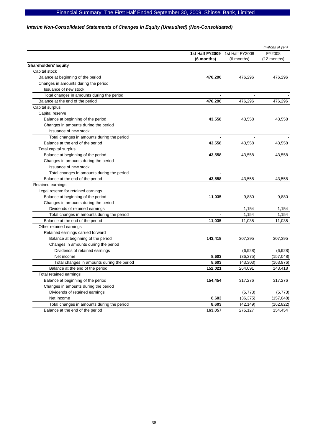# Financial Summary: The First Half Ended September 30, 2009, Shinsei Bank, Limited

# *Interim Non-Consolidated Statements of Changes in Equity (Unaudited) (Non-Consolidated)*

|                                            |                 |                 | (millions of yen) |
|--------------------------------------------|-----------------|-----------------|-------------------|
|                                            | 1st Half FY2009 | 1st Half FY2008 | FY2008            |
|                                            | (6 months)      | $(6$ months)    | (12 months)       |
| <b>Shareholders' Equity</b>                |                 |                 |                   |
| Capital stock                              |                 |                 |                   |
| Balance at beginning of the period         | 476,296         | 476,296         | 476,296           |
| Changes in amounts during the period       |                 |                 |                   |
| Issuance of new stock                      |                 |                 |                   |
| Total changes in amounts during the period |                 |                 |                   |
| Balance at the end of the period           | 476,296         | 476,296         | 476,296           |
| Capital surplus                            |                 |                 |                   |
| Capital reserve                            |                 |                 |                   |
| Balance at beginning of the period         | 43,558          | 43,558          | 43,558            |
| Changes in amounts during the period       |                 |                 |                   |
| Issuance of new stock                      |                 |                 |                   |
| Total changes in amounts during the period |                 |                 |                   |
| Balance at the end of the period           | 43,558          | 43,558          | 43,558            |
| Total capital surplus                      |                 |                 |                   |
| Balance at beginning of the period         | 43,558          | 43,558          | 43,558            |
| Changes in amounts during the period       |                 |                 |                   |
| Issuance of new stock                      |                 |                 |                   |
| Total changes in amounts during the period |                 |                 |                   |
| Balance at the end of the period           | 43.558          | 43.558          | 43,558            |
| Retained earnings                          |                 |                 |                   |
| Legal reserve for retained earnings        |                 |                 |                   |
| Balance at beginning of the period         | 11,035          | 9,880           | 9,880             |
| Changes in amounts during the period       |                 |                 |                   |
| Dividends of retained earnings             |                 | 1,154           | 1,154             |
| Total changes in amounts during the period | $\blacksquare$  | 1,154           | 1,154             |
| Balance at the end of the period           | 11,035          | 11,035          | 11,035            |
| Other retained earnings                    |                 |                 |                   |
| Retained earnings carried forward          |                 |                 |                   |
| Balance at beginning of the period         | 143,418         | 307,395         | 307,395           |
| Changes in amounts during the period       |                 |                 |                   |
| Dividends of retained earnings             |                 | (6,928)         | (6,928)           |
| Net income                                 | 8,603           | (36, 375)       | (157, 048)        |
| Total changes in amounts during the period | 8,603           | (43, 303)       | (163, 976)        |
| Balance at the end of the period           | 152,021         | 264,091         | 143,418           |
| Total retained earnings                    |                 |                 |                   |
| Balance at beginning of the period         | 154,454         | 317,276         | 317,276           |
| Changes in amounts during the period       |                 |                 |                   |
| Dividends of retained earnings             |                 | (5, 773)        | (5, 773)          |
| Net income                                 | 8,603           | (36, 375)       | (157, 048)        |
| Total changes in amounts during the period | 8,603           | (42, 149)       | (162, 822)        |
| Balance at the end of the period           | 163,057         | 275,127         | 154,454           |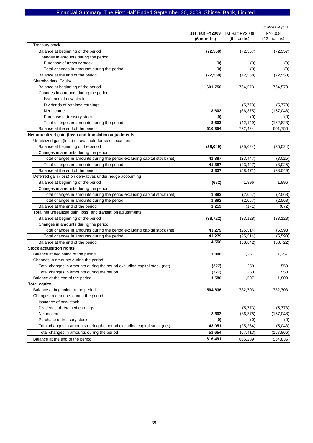# Financial Summary: The First Half Ended September 30, 2009, Shinsei Bank, Limited

|                                                                          |                 |                 | (millions of yen) |
|--------------------------------------------------------------------------|-----------------|-----------------|-------------------|
|                                                                          | 1st Half FY2009 | 1st Half FY2008 | FY2008            |
|                                                                          | (6 months)      | (6 months)      | (12 months)       |
| Treasury stock                                                           |                 |                 |                   |
| Balance at beginning of the period                                       | (72, 558)       | (72, 557)       | (72, 557)         |
| Changes in amounts during the period                                     |                 |                 |                   |
| Purchase of treasury stock                                               | (0)             | (0)             | (0)               |
| Total changes in amounts during the period                               | (0)             | (0)             | (0)               |
| Balance at the end of the period                                         | (72, 558)       | (72, 558)       | (72, 558)         |
| Shareholders' Equity                                                     |                 |                 |                   |
| Balance at beginning of the period                                       | 601,750         | 764,573         | 764,573           |
| Changes in amounts during the period                                     |                 |                 |                   |
| Issuance of new stock                                                    |                 |                 |                   |
| Dividends of retained earnings                                           |                 | (5, 773)        | (5, 773)          |
| Net income                                                               | 8,603           | (36, 375)       | (157, 048)        |
| Purchase of treasury stock                                               | (0)             | (0)             | (0)               |
| Total changes in amounts during the period                               | 8,603           | (42, 149)       | (162, 823)        |
| Balance at the end of the period                                         | 610,354         | 722,424         | 601,750           |
| Net unrealized gain (loss) and translation adjustments                   |                 |                 |                   |
| Unrealized gain (loss) on available-for-sale securities                  |                 |                 |                   |
| Balance at beginning of the period                                       | (38,049)        | (35,024)        | (35,024)          |
| Changes in amounts during the period                                     |                 |                 |                   |
| Total changes in amounts during the period excluding capital stock (net) | 41,387          | (23, 447)       | (3,025)           |
| Total changes in amounts during the period                               | 41,387          | (23, 447)       | (3,025)           |
| Balance at the end of the period                                         | 3,337           | (58, 471)       | (38, 049)         |
| Deferred gain (loss) on derivatives under hedge accounting               |                 |                 |                   |
| Balance at beginning of the period                                       | (672)           | 1,896           | 1,896             |
| Changes in amounts during the period                                     |                 |                 |                   |
| Total changes in amounts during the period excluding capital stock (net) | 1,892           | (2,067)         | (2,568)           |
| Total changes in amounts during the period                               | 1,892           | (2,067)         | (2,568)           |
| Balance at the end of the period                                         | 1,219           | (171)           | (672)             |
| Total net unrealized gain (loss) and translation adjustments             |                 |                 |                   |
| Balance at beginning of the period                                       | (38, 722)       | (33, 128)       | (33, 128)         |
| Changes in amounts during the period                                     |                 |                 |                   |
| Total changes in amounts during the period excluding capital stock (net) | 43,279          | (25, 514)       | (5, 593)          |
| Total changes in amounts during the period                               | 43,279          | (25, 514)       | (5, 593)          |
| Balance at the end of the period                                         | 4,556           | (58, 642)       | (38, 722)         |
| <b>Stock acquisition rights</b>                                          |                 |                 |                   |
| Balance at beginning of the period                                       | 1,808           | 1,257           | 1,257             |
| Changes in amounts during the period                                     |                 |                 |                   |
| Total changes in amounts during the period excluding capital stock (net) | (227)           | 250             | 550               |
| Total changes in amounts during the period                               | (227)           | 250             | 550               |
| Balance at the end of the period                                         | 1,580           | 1,507           | 1,808             |
| <b>Total equity</b>                                                      |                 |                 |                   |
| Balance at beginning of the period                                       | 564,836         | 732,703         | 732,703           |
| Changes in amounts during the period                                     |                 |                 |                   |
| Issuance of new stock                                                    |                 |                 |                   |
| Dividends of retained earnings                                           |                 | (5, 773)        | (5,773)           |
| Net income                                                               | 8,603           | (36, 375)       | (157, 048)        |
| Purchase of treasury stock                                               | (0)             | (0)             | (0)               |
| Total changes in amounts during the period excluding capital stock (net) | 43,051          | (25, 264)       | (5,043)           |
| Total changes in amounts during the period                               | 51,654          | (67, 413)       | (167, 866)        |
| Balance at the end of the period                                         | 616,491         | 665,289         | 564,836           |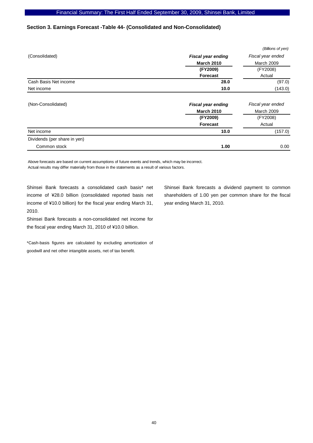# **Section 3. Earnings Forecast -Table 44- (Consolidated and Non-Consolidated)**

|                              |                           | (Billions of yen) |
|------------------------------|---------------------------|-------------------|
| (Consolidated)               | <b>Fiscal year ending</b> | Fiscal year ended |
|                              | <b>March 2010</b>         | March 2009        |
|                              | (FY2009)                  | (FY2008)          |
|                              | Forecast                  | Actual            |
| Cash Basis Net income        | 28.0                      | (97.0)            |
| Net income                   | 10.0                      | (143.0)           |
| (Non-Consolidated)           | <b>Fiscal year ending</b> | Fiscal year ended |
|                              | <b>March 2010</b>         | March 2009        |
|                              | (FY2009)                  | (FY2008)          |
|                              | Forecast                  | Actual            |
| Net income                   | 10.0                      | (157.0)           |
| Dividends (per share in yen) |                           |                   |
| Common stock                 | 1.00                      | 0.00              |

Above forecasts are based on current assumptions of future events and trends, which may be incorrect. Actual results may differ materially from those in the statements as a result of various factors.

Shinsei Bank forecasts a consolidated cash basis\* net income of ¥28.0 billion (consolidated reported basis net income of ¥10.0 billion) for the fiscal year ending March 31, 2010.

Shinsei Bank forecasts a non-consolidated net income for the fiscal year ending March 31, 2010 of ¥10.0 billion.

\*Cash-basis figures are calculated by excluding amortization of goodwill and net other intangible assets, net of tax benefit.

Shinsei Bank forecasts a dividend payment to common shareholders of 1.00 yen per common share for the fiscal year ending March 31, 2010.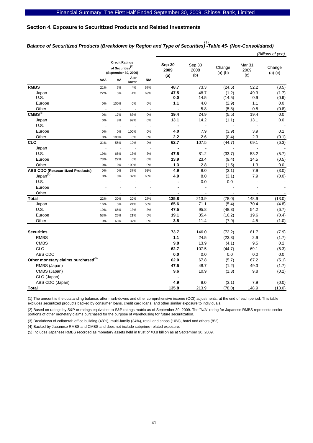# **Section 4. Exposure to Securitized Products and Related Investments**

# *Balance of Securitized Products (Breakdown by Region and Type of Securities) -Table 45- (Non-Consolidated)*  (1)

|                                                |     |                                                                               |                |                          |                          |                       |                     |                                  | (Billions of yen)   |
|------------------------------------------------|-----|-------------------------------------------------------------------------------|----------------|--------------------------|--------------------------|-----------------------|---------------------|----------------------------------|---------------------|
|                                                |     | <b>Credit Ratings</b><br>of Securities <sup>(2)</sup><br>(September 30, 2009) |                |                          | Sep 30<br>2009<br>(a)    | Sep 30<br>2008<br>(b) | Change<br>$(a)-(b)$ | Mar <sub>31</sub><br>2009<br>(c) | Change<br>$(a)-(c)$ |
|                                                | AAA | AA                                                                            | A or<br>lower  | N/A                      |                          |                       |                     |                                  |                     |
| <b>RMBS</b>                                    | 21% | 7%                                                                            | 4%             | 67%                      | 48.7                     | 73.3                  | (24.6)              | 52.2                             | (3.5)               |
| Japan                                          | 22% | 5%                                                                            | 4%             | 69%                      | 47.5                     | 48.7                  | (1.2)               | 49.3                             | (1.7)               |
| U.S.                                           |     | $\overline{a}$                                                                | $\overline{a}$ |                          | 0.0                      | 14.5                  | (14.5)              | 0.9                              | (0.9)               |
| Europe                                         | 0%  | 100%                                                                          | 0%             | 0%                       | $1.1$                    | 4.0                   | (2.9)               | 1.1                              | 0.0                 |
| Other                                          |     |                                                                               |                |                          |                          | 5.8                   | (5.8)               | 0.8                              | (0.8)               |
| CMBS <sup>(3)</sup>                            | 0%  | 17%                                                                           | 83%            | 0%                       | 19.4                     | 24.9                  | (5.5)               | 19.4                             | 0.0                 |
| Japan                                          | 0%  | 8%                                                                            | 92%            | 0%                       | 13.1                     | 14.2                  | (1.1)               | 13.1                             | 0.0                 |
| U.S.                                           | ÷,  | $\overline{\phantom{a}}$                                                      |                | $\overline{\phantom{a}}$ | $\blacksquare$           | $\overline{a}$        |                     | $\overline{a}$                   |                     |
| Europe                                         | 0%  | 0%                                                                            | 100%           | 0%                       | 4.0                      | 7.9                   | (3.9)               | 3.9                              | 0.1                 |
| Other                                          | 0%  | 100%                                                                          | 0%             | $0\%$                    | 2.2                      | 2.6                   | (0.4)               | 2.3                              | (0.1)               |
| <b>CLO</b>                                     | 31% | 55%                                                                           | 12%            | 2%                       | 62.7                     | 107.5                 | (44.7)              | 69.1                             | (6.3)               |
| Japan                                          |     | $\overline{\phantom{a}}$                                                      | $\overline{a}$ | $\overline{\phantom{a}}$ | $\overline{\phantom{a}}$ | $\overline{a}$        |                     | $\overline{a}$                   |                     |
| U.S.                                           | 19% | 65%                                                                           | 13%            | 3%                       | 47.5                     | 81.2                  | (33.7)              | 53.2                             | (5.7)               |
| Europe                                         | 73% | 27%                                                                           | 0%             | 0%                       | 13.9                     | 23.4                  | (9.4)               | 14.5                             | (0.5)               |
| Other                                          | 0%  | 0%                                                                            | 100%           | 0%                       | 1.3                      | 2.8                   | (1.5)               | 1.3                              | 0.0                 |
| <b>ABS CDO (Resecuritized Products)</b>        | 0%  | 0%                                                                            | 37%            | 63%                      | 4.9                      | 8.0                   | (3.1)               | 7.9                              | (3.0)               |
| Japan <sup>(4)</sup>                           | 0%  | 0%                                                                            | 37%            | 63%                      | 4.9                      | 8.0                   | (3.1)               | 7.9                              | (0.0)               |
| U.S.                                           |     |                                                                               |                |                          |                          | 0.0                   | 0.0                 |                                  |                     |
| Europe                                         |     |                                                                               |                |                          |                          | ÷,                    |                     |                                  |                     |
| Other                                          |     |                                                                               |                |                          |                          |                       |                     |                                  |                     |
| <b>Total</b>                                   | 22% | 30%                                                                           | 20%            | 27%                      | 135.8                    | 213.9                 | (78.0)              | 148.9                            | (13.0)              |
| Japan                                          | 16% | 5%                                                                            | 24%            | 55%                      | 65.6                     | 71.1                  | (5.4)               | 70.4                             | (4.8)               |
| U.S.                                           | 19% | 65%                                                                           | 13%            | 3%                       | 47.5                     | 95.8                  | (48.3)              | 54.2                             | (6.7)               |
| Europe                                         | 53% | 26%                                                                           | 21%            | 0%                       | 19.1                     | 35.4                  | (16.2)              | 19.6                             | (0.4)               |
| Other                                          | 0%  | 63%                                                                           | 37%            | 0%                       | 3.5                      | 11.4                  | (7.9)               | 4.5                              | (1.0)               |
|                                                |     |                                                                               |                |                          |                          |                       |                     |                                  |                     |
| <b>Securities</b>                              |     |                                                                               |                |                          | 73.7                     | 146.0                 | (72.2)              | 81.7                             | (7.9)               |
| <b>RMBS</b>                                    |     |                                                                               |                |                          | 1.1                      | 24.5                  | (23.3)              | 2.9                              | (1.7)               |
| <b>CMBS</b>                                    |     |                                                                               |                |                          | 9.8                      | 13.9                  | (4.1)               | 9.5                              | 0.2                 |
| CLO                                            |     |                                                                               |                |                          | 62.7                     | 107.5                 | (44.7)              | 69.1                             | (6.3)               |
| ABS CDO                                        |     |                                                                               |                |                          | 0.0                      | 0.0                   | 0.0                 | 0.0                              | 0.0                 |
| Other monetary claims purchased <sup>(5)</sup> |     |                                                                               |                |                          | 62.0                     | 67.8                  | (5.7)               | 67.2                             | (5.1)               |
| RMBS (Japan)                                   |     |                                                                               |                |                          | 47.5                     | 48.7                  | (1.2)               | 49.3                             | (1.7)               |
| CMBS (Japan)                                   |     |                                                                               |                |                          | 9.6                      | 10.9                  | (1.3)               | 9.8                              | (0.2)               |
| CLO (Japan)                                    |     |                                                                               |                |                          |                          | ÷,                    |                     |                                  |                     |
| ABS CDO (Japan)                                |     |                                                                               |                |                          | 4.9                      | 8.0                   | (3.1)               | 7.9                              | (0.0)               |
| <b>Total</b>                                   |     |                                                                               |                |                          | 135.8                    | 213.9                 | (78.0)              | 148.9                            | (13.0)              |

(1) The amount is the outstanding balance, after mark-downs and other comprehensive income (OCI) adjustments, at the end of each period. This table excludes securitized products backed by consumer loans, credit card loans, and other similar exposure to individuals.

(2) Based on ratings by S&P or ratings equivalent to S&P ratings matrix as of September 30, 2009. The "N/A" rating for Japanese RMBS represents senior portions of other monetary claims purchased for the purpose of warehousing for future securitization.

(3) Breakdown of collateral: office building (48%), multi-family (34%), retail and shops (10%), hotel and others (8%)

(4) Backed by Japanese RMBS and CMBS and does not include subprime-related exposure.

(5) Includes Japanese RMBS recorded as monetary assets held in trust of \3.8 billion as at September 30, 2009.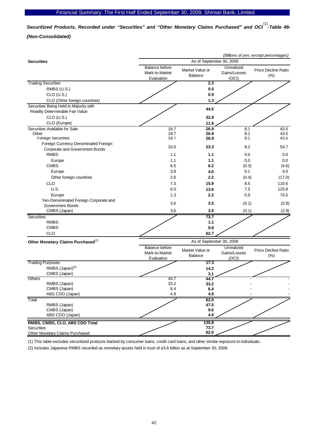Securitized Products, Recorded under "Securities" and "Other Monetary Claims Purchased" and OCI<sup>(1)</sup>-Table 46-*(Non-Consolidated)* 

| (Billions of yen, except percentages)          |                                                       |                                   |                                     |                                |  |  |  |
|------------------------------------------------|-------------------------------------------------------|-----------------------------------|-------------------------------------|--------------------------------|--|--|--|
| <b>Securities</b>                              | As of September 30, 2009                              |                                   |                                     |                                |  |  |  |
|                                                | <b>Balance before</b><br>Mark-to-Market<br>Evaluation | Market Value or<br><b>Balance</b> | Unrealized<br>Gains/Losses<br>(OCI) | Price Decline Ratio<br>$(\% )$ |  |  |  |
| <b>Trading Securities</b>                      |                                                       | 2.3                               |                                     |                                |  |  |  |
| RMBS (U.S.)                                    |                                                       | 0.0                               |                                     |                                |  |  |  |
| $CLO$ (U.S.)                                   |                                                       | 0.9                               |                                     |                                |  |  |  |
| CLO (Other foreign countries)                  |                                                       | 1.3                               |                                     |                                |  |  |  |
| Securities Being Held to Maturity with         |                                                       | 44.5                              |                                     |                                |  |  |  |
| Readily Determinable Fair Value                |                                                       |                                   |                                     |                                |  |  |  |
| $CLO$ (U.S.)                                   |                                                       | 32.8                              |                                     |                                |  |  |  |
| CLO (Europe)                                   |                                                       | 11.6                              |                                     |                                |  |  |  |
| Securities Available for Sale                  | 18.7                                                  | 26.9                              | 8.1                                 | 43.5                           |  |  |  |
| Other                                          | 18.7                                                  | 26.9                              | 8.1                                 | 43.5                           |  |  |  |
| <b>Foreign Securities</b>                      | 18.7                                                  | 26.9                              | 8.1                                 | 43.5                           |  |  |  |
| Foreign Currency Denominated Foreign           | 15.0                                                  | 23.3                              | 8.2                                 | 54.7                           |  |  |  |
| Corporate and Government Bonds                 |                                                       |                                   |                                     |                                |  |  |  |
| <b>RMBS</b>                                    | 1.1                                                   | 1.1                               | 0.0                                 | 0.0                            |  |  |  |
| Europe                                         | 1.1                                                   | 1.1                               | 0.0                                 | 0.0                            |  |  |  |
| <b>CMBS</b>                                    | 6.5                                                   | 6.2                               | (0.3)                               | (4.6)                          |  |  |  |
| Europe                                         | 3.8                                                   | 4.0                               | 0.1                                 | 4.0                            |  |  |  |
| Other foreign countries                        | 2.6                                                   | 2.2                               | (0.4)                               | (17.0)                         |  |  |  |
| CLO                                            | 7.3                                                   | 15.9                              | 8.5                                 | 116.6                          |  |  |  |
| U.S.                                           | 6.0                                                   | 13.6                              | 7.5                                 | 125.8                          |  |  |  |
| Europe                                         | 1.3                                                   | 2.2                               | 0.9                                 | 74.5                           |  |  |  |
| Yen-Denominated Foreign Corporate and          | 3.6                                                   | 3.5                               | (0.1)                               | (2.9)                          |  |  |  |
| <b>Government Bonds</b>                        |                                                       |                                   |                                     |                                |  |  |  |
| CMBS (Japan)                                   | 3.6                                                   | 3.5                               | (0.1)                               | (2.9)                          |  |  |  |
| Securities                                     |                                                       | 73.7                              |                                     |                                |  |  |  |
| <b>RMBS</b>                                    |                                                       | 1.1                               |                                     |                                |  |  |  |
| <b>CMBS</b>                                    |                                                       | 9.8                               |                                     |                                |  |  |  |
| <b>CLO</b>                                     |                                                       | 62.7                              |                                     |                                |  |  |  |
| Other Monetary Claims Purchased <sup>(2)</sup> |                                                       | As of September 30, 2009          |                                     |                                |  |  |  |
|                                                | <b>Balance before</b><br>Mark-to-Market               | Market Value or<br><b>Balance</b> | Unrealized<br>Gains/Losses          | Price Decline Ratio<br>(%)     |  |  |  |
| <b>Trading Purposes</b>                        | Evaluation                                            | 17.3                              | (OCI)                               |                                |  |  |  |
| RMBS (Japan) <sup>(2)</sup>                    |                                                       |                                   |                                     |                                |  |  |  |
| CMBS (Japan)                                   |                                                       | 14.2<br>3.1                       |                                     |                                |  |  |  |
| Others                                         | 44.7                                                  | 44.7                              |                                     |                                |  |  |  |
| RMBS (Japan)                                   | 33.2                                                  | 33.2                              |                                     |                                |  |  |  |
| CMBS (Japan)                                   | 6.4                                                   | 6.4                               |                                     |                                |  |  |  |
| ABS CDO (Japan)                                | 4.9                                                   | 4.9                               |                                     |                                |  |  |  |
| Total                                          |                                                       | 62.0                              |                                     |                                |  |  |  |
| RMBS (Japan)                                   |                                                       | 47.5                              |                                     |                                |  |  |  |
| CMBS (Japan)                                   |                                                       | 9.6                               |                                     |                                |  |  |  |
| ABS CDO (Japan)                                |                                                       | 4.9                               |                                     |                                |  |  |  |
| RMBS, CMBS, CLO, ABS CDO Total                 |                                                       | 135.8                             |                                     |                                |  |  |  |
| <b>Securities</b>                              |                                                       | 73.7                              |                                     |                                |  |  |  |
| <b>Other Monetary Claims Purchased</b>         |                                                       | 62.0                              |                                     |                                |  |  |  |

(1) This table excludes securitized products backed by consumer loans, credit card loans, and other similar exposure to individuals.

(2) Includes Japanese RMBS recorded as monetary assets held in trust of \3.8 billion as at September 30, 2009.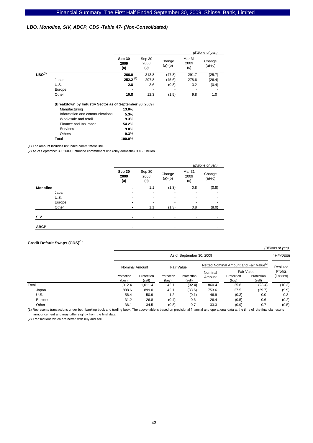# *LBO, Monoline, SIV, ABCP, CDS -Table 47- (Non-Consolidated)*

|             |                                                         |                       |                       |                     |                       | (Billions of yen)   |
|-------------|---------------------------------------------------------|-----------------------|-----------------------|---------------------|-----------------------|---------------------|
|             |                                                         | Sep 30<br>2009<br>(a) | Sep 30<br>2008<br>(b) | Change<br>$(a)-(b)$ | Mar 31<br>2009<br>(c) | Change<br>$(a)-(c)$ |
| $LBO^{(1)}$ |                                                         | 266.0                 | 313.8                 | (47.8)              | 291.7                 | (25.7)              |
|             | Japan                                                   | $252.2^{(2)}$         | 297.8                 | (45.6)              | 278.6                 | (26.4)              |
|             | U.S.                                                    | 2.8                   | 3.6                   | (0.8)               | 3.2                   | (0.4)               |
|             | Europe                                                  |                       |                       |                     |                       |                     |
|             | Other                                                   | 10.8                  | 12.3                  | (1.5)               | 9.8                   | 1.0                 |
|             | (Breakdown by Industry Sector as of September 30, 2009) |                       |                       |                     |                       |                     |
|             | Manufacturing                                           | 13.0%                 |                       |                     |                       |                     |
|             | Information and communications                          | 5.3%                  |                       |                     |                       |                     |
|             | Wholesale and retail                                    | 9.3%                  |                       |                     |                       |                     |
|             | Finance and Insurance                                   | 54.2%                 |                       |                     |                       |                     |
|             | Services                                                | $9.0\%$               |                       |                     |                       |                     |
|             | <b>Others</b>                                           | 9.3%                  |                       |                     |                       |                     |
|             | Total                                                   | 100.0%                |                       |                     |                       |                     |

(1) The amount includes unfunded commitment line.

(2) As of September 30, 2009, unfunded commitment line (only domestic) is \5.6 billion.

|             |                       |                          |                     |                       | (Billions of yen)   |
|-------------|-----------------------|--------------------------|---------------------|-----------------------|---------------------|
|             | Sep 30<br>2009<br>(a) | Sep 30<br>2008<br>(b)    | Change<br>$(a)-(b)$ | Mar 31<br>2009<br>(c) | Change<br>$(a)-(c)$ |
| Monoline    | -                     | 1.1                      | (1.3)               | 0.8                   | (0.8)               |
| Japan       | -                     | ٠                        | ٠                   | ۰                     | ۰                   |
| U.S.        | -                     | $\overline{a}$           | ٠                   | ۰                     |                     |
| Europe      | -                     | $\overline{\phantom{0}}$ | ٠                   | ۰                     |                     |
| Other       | $\blacksquare$        | 1.1                      | (1.3)               | 0.8                   | (8.0)               |
| SIV         | $\blacksquare$        | ٠                        | ٠                   |                       | ۰                   |
| <b>ABCP</b> |                       | ٠                        | ٠                   | -                     | ۰                   |

### **Credit Default Swaps (CDS)(1)**

|        |                     |                      |                     |                          |                   |                                                     |                      | (Billions of yen)          |  |
|--------|---------------------|----------------------|---------------------|--------------------------|-------------------|-----------------------------------------------------|----------------------|----------------------------|--|
|        |                     |                      |                     | As of September 30, 2009 |                   |                                                     |                      | 1HFY2009                   |  |
|        |                     | Nominal Amount       |                     | Fair Value               |                   | Netted Nominal Amount and Fair Value <sup>(2)</sup> |                      |                            |  |
|        |                     |                      |                     |                          |                   | Fair Value                                          |                      | Realized<br><b>Profits</b> |  |
|        | Protection<br>(buy) | Protection<br>(sell) | Protection<br>(buy) | Protection<br>(sell)     | Nominal<br>Amount | Protection<br>(buy)                                 | Protection<br>(sell) | (Losses)                   |  |
| Total  | 1,012.4             | 1,011.4              | 42.1                | (32.4)                   | 860.4             | 25.6                                                | (28.4)               | (10.3)                     |  |
| Japan  | 888.6               | 899.0                | 42.1                | (33.6)                   | 753.6             | 27.5                                                | (29.7)               | (9.9)                      |  |
| U.S.   | 56.4                | 50.9                 | 1.2                 | (0.1)                    | 46.9              | (0.3)                                               | 0.0                  | 0.3                        |  |
| Europe | 31.2                | 26.8                 | (0.4)               | 0.6                      | 26.4              | (0.5)                                               | 0.6                  | (0.2)                      |  |
| Other  | 36.1                | 34.5                 | (0.8)               | 0.7                      | 33.3              | (0.9)                                               | 0.7                  | (0.5)                      |  |

(1) Represents transactions under both banking book and trading book. The above table is based on provisional financial and operational data at the time of the financial results announcement and may differ slightly from the final data.

(2) Transactions which are netted with buy and sell.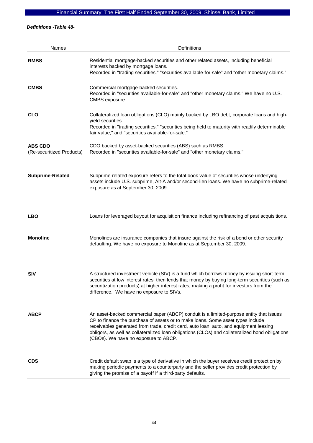# Financial Summary: The First Half Ended September 30, 2009, Shinsei Bank, Limited

*Definitions -Table 48-* 

| <b>Names</b>                                | Definitions                                                                                                                                                                                                                                                                                                                                                                                                    |
|---------------------------------------------|----------------------------------------------------------------------------------------------------------------------------------------------------------------------------------------------------------------------------------------------------------------------------------------------------------------------------------------------------------------------------------------------------------------|
| <b>RMBS</b>                                 | Residential mortgage-backed securities and other related assets, including beneficial<br>interests backed by mortgage loans.<br>Recorded in "trading securities," "securities available-for-sale" and "other monetary claims."                                                                                                                                                                                 |
| <b>CMBS</b>                                 | Commercial mortgage-backed securities.<br>Recorded in "securities available-for-sale" and "other monetary claims." We have no U.S.<br>CMBS exposure.                                                                                                                                                                                                                                                           |
| <b>CLO</b>                                  | Collateralized loan obligations (CLO) mainly backed by LBO debt, corporate loans and high-<br>yield securities.<br>Recorded in "trading securities," "securities being held to maturity with readily determinable<br>fair value," and "securities available-for-sale."                                                                                                                                         |
| <b>ABS CDO</b><br>(Re-securitized Products) | CDO backed by asset-backed securities (ABS) such as RMBS.<br>Recorded in "securities available-for-sale" and "other monetary claims."                                                                                                                                                                                                                                                                          |
| Subprime-Related                            | Subprime-related exposure refers to the total book value of securities whose underlying<br>assets include U.S. subprime, Alt-A and/or second-lien loans. We have no subprime-related<br>exposure as at September 30, 2009.                                                                                                                                                                                     |
| <b>LBO</b>                                  | Loans for leveraged buyout for acquisition finance including refinancing of past acquisitions.                                                                                                                                                                                                                                                                                                                 |
| <b>Monoline</b>                             | Monolines are insurance companies that insure against the risk of a bond or other security<br>defaulting. We have no exposure to Monoline as at September 30, 2009.                                                                                                                                                                                                                                            |
| <b>SIV</b>                                  | A structured investment vehicle (SIV) is a fund which borrows money by issuing short-term<br>securities at low interest rates, then lends that money by buying long-term securities (such as<br>securitization products) at higher interest rates, making a profit for investors from the<br>difference. We have no exposure to SIVs.                                                                          |
| <b>ABCP</b>                                 | An asset-backed commercial paper (ABCP) conduit is a limited-purpose entity that issues<br>CP to finance the purchase of assets or to make loans. Some asset types include<br>receivables generated from trade, credit card, auto loan, auto, and equipment leasing<br>obligors, as well as collateralized loan obligations (CLOs) and collateralized bond obligations<br>(CBOs). We have no exposure to ABCP. |
| <b>CDS</b>                                  | Credit default swap is a type of derivative in which the buyer receives credit protection by<br>making periodic payments to a counterparty and the seller provides credit protection by<br>giving the promise of a payoff if a third-party defaults.                                                                                                                                                           |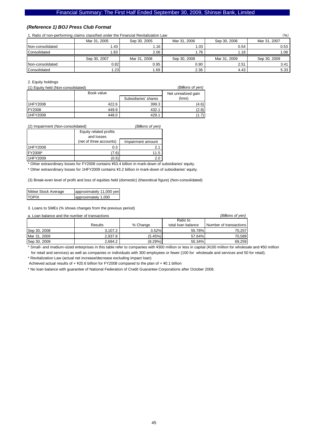### *(Reference 1) BOJ Press Club Format*

1. Ratio of non-performing claims classified under the Financial Revitalization Law (%)

|                  | Mar 31, 2005 | Sep 30, 2005 | Mar 31, 2006 | Sep 30, 2006 | Mar 31, 2007 |
|------------------|--------------|--------------|--------------|--------------|--------------|
| Non-consolidated | 1.43         | 1.16         | 1.03         | 0.54         | 0.53         |
| Consolidated     | 1.83         | 2.06         | 1.76         | i.18         | . .08        |
|                  | Sep 30, 2007 | Mar 31, 2008 | Sep 30, 2008 | Mar 31, 2009 | Sep 30, 2009 |
| Non-consolidated | 0.82         | 0.95         | 0.90         | 2.51         | 3.41         |
| Consolidated     | .23          | 1.69         | 2.36         | 4.43         | 5.33         |

2. Equity holdings

(1) Equity held (Non-consolidated) *(Billions of yen)*

|                  | Book value | Net unrealized gain<br>(loss) |       |
|------------------|------------|-------------------------------|-------|
|                  |            | Subsidiaries' shares          |       |
| <b>I1HFY2008</b> | 422.6      | 399.3                         | (4.6) |
| <b>IFY2008</b>   | 449.9      | 432.1                         | (2.8) |
| 1HFY2009         | 448.0      | 429.1                         | (1.7) |

#### (2) Impairment (Non-consolidated) *(Billions of yen)*

|                 | Equity related profits<br>and losses |                   |
|-----------------|--------------------------------------|-------------------|
|                 | (net of three accounts)              | Impairment amount |
| 1HFY2008        | 0.3                                  |                   |
| <b>IFY2008*</b> | 7.6                                  | 11.5              |
| 1HFY2009        |                                      |                   |

\* Other extraordinary losses for FY2008 contains \53.4 billion in mark-down of subsidiaries' equity.

\* Other extraordinary losses for 1HFY2009 contains \3.2 billion in mark-down of subsidiaries' equity.

(3) Break-even level of profit and loss of equities held (domestic) (theoretical figure) (Non-consolidated)

| Nikkei Stock Average | approximately 11,000 yen |
|----------------------|--------------------------|
| <b>TOPIX</b>         | approximately 1,000      |

3. Loans to SMEs (% shows changes from the previous period)

| a. Loan balance and the number of transactions |         |            |                    | (Billions of ven)      |
|------------------------------------------------|---------|------------|--------------------|------------------------|
|                                                |         |            | Ratio to           |                        |
|                                                | Results | % Change   | total loan balance | Number of transactions |
| Sep 30, 2008                                   | 3.107.2 | 3.52%      | 55.78%             | 70.257                 |
| Mar 31, 2009                                   | 2.937.8 | (5.45%)    | 57.64%             | 70.589                 |
| Sep 30, 2009                                   | 2.694.2 | $(8.29\%)$ | 55.34%             | 69,259                 |

\* Small- and medium-sized enterprises in this table refer to companies with ¥300 million or less in capital (¥100 million for wholesale and ¥50 million for retail and services) as well as companies or individuals with 300 employees or fewer (100 for wholesale and services and 50 for retail).

\* Revitalization Law (actual net increase/decrease excluding impact loan)

Achieved actual results of  $+$  ¥20.6 billion for FY2008 compared to the plan of  $+$  ¥0.1 billion

\* No loan balance with guarantee of National Federation of Credit Guarantee Corporations after October 2008.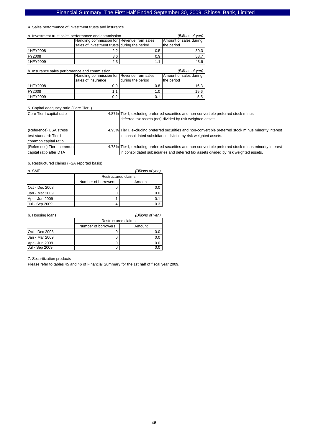#### 4. Sales performance of investment trusts and insurance

| a. Investment trust sales performance and commission |                                              |     | (Billions of yen)      |
|------------------------------------------------------|----------------------------------------------|-----|------------------------|
|                                                      | Handling commission for Revenue from sales   |     | Amount of sales during |
|                                                      | sales of investment trusts during the period |     | the period             |
| <b>I1HFY2008</b>                                     | $2.2^{\circ}$                                | 0.5 | 30.3                   |
| <b>IFY2008</b>                                       | 3.6                                          | 0.9 | 58.7                   |
| 1HFY2009                                             | 2.3                                          |     | 43.6                   |

| b. Insurance sales performance and commission<br>(Billions of yen) |                                            |                   |                        |  |
|--------------------------------------------------------------------|--------------------------------------------|-------------------|------------------------|--|
|                                                                    | Handling commission for Revenue from sales |                   | Amount of sales during |  |
|                                                                    | sales of insurance                         | during the period | the period             |  |
| 11HFY2008                                                          | 0.9                                        | 0.8               | 16.3                   |  |
| <b>IFY2008</b>                                                     |                                            | 1.0               | 19.6                   |  |
| 1HFY2009                                                           |                                            |                   | $5.5^{\circ}$          |  |

#### 5. Capital adequacy ratio (Core Tier I)

| Core Tier I capital ratio | 4.87% Tier I, excluding preferred securities and non-convertible preferred stock minus                   |
|---------------------------|----------------------------------------------------------------------------------------------------------|
|                           | deferred tax assets (net) divided by risk weighted assets.                                               |
|                           |                                                                                                          |
| (Reference) USA stress    | 4.95% Tier I, excluding preferred securities and non-convertible preferred stock minus minority interest |
| test standard: Tier I     | in consolidated subsidiaries divided by risk weighted assets.                                            |
| common capital ratio      |                                                                                                          |
| (Reference) Tier I common | 4.73% Tier I, excluding preferred securities and non-convertible preferred stock minus minority interest |
| capital ratio after DTA   | in consolidated subsidiaries and deferred tax assets divided by risk weighted assets.                    |

6. Restructured claims (FSA reported basis)

| a. SME                        |  | (Billions of yen)   |  |  |
|-------------------------------|--|---------------------|--|--|
|                               |  | Restructured claims |  |  |
| Number of borrowers<br>Amount |  |                     |  |  |
| <b>Oct - Dec 2008</b>         |  | 0.0                 |  |  |
| Jan - Mar 2009                |  | 0.0                 |  |  |
| Apr - Jun 2009                |  | 0.1                 |  |  |
| Jul - Sep 2009                |  | 0.3                 |  |  |

| b. Housing loans<br>(Billions of yen) |                     |     |  |  |
|---------------------------------------|---------------------|-----|--|--|
|                                       | Restructured claims |     |  |  |
| Number of borrowers<br>Amount         |                     |     |  |  |
| <b>Oct - Dec 2008</b>                 |                     |     |  |  |
| Jan - Mar 2009                        |                     | 0.0 |  |  |
| Apr - Jun 2009                        |                     | 0.0 |  |  |
| Jul - Sep 2009                        |                     |     |  |  |

7. Securitization products

Please refer to tables 45 and 46 of Financial Summary for the 1st half of fiscal year 2009.